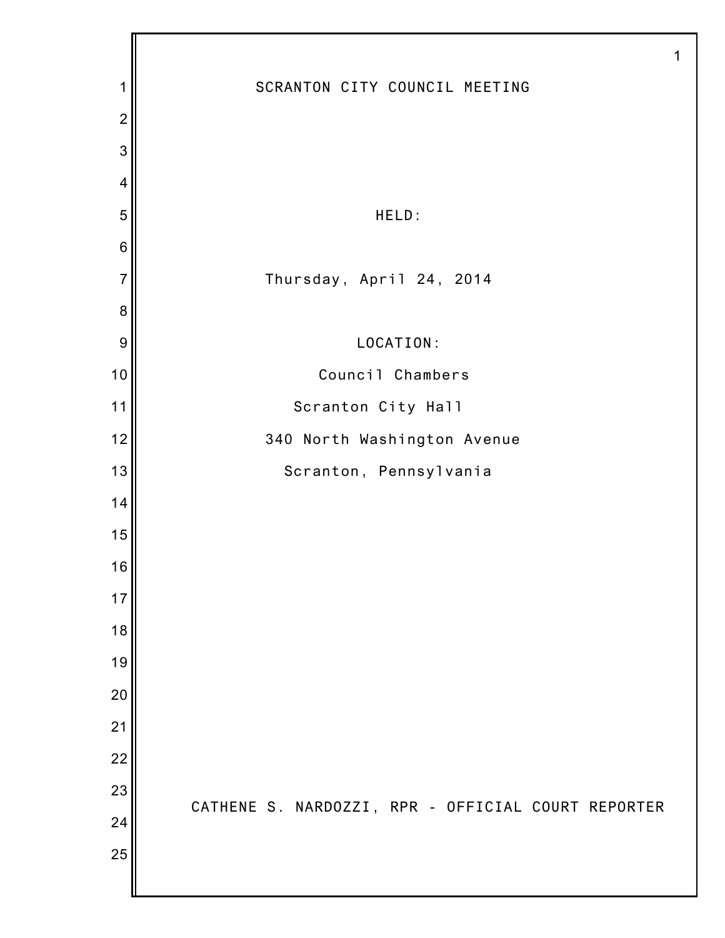|                 | 1                                                  |
|-----------------|----------------------------------------------------|
| 1               | SCRANTON CITY COUNCIL MEETING                      |
| $\overline{2}$  |                                                    |
| 3               |                                                    |
| 4               |                                                    |
| 5               | HELD:                                              |
| $6\phantom{1}6$ |                                                    |
| $\overline{7}$  | Thursday, April 24, 2014                           |
| 8               |                                                    |
| 9               | LOCATION:                                          |
| 10              | Council Chambers                                   |
| 11              | Scranton City Hall                                 |
| 12              | 340 North Washington Avenue                        |
| 13              | Scranton, Pennsylvania                             |
| 14              |                                                    |
| 15              |                                                    |
| 16              |                                                    |
| 17              |                                                    |
| 18              |                                                    |
| 19              |                                                    |
| 20              |                                                    |
| 21              |                                                    |
| 22              |                                                    |
| 23              | CATHENE S. NARDOZZI, RPR - OFFICIAL COURT REPORTER |
| 24              |                                                    |
| 25              |                                                    |
|                 |                                                    |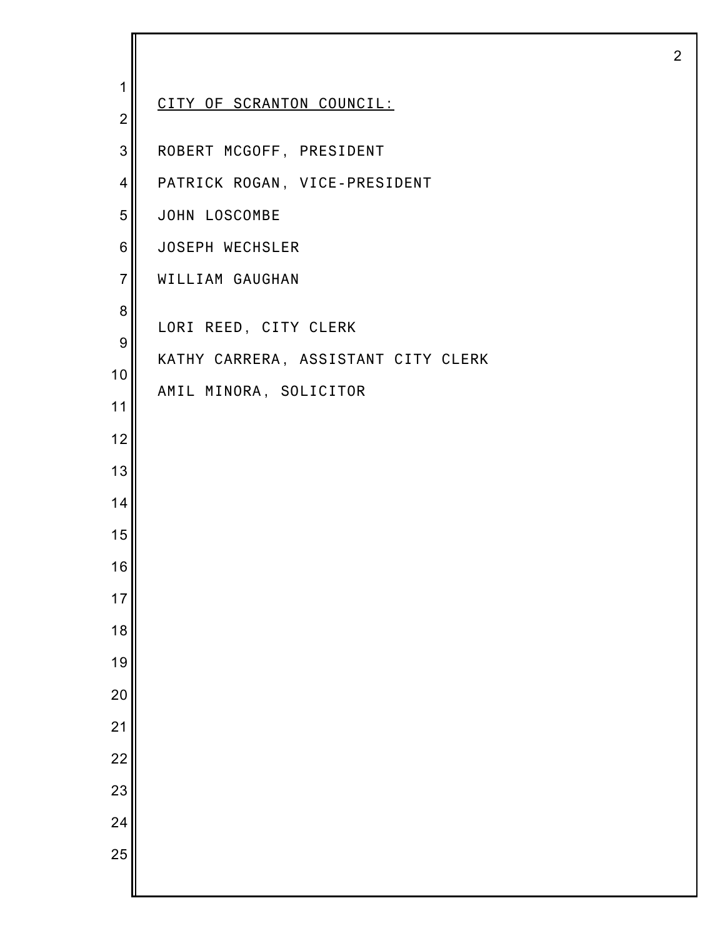| 1<br>$\overline{2}$                                                                                       | CITY OF SCRANTON COUNCIL:                                                              |
|-----------------------------------------------------------------------------------------------------------|----------------------------------------------------------------------------------------|
| 3                                                                                                         | ROBERT MCGOFF, PRESIDENT                                                               |
| 4                                                                                                         | PATRICK ROGAN, VICE-PRESIDENT                                                          |
| 5                                                                                                         | JOHN LOSCOMBE                                                                          |
| 6                                                                                                         | JOSEPH WECHSLER                                                                        |
| $\overline{7}$                                                                                            | WILLIAM GAUGHAN                                                                        |
| 8<br>$\boldsymbol{9}$<br>10<br>11<br>12<br>13<br>14<br>15<br>16<br>17<br>18<br>19<br>20<br>21<br>22<br>23 | LORI REED, CITY CLERK<br>KATHY CARRERA, ASSISTANT CITY CLERK<br>AMIL MINORA, SOLICITOR |
| 24<br>25                                                                                                  |                                                                                        |
|                                                                                                           |                                                                                        |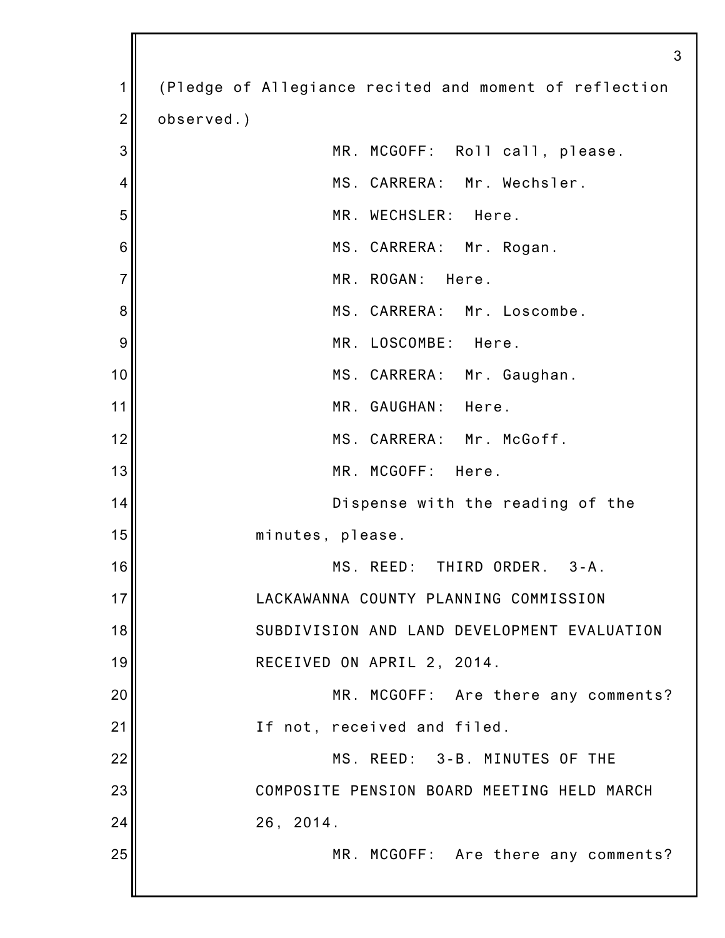|                | 3                                                      |
|----------------|--------------------------------------------------------|
| 1              | (Pledge of Allegiance recited and moment of reflection |
| $\overline{2}$ | observed.)                                             |
| 3              | MR. MCGOFF: Roll call, please.                         |
| 4              | MS. CARRERA: Mr. Wechsler.                             |
| 5              | MR. WECHSLER: Here.                                    |
| 6              | MS. CARRERA: Mr. Rogan.                                |
| $\overline{7}$ | MR. ROGAN: Here.                                       |
| 8              | MS. CARRERA: Mr. Loscombe.                             |
| 9              | MR. LOSCOMBE: Here.                                    |
| 10             | MS. CARRERA: Mr. Gaughan.                              |
| 11             | MR. GAUGHAN: Here.                                     |
| 12             | MS. CARRERA: Mr. McGoff.                               |
| 13             | MR. MCGOFF: Here.                                      |
| 14             | Dispense with the reading of the                       |
| 15             | minutes, please.                                       |
| 16             | MS. REED: THIRD ORDER. 3-A.                            |
| 17             | LACKAWANNA COUNTY PLANNING COMMISSION                  |
| 18             | SUBDIVISION AND LAND DEVELOPMENT EVALUATION            |
| 19             | RECEIVED ON APRIL 2, 2014.                             |
| 20             | MR. MCGOFF: Are there any comments?                    |
| 21             | If not, received and filed.                            |
| 22             | MS. REED: 3-B. MINUTES OF THE                          |
| 23             | COMPOSITE PENSION BOARD MEETING HELD MARCH             |
| 24             | 26, 2014.                                              |
| 25             | MR. MCGOFF: Are there any comments?                    |
|                |                                                        |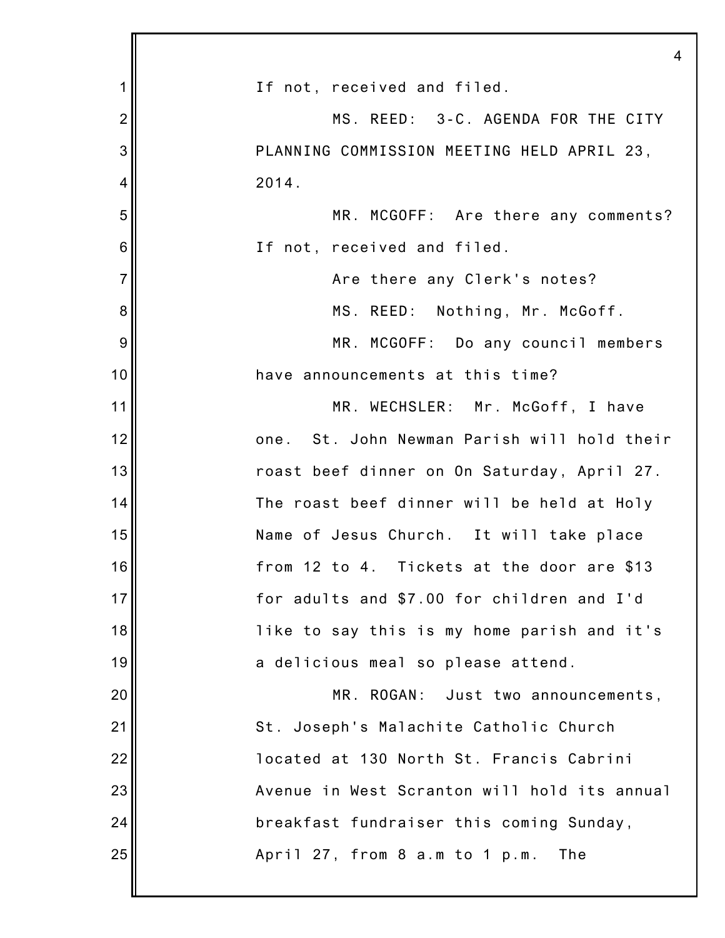|                | 4                                            |
|----------------|----------------------------------------------|
| 1              | If not, received and filed.                  |
| $\overline{2}$ | MS. REED: 3-C. AGENDA FOR THE CITY           |
| 3              | PLANNING COMMISSION MEETING HELD APRIL 23,   |
| 4              | 2014.                                        |
| 5              | MR. MCGOFF: Are there any comments?          |
| 6              | If not, received and filed.                  |
| $\overline{7}$ | Are there any Clerk's notes?                 |
| 8              | MS. REED: Nothing, Mr. McGoff.               |
| 9              | MR. MCGOFF: Do any council members           |
| 10             | have announcements at this time?             |
| 11             | MR. WECHSLER: Mr. McGoff, I have             |
| 12             | one. St. John Newman Parish will hold their  |
| 13             | roast beef dinner on On Saturday, April 27.  |
| 14             | The roast beef dinner will be held at Holy   |
| 15             | Name of Jesus Church. It will take place     |
| 16             | from 12 to 4. Tickets at the door are \$13   |
| 17             | for adults and \$7.00 for children and I'd   |
| 18             | like to say this is my home parish and it's  |
| 19             | a delicious meal so please attend.           |
| 20             | MR. ROGAN: Just two announcements,           |
| 21             | St. Joseph's Malachite Catholic Church       |
| 22             | located at 130 North St. Francis Cabrini     |
| 23             | Avenue in West Scranton will hold its annual |
| 24             | breakfast fundraiser this coming Sunday,     |
| 25             | April 27, from 8 a.m to 1 p.m.<br>The        |
|                |                                              |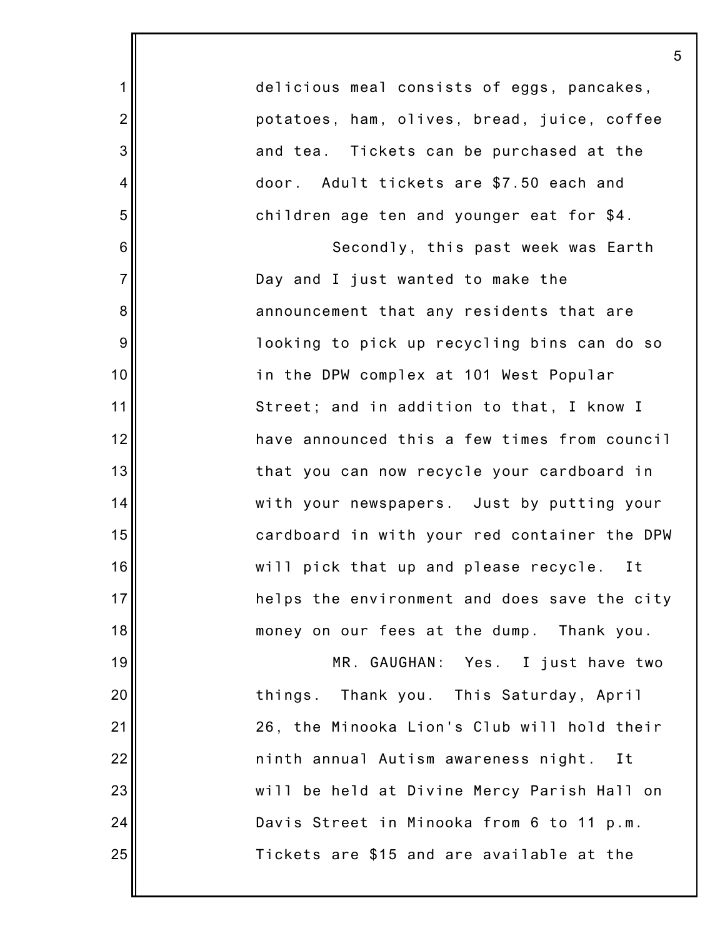| delicious meal consists of eggs, pancakes,   |
|----------------------------------------------|
| potatoes, ham, olives, bread, juice, coffee  |
| and tea. Tickets can be purchased at the     |
| door. Adult tickets are \$7.50 each and      |
| children age ten and younger eat for \$4.    |
| Secondly, this past week was Earth           |
| Day and I just wanted to make the            |
| announcement that any residents that are     |
| looking to pick up recycling bins can do so  |
| in the DPW complex at 101 West Popular       |
| Street; and in addition to that, I know I    |
| have announced this a few times from council |
| that you can now recycle your cardboard in   |
| with your newspapers. Just by putting your   |
| cardboard in with your red container the DPW |
| will pick that up and please recycle.<br>Ιt  |
| helps the environment and does save the city |
| money on our fees at the dump. Thank you.    |
| MR. GAUGHAN: Yes. I just have two            |
| things. Thank you. This Saturday, April      |
| 26, the Minooka Lion's Club will hold their  |
| ninth annual Autism awareness night. It      |
| will be held at Divine Mercy Parish Hall on  |
| Davis Street in Minooka from 6 to 11 p.m.    |

Tickets are \$15 and are available at the

25

1

2

3

4

5

6

7

8

9

10

11

12

13

14

15

16

17

18

19

20

21

22

23

24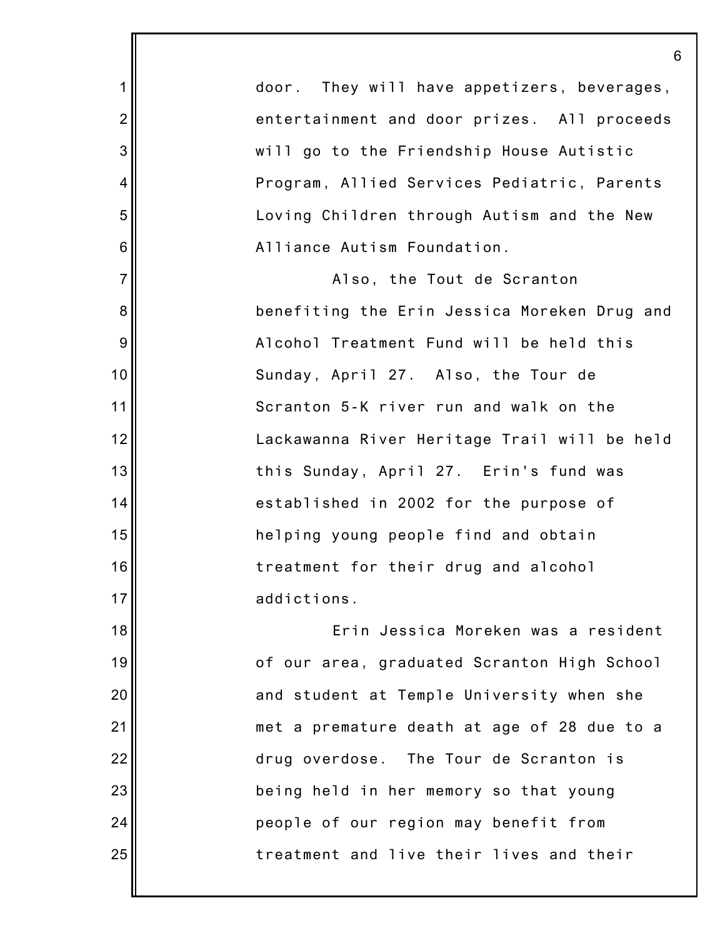|                | 6                                            |
|----------------|----------------------------------------------|
| 1              | door. They will have appetizers, beverages,  |
| $\overline{c}$ | entertainment and door prizes. All proceeds  |
| 3              | will go to the Friendship House Autistic     |
| 4              | Program, Allied Services Pediatric, Parents  |
| 5              | Loving Children through Autism and the New   |
| 6              | Alliance Autism Foundation.                  |
| $\overline{7}$ | Also, the Tout de Scranton                   |
| $\bf 8$        | benefiting the Erin Jessica Moreken Drug and |
| $9\,$          | Alcohol Treatment Fund will be held this     |
| 10             | Sunday, April 27. Also, the Tour de          |
| 11             | Scranton 5-K river run and walk on the       |
| 12             | Lackawanna River Heritage Trail will be held |
| 13             | this Sunday, April 27. Erin's fund was       |
| 14             | established in 2002 for the purpose of       |
| 15             | helping young people find and obtain         |
| 16             | treatment for their drug and alcohol         |
| 17             | addictions.                                  |
| 18             | Erin Jessica Moreken was a resident          |
| 19             | of our area, graduated Scranton High School  |
| 20             | and student at Temple University when she    |
| 21             | met a premature death at age of 28 due to a  |
| 22             | drug overdose. The Tour de Scranton is       |
| 23             | being held in her memory so that young       |
| 24             | people of our region may benefit from        |
| 25             | treatment and live their lives and their     |
|                |                                              |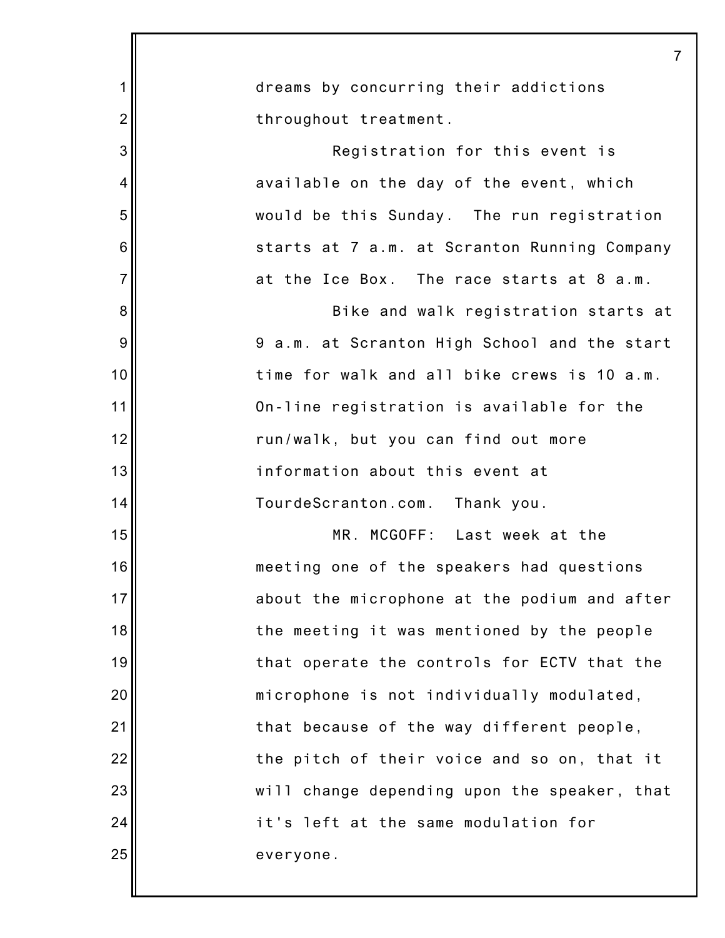|                | 7                                            |
|----------------|----------------------------------------------|
| 1              | dreams by concurring their addictions        |
| $\overline{2}$ | throughout treatment.                        |
| 3              | Registration for this event is               |
| 4              | available on the day of the event, which     |
| 5              | would be this Sunday. The run registration   |
| 6              | starts at 7 a.m. at Scranton Running Company |
| $\overline{7}$ | at the Ice Box. The race starts at 8 a.m.    |
| 8              | Bike and walk registration starts at         |
| 9              | 9 a.m. at Scranton High School and the start |
| 10             | time for walk and all bike crews is 10 a.m.  |
| 11             | On-line registration is available for the    |
| 12             | run/walk, but you can find out more          |
| 13             | information about this event at              |
| 14             | TourdeScranton.com. Thank you.               |
| 15             | MR. MCGOFF: Last week at the                 |
| 16             | meeting one of the speakers had questions    |
| 17             | about the microphone at the podium and after |
| 18             | the meeting it was mentioned by the people   |
| 19             | that operate the controls for ECTV that the  |
| 20             | microphone is not individually modulated,    |
| 21             | that because of the way different people,    |
| 22             | the pitch of their voice and so on, that it  |
| 23             | will change depending upon the speaker, that |
| 24             | it's left at the same modulation for         |
| 25             | everyone.                                    |
|                |                                              |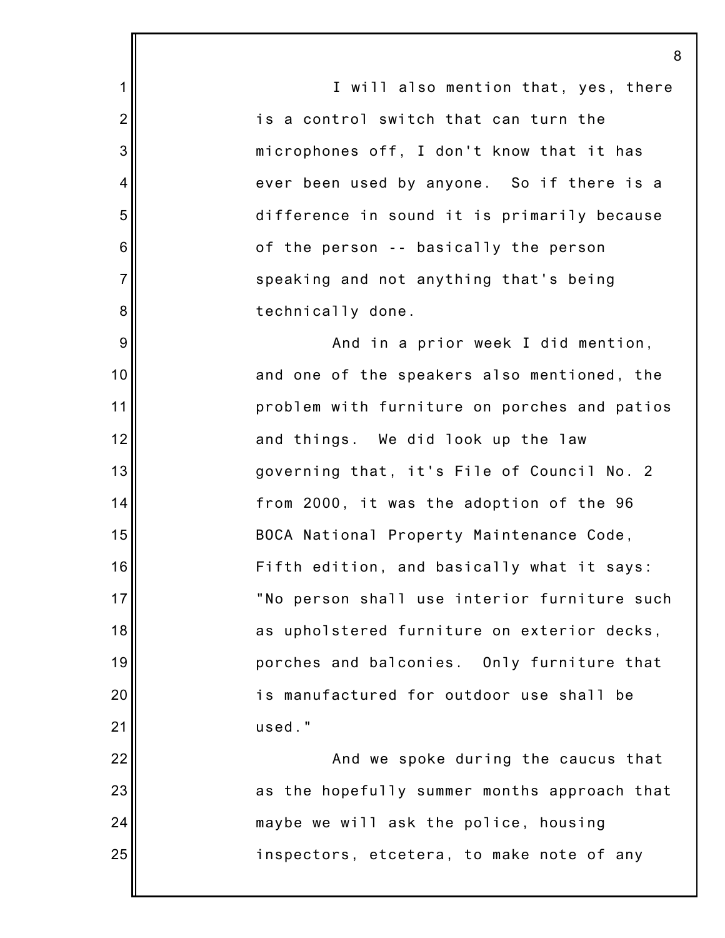I will also mention that, yes, there is a control switch that can turn the microphones off, I don't know that it has ever been used by anyone. So if there is a difference in sound it is primarily because of the person -- basically the person speaking and not anything that's being technically done.

1

2

3

4

5

6

7

8

9

10

11

12

13

14

15

16

17

18

19

20

21

24

And in a prior week I did mention, and one of the speakers also mentioned, the problem with furniture on porches and patios and things. We did look up the law governing that, it's File of Council No. 2 from 2000, it was the adoption of the 96 BOCA National Property Maintenance Code, Fifth edition, and basically what it says: "No person shall use interior furniture such as upholstered furniture on exterior decks, porches and balconies. Only furniture that is manufactured for outdoor use shall be used."

22 23 25 And we spoke during the caucus that as the hopefully summer months approach that maybe we will ask the police, housing inspectors, etcetera, to make note of any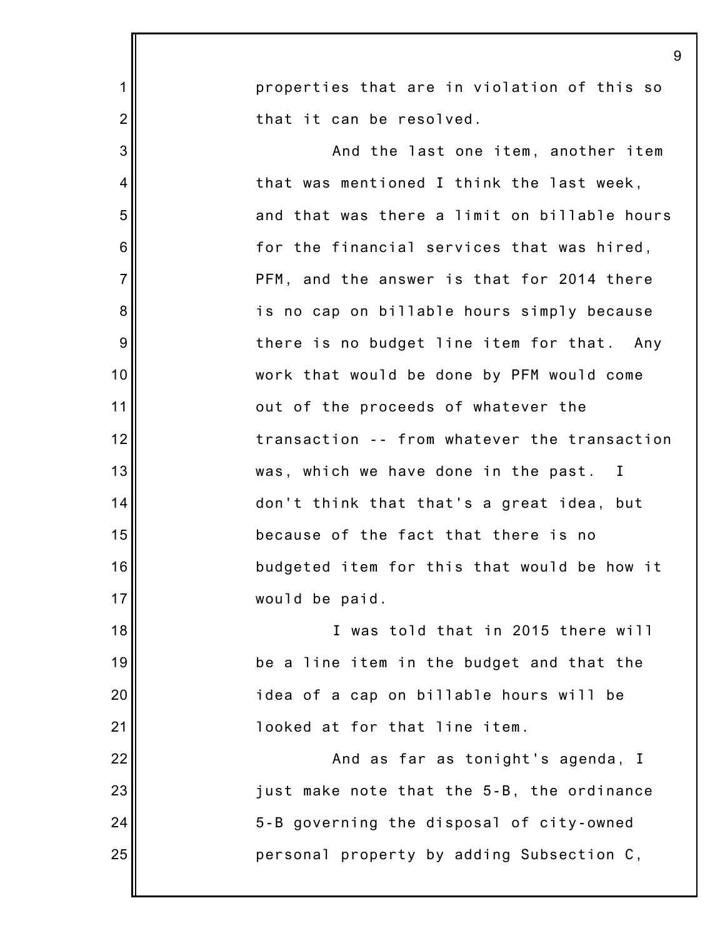|                | 9                                            |
|----------------|----------------------------------------------|
| $\mathbf 1$    | properties that are in violation of this so  |
| $\overline{2}$ | that it can be resolved.                     |
| 3              | And the last one item, another item          |
| 4              | that was mentioned I think the last week,    |
| 5              | and that was there a limit on billable hours |
| 6              | for the financial services that was hired,   |
| $\overline{7}$ | PFM, and the answer is that for 2014 there   |
| 8              | is no cap on billable hours simply because   |
| 9              | there is no budget line item for that. Any   |
| 10             | work that would be done by PFM would come    |
| 11             | out of the proceeds of whatever the          |
| 12             | transaction -- from whatever the transaction |
| 13             | was, which we have done in the past. I       |
| 14             | don't think that that's a great idea, but    |
| 15             | because of the fact that there is no         |
| 16             | budgeted item for this that would be how it  |
| 17             | would be paid.                               |
| 18             | I was told that in 2015 there will           |
| 19             | be a line item in the budget and that the    |
| 20             | idea of a cap on billable hours will be      |
| 21             | looked at for that line item.                |
| 22             | And as far as tonight's agenda, I            |
| 23             | just make note that the 5-B, the ordinance   |
| 24             | 5-B governing the disposal of city-owned     |
| 25             | personal property by adding Subsection C,    |
|                |                                              |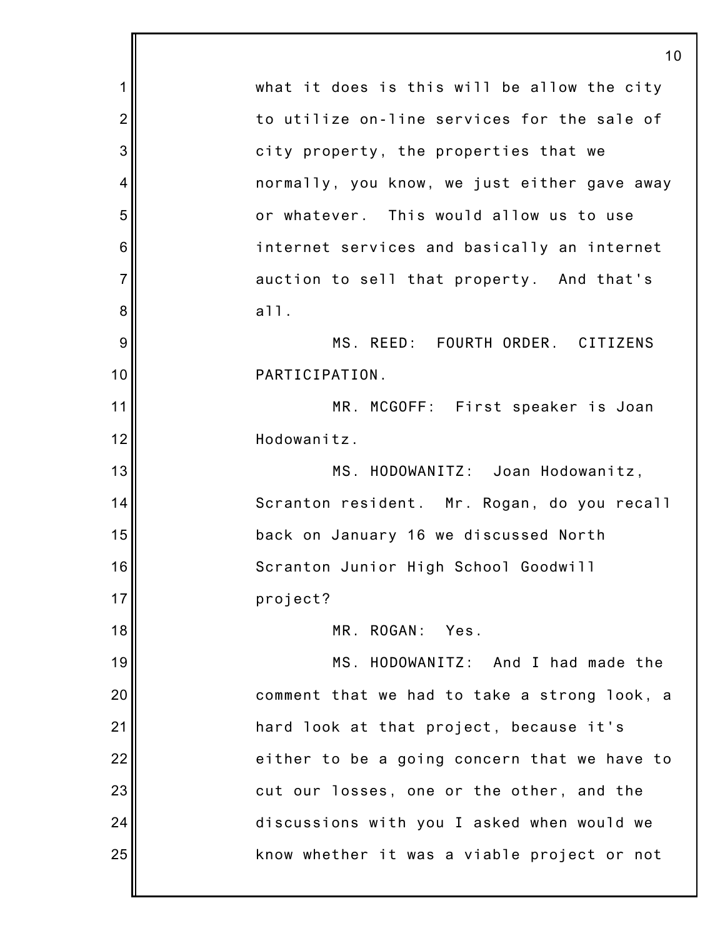|                 | 10                                           |
|-----------------|----------------------------------------------|
| 1               | what it does is this will be allow the city  |
| $\overline{2}$  | to utilize on-line services for the sale of  |
| 3               | city property, the properties that we        |
| 4               | normally, you know, we just either gave away |
| 5               | or whatever. This would allow us to use      |
| $6\phantom{1}6$ | internet services and basically an internet  |
| $\overline{7}$  | auction to sell that property. And that's    |
| 8               | a11.                                         |
| 9               | MS. REED: FOURTH ORDER. CITIZENS             |
| 10              | PARTICIPATION.                               |
| 11              | MR. MCGOFF: First speaker is Joan            |
| 12              | Hodowanitz.                                  |
| 13              | MS. HODOWANITZ: Joan Hodowanitz,             |
| 14              | Scranton resident. Mr. Rogan, do you recall  |
| 15              | back on January 16 we discussed North        |
| 16              | Scranton Junior High School Goodwill         |
| 17              | project?                                     |
| 18              | MR. ROGAN: Yes.                              |
| 19              | MS. HODOWANITZ: And I had made the           |
| 20              | comment that we had to take a strong look, a |
| 21              | hard look at that project, because it's      |
| 22              | either to be a going concern that we have to |
| 23              | cut our losses, one or the other, and the    |
| 24              | discussions with you I asked when would we   |
| 25              | know whether it was a viable project or not  |
|                 |                                              |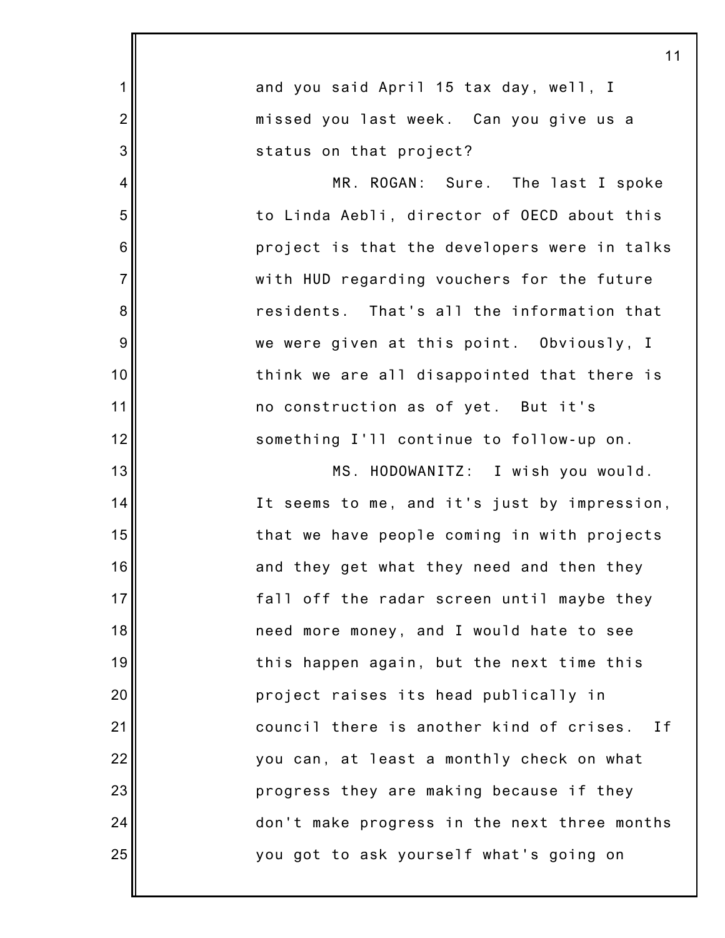|                 | 11                                           |
|-----------------|----------------------------------------------|
| 1               | and you said April 15 tax day, well, I       |
| $\overline{c}$  | missed you last week. Can you give us a      |
| 3               | status on that project?                      |
| 4               | MR. ROGAN: Sure. The last I spoke            |
| 5               | to Linda Aebli, director of OECD about this  |
| $6\phantom{1}6$ | project is that the developers were in talks |
| $\overline{7}$  | with HUD regarding vouchers for the future   |
| $\bf 8$         | residents. That's all the information that   |
| $9\,$           | we were given at this point. Obviously, I    |
| 10              | think we are all disappointed that there is  |
| 11              | no construction as of yet. But it's          |
| 12              | something I'll continue to follow-up on.     |
| 13              | MS. HODOWANITZ: I wish you would.            |
| 14              | It seems to me, and it's just by impression, |
| 15              | that we have people coming in with projects  |
| 16              | and they get what they need and then they    |
| 17              | fall off the radar screen until maybe they   |
| 18              | need more money, and I would hate to see     |
| 19              | this happen again, but the next time this    |
| 20              | project raises its head publically in        |
| 21              | council there is another kind of crises. If  |
| 22              | you can, at least a monthly check on what    |
| 23              | progress they are making because if they     |
| 24              | don't make progress in the next three months |
| 25              | you got to ask yourself what's going on      |
|                 |                                              |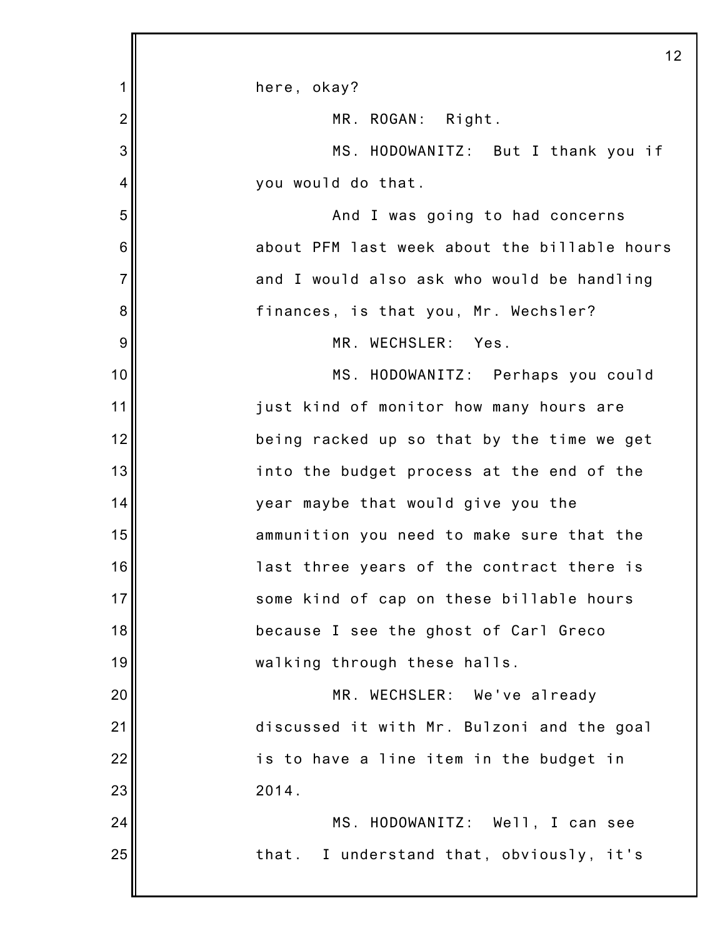|                | 1:                                           |
|----------------|----------------------------------------------|
| 1              | here, okay?                                  |
| $\overline{2}$ | MR. ROGAN: Right.                            |
| 3              | MS. HODOWANITZ: But I thank you if           |
| 4              | you would do that.                           |
| 5              | And I was going to had concerns              |
| 6              | about PFM last week about the billable hours |
| $\overline{7}$ | and I would also ask who would be handling   |
| 8              | finances, is that you, Mr. Wechsler?         |
| 9              | MR. WECHSLER: Yes.                           |
| 10             | MS. HODOWANITZ: Perhaps you could            |
| 11             | just kind of monitor how many hours are      |
| 12             | being racked up so that by the time we get   |
| 13             | into the budget process at the end of the    |
| 14             | year maybe that would give you the           |
| 15             | ammunition you need to make sure that the    |
| 16             | last three years of the contract there is    |
| 17             | some kind of cap on these billable hours     |
| 18             | because I see the ghost of Carl Greco        |
| 19             | walking through these halls.                 |
| 20             | MR. WECHSLER: We've already                  |
| 21             | discussed it with Mr. Bulzoni and the goal   |
| 22             | is to have a line item in the budget in      |
| 23             | 2014.                                        |
| 24             | MS. HODOWANITZ: Well, I can see              |
| 25             | that. I understand that, obviously, it's     |
|                |                                              |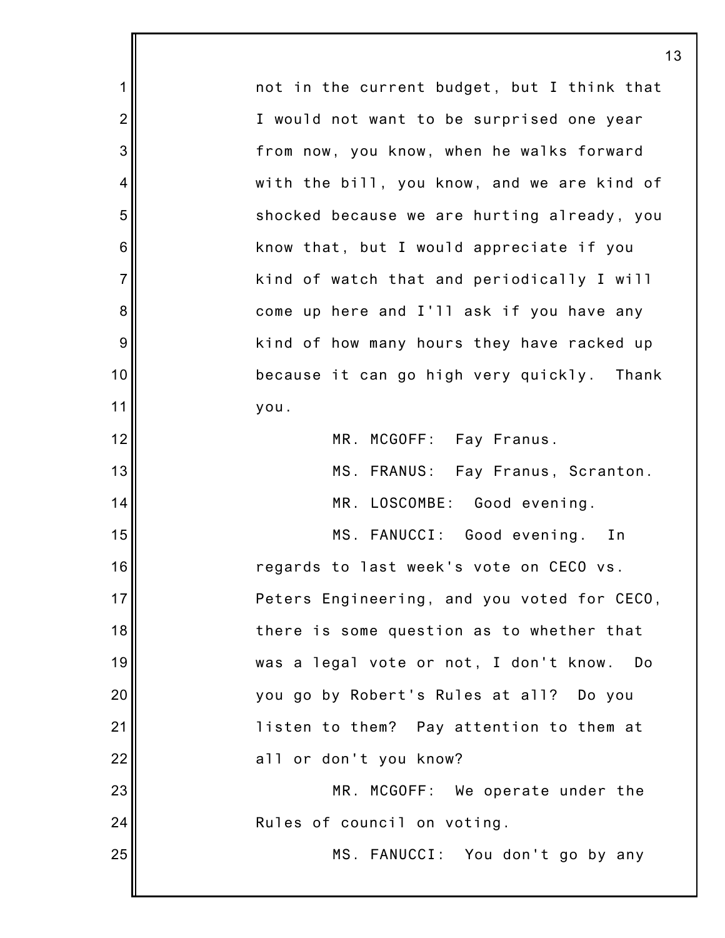1 2 3 4 5 6 7 8 9 10 11 12 13 14 15 16 17 18 19 20 21 22 23 24 25 13 not in the current budget, but I think that I would not want to be surprised one year from now, you know, when he walks forward with the bill, you know, and we are kind of shocked because we are hurting already, you know that, but I would appreciate if you kind of watch that and periodically I will come up here and I'll ask if you have any kind of how many hours they have racked up because it can go high very quickly. Thank you. MR. MCGOFF: Fay Franus. MS. FRANUS: Fay Franus, Scranton. MR. LOSCOMBE: Good evening. MS. FANUCCI: Good evening. In regards to last week's vote on CECO vs. Peters Engineering, and you voted for CECO, there is some question as to whether that was a legal vote or not, I don't know. Do you go by Robert's Rules at all? Do you listen to them? Pay attention to them at all or don't you know? MR. MCGOFF: We operate under the Rules of council on voting. MS. FANUCCI: You don't go by any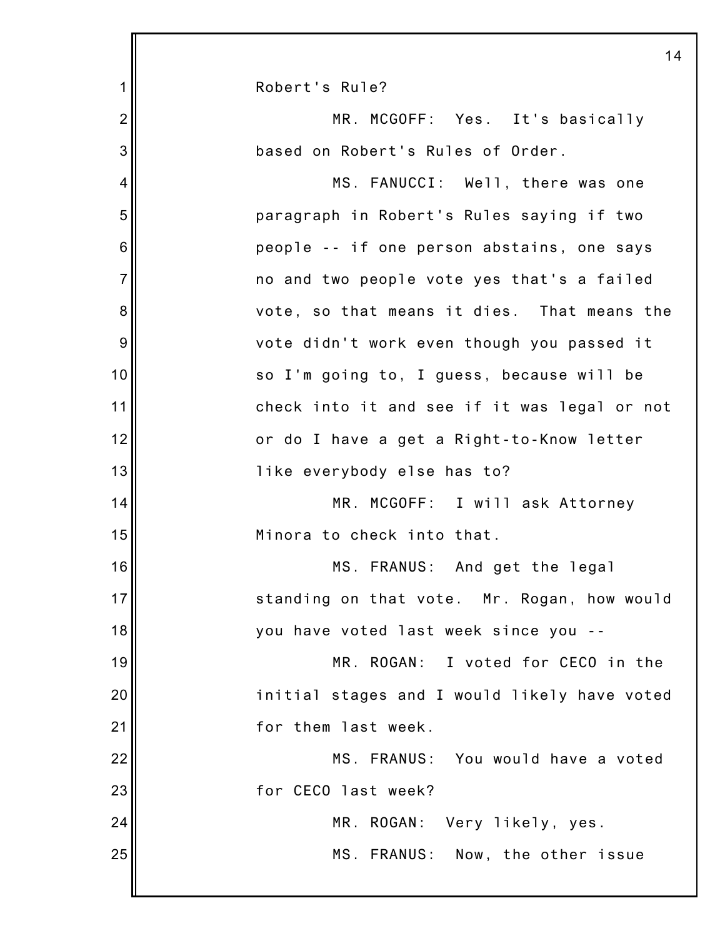|                | 14                                           |
|----------------|----------------------------------------------|
| 1              | Robert's Rule?                               |
| $\overline{2}$ | MR. MCGOFF: Yes. It's basically              |
| 3              | based on Robert's Rules of Order.            |
| $\overline{4}$ | MS. FANUCCI: Well, there was one             |
| 5              | paragraph in Robert's Rules saying if two    |
| 6              | people -- if one person abstains, one says   |
| $\overline{7}$ | no and two people vote yes that's a failed   |
| 8              | vote, so that means it dies. That means the  |
| 9              | vote didn't work even though you passed it   |
| 10             | so I'm going to, I guess, because will be    |
| 11             | check into it and see if it was legal or not |
| 12             | or do I have a get a Right-to-Know letter    |
| 13             | like everybody else has to?                  |
| 14             | MR. MCGOFF: I will ask Attorney              |
| 15             | Minora to check into that.                   |
| 16             | MS. FRANUS: And get the legal                |
| 17             | standing on that vote. Mr. Rogan, how would  |
| 18             | you have voted last week since you --        |
| 19             | MR. ROGAN: I voted for CECO in the           |
| 20             | initial stages and I would likely have voted |
| 21             | for them last week.                          |
| 22             | MS. FRANUS: You would have a voted           |
| 23             | for CECO last week?                          |
| 24             | MR. ROGAN: Very likely, yes.                 |
| 25             | MS. FRANUS: Now, the other issue             |
|                |                                              |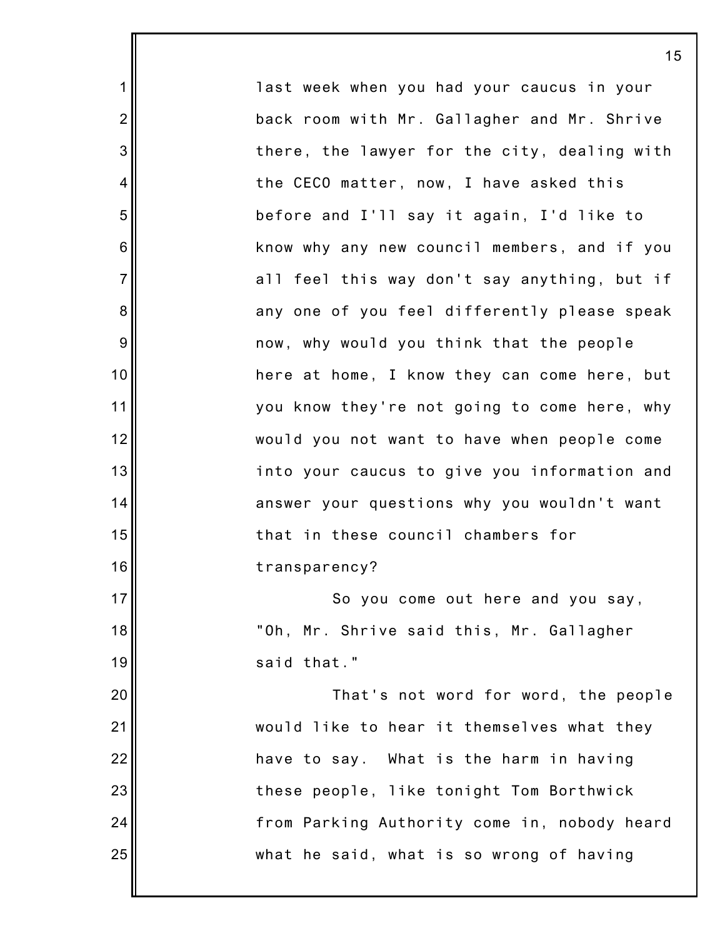last week when you had your caucus in your back room with Mr. Gallagher and Mr. Shrive there, the lawyer for the city, dealing with the CECO matter, now, I have asked this before and I'll say it again, I'd like to know why any new council members, and if you all feel this way don't say anything, but if any one of you feel differently please speak now, why would you think that the people here at home, I know they can come here, but you know they're not going to come here, why would you not want to have when people come into your caucus to give you information and answer your questions why you wouldn't want that in these council chambers for transparency? So you come out here and you say, "Oh, Mr. Shrive said this, Mr. Gallagher said that." That's not word for word, the people would like to hear it themselves what they

1

2

3

4

5

6

7

8

9

10

11

12

13

14

15

16

17

18

19

20

21

22

23

24

25

have to say. What is the harm in having these people, like tonight Tom Borthwick from Parking Authority come in, nobody heard what he said, what is so wrong of having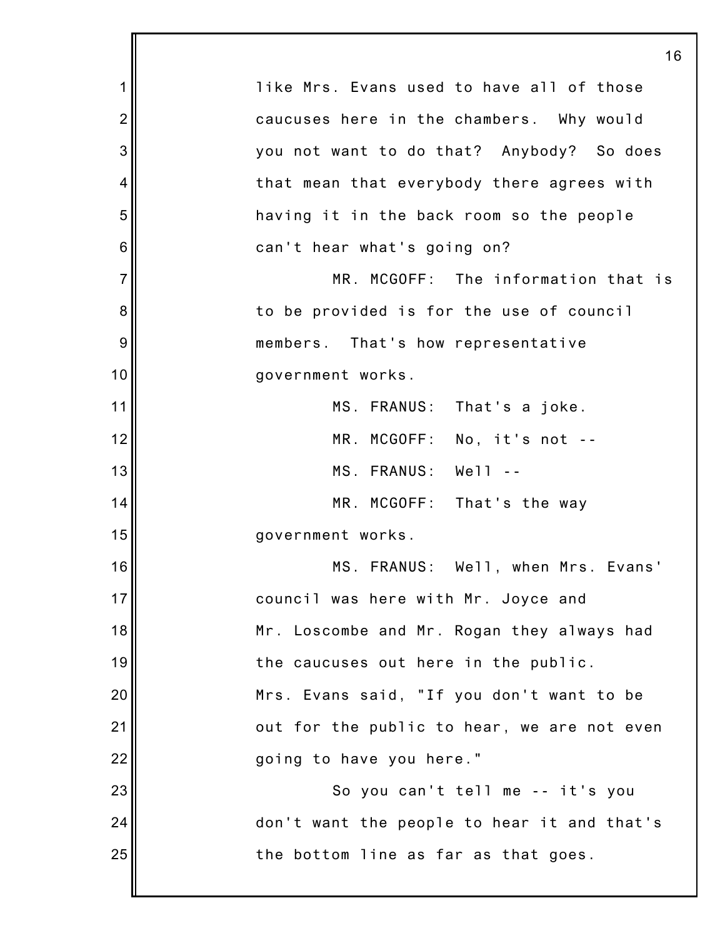|                | 16                                          |
|----------------|---------------------------------------------|
| 1              | like Mrs. Evans used to have all of those   |
| $\overline{2}$ | caucuses here in the chambers. Why would    |
| 3              | you not want to do that? Anybody? So does   |
| 4              | that mean that everybody there agrees with  |
| 5              | having it in the back room so the people    |
| 6              | can't hear what's going on?                 |
| $\overline{7}$ | MR. MCGOFF: The information that is         |
| 8              | to be provided is for the use of council    |
| 9              | members. That's how representative          |
| 10             | government works.                           |
| 11             | MS. FRANUS: That's a joke.                  |
| 12             | MR. MCGOFF: No, it's not --                 |
| 13             | MS. FRANUS: Well                            |
| 14             | MR. MCGOFF: That's the way                  |
| 15             | government works.                           |
| 16             | MS. FRANUS: Well, when Mrs. Evans'          |
| 17             | council was here with Mr. Joyce and         |
| 18             | Mr. Loscombe and Mr. Rogan they always had  |
| 19             | the caucuses out here in the public.        |
| 20             | Mrs. Evans said, "If you don't want to be   |
| 21             | out for the public to hear, we are not even |
| 22             | going to have you here."                    |
| 23             | So you can't tell me -- it's you            |
| 24             | don't want the people to hear it and that's |
| 25             | the bottom line as far as that goes.        |
|                |                                             |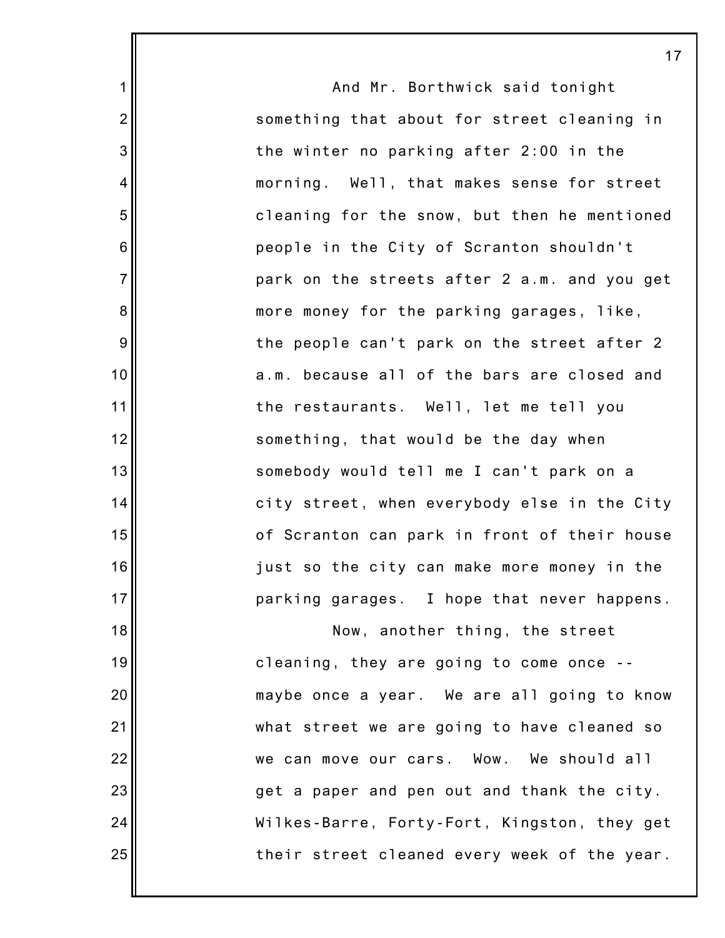And Mr. Borthwick said tonight something that about for street cleaning in the winter no parking after 2:00 in the morning. Well, that makes sense for street cleaning for the snow, but then he mentioned people in the City of Scranton shouldn't park on the streets after 2 a.m. and you get more money for the parking garages, like, the people can't park on the street after 2 a.m. because all of the bars are closed and the restaurants. Well, let me tell you something, that would be the day when somebody would tell me I can't park on a city street, when everybody else in the City of Scranton can park in front of their house just so the city can make more money in the parking garages. I hope that never happens. Now, another thing, the street

1

2

3

4

5

6

7

8

9

10

11

12

13

14

15

16

17

18

19

20

21

22

23

24

25

cleaning, they are going to come once - maybe once a year. We are all going to know what street we are going to have cleaned so we can move our cars. Wow. We should all get a paper and pen out and thank the city. Wilkes-Barre, Forty-Fort, Kingston, they get their street cleaned every week of the year.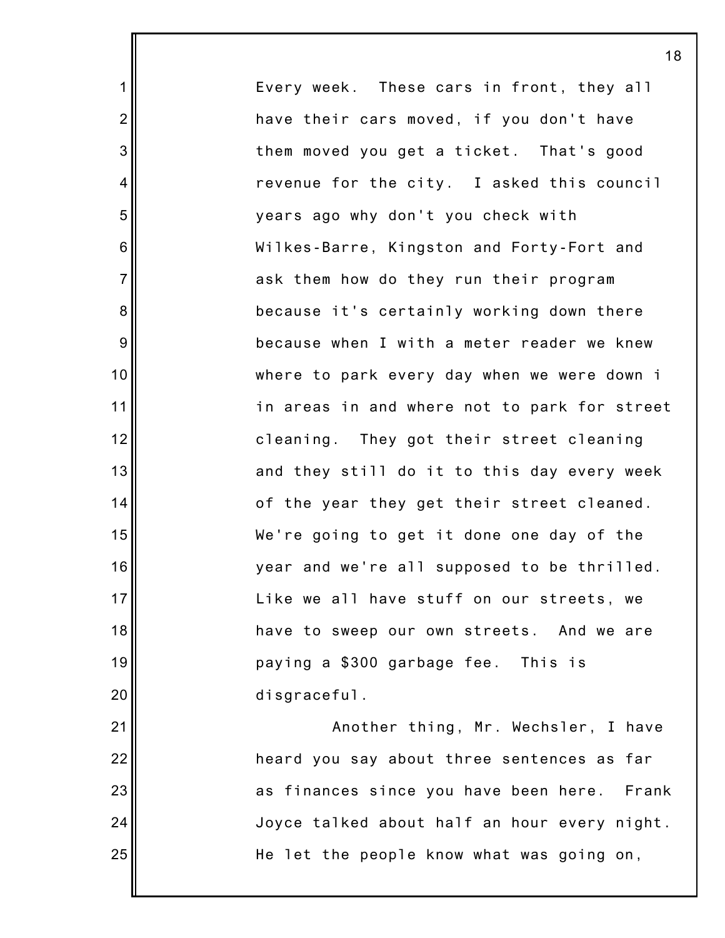Every week. These cars in front, they all have their cars moved, if you don't have them moved you get a ticket. That's good revenue for the city. I asked this council years ago why don't you check with Wilkes-Barre, Kingston and Forty-Fort and ask them how do they run their program because it's certainly working down there because when I with a meter reader we knew where to park every day when we were down i in areas in and where not to park for street cleaning. They got their street cleaning and they still do it to this day every week of the year they get their street cleaned. We're going to get it done one day of the year and we're all supposed to be thrilled. Like we all have stuff on our streets, we have to sweep our own streets. And we are paying a \$300 garbage fee. This is disgraceful. Another thing, Mr. Wechsler, I have heard you say about three sentences as far as finances since you have been here. Frank

1

2

3

4

5

6

7

8

9

10

11

12

13

14

15

16

17

18

19

20

21

22

23

24

25

Joyce talked about half an hour every night. He let the people know what was going on,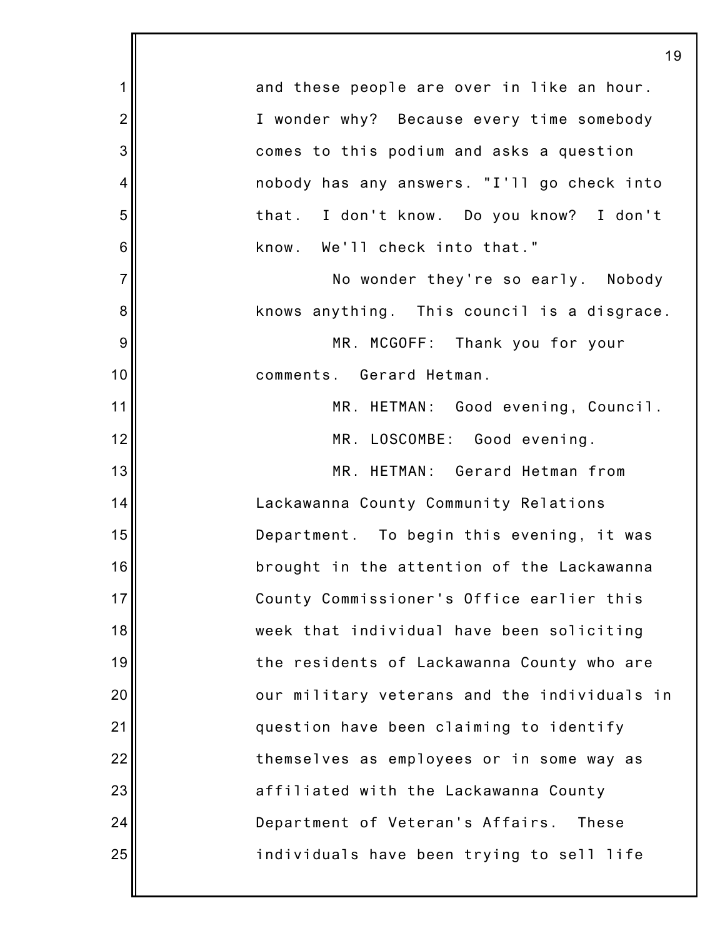|                | 19                                               |
|----------------|--------------------------------------------------|
| 1              | and these people are over in like an hour.       |
| $\overline{2}$ | I wonder why? Because every time somebody        |
| 3              | comes to this podium and asks a question         |
| 4              | nobody has any answers. "I'll go check into      |
| 5              | that. I don't know. Do you know? I don't         |
| 6              | know. We'll check into that."                    |
| $\overline{7}$ | No wonder they're so early. Nobody               |
| 8              | knows anything. This council is a disgrace.      |
| 9              | MR. MCGOFF: Thank you for your                   |
| 10             | comments. Gerard Hetman.                         |
| 11             | MR. HETMAN: Good evening, Council.               |
| 12             | MR. LOSCOMBE: Good evening.                      |
| 13             | MR. HETMAN: Gerard Hetman from                   |
| 14             | Lackawanna County Community Relations            |
| 15             | Department. To begin this evening, it was        |
| 16             | brought in the attention of the Lackawanna       |
| 17             | County Commissioner's Office earlier this        |
| 18             | week that individual have been soliciting        |
| 19             | the residents of Lackawanna County who are       |
| 20             | our military veterans and the individuals in     |
| 21             | question have been claiming to identify          |
| 22             | themselves as employees or in some way as        |
| 23             | affiliated with the Lackawanna County            |
| 24             | Department of Veteran's Affairs.<br><b>These</b> |
| 25             | individuals have been trying to sell life        |
|                |                                                  |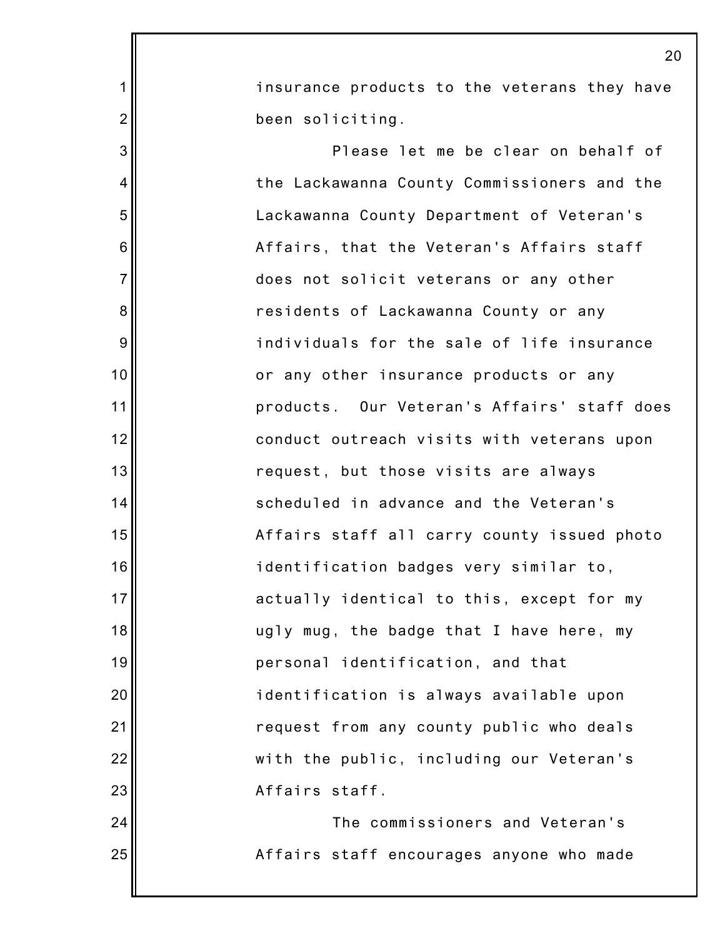|                | 20                                           |
|----------------|----------------------------------------------|
| $\mathbf 1$    | insurance products to the veterans they have |
| $\overline{2}$ | been soliciting.                             |
| 3              | Please let me be clear on behalf of          |
| 4              | the Lackawanna County Commissioners and the  |
| 5              | Lackawanna County Department of Veteran's    |
| 6              | Affairs, that the Veteran's Affairs staff    |
| $\overline{7}$ | does not solicit veterans or any other       |
| 8              | residents of Lackawanna County or any        |
| 9              | individuals for the sale of life insurance   |
| 10             | or any other insurance products or any       |
| 11             | products. Our Veteran's Affairs' staff does  |
| 12             | conduct outreach visits with veterans upon   |
| 13             | request, but those visits are always         |
| 14             | scheduled in advance and the Veteran's       |
| 15             | Affairs staff all carry county issued photo  |
| 16             | identification badges very similar to,       |
| 17             | actually identical to this, except for my    |
| 18             | ugly mug, the badge that I have here, my     |
| 19             | personal identification, and that            |
| 20             | identification is always available upon      |
| 21             | request from any county public who deals     |
| 22             | with the public, including our Veteran's     |
| 23             | Affairs staff.                               |
| 24             | The commissioners and Veteran's              |
| 25             | Affairs staff encourages anyone who made     |
|                |                                              |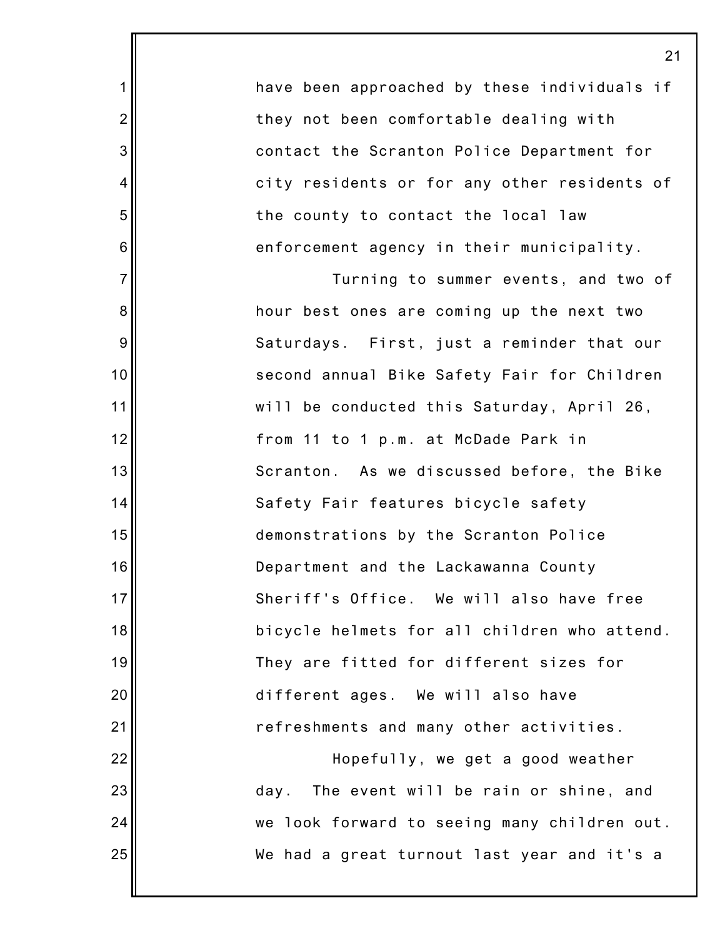have been approached by these individuals if they not been comfortable dealing with contact the Scranton Police Department for city residents or for any other residents of the county to contact the local law enforcement agency in their municipality.

1

2

3

4

5

6

7

8

9

10

11

12

13

14

15

16

17

18

19

20

21

22

23

24

25

Turning to summer events, and two of hour best ones are coming up the next two Saturdays. First, just a reminder that our second annual Bike Safety Fair for Children will be conducted this Saturday, April 26, from 11 to 1 p.m. at McDade Park in Scranton. As we discussed before, the Bike Safety Fair features bicycle safety demonstrations by the Scranton Police Department and the Lackawanna County Sheriff's Office. We will also have free bicycle helmets for all children who attend. They are fitted for different sizes for different ages. We will also have refreshments and many other activities.

Hopefully, we get a good weather day. The event will be rain or shine, and we look forward to seeing many children out. We had a great turnout last year and it's a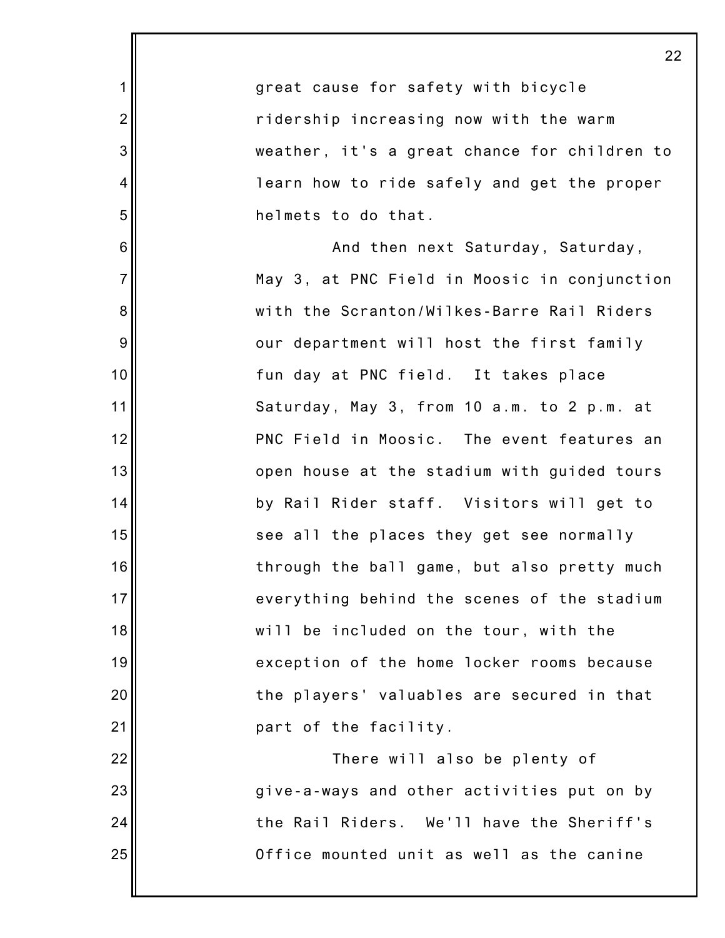|                  | 22                                           |
|------------------|----------------------------------------------|
| $\mathbf 1$      | great cause for safety with bicycle          |
| $\overline{2}$   | ridership increasing now with the warm       |
| $\mathbf{3}$     | weather, it's a great chance for children to |
| 4                | learn how to ride safely and get the proper  |
| 5                | helmets to do that.                          |
| 6                | And then next Saturday, Saturday,            |
| $\overline{7}$   | May 3, at PNC Field in Moosic in conjunction |
| $\bf 8$          | with the Scranton/Wilkes-Barre Rail Riders   |
| $\boldsymbol{9}$ | our department will host the first family    |
| 10               | fun day at PNC field. It takes place         |
| 11               | Saturday, May 3, from 10 a.m. to 2 p.m. at   |
| 12               | PNC Field in Moosic. The event features an   |
| 13               | open house at the stadium with guided tours  |
| 14               | by Rail Rider staff. Visitors will get to    |
| 15               | see all the places they get see normally     |
| 16               | through the ball game, but also pretty much  |
| 17               | everything behind the scenes of the stadium  |
| 18               | will be included on the tour, with the       |
| 19               | exception of the home locker rooms because   |
| 20               | the players' valuables are secured in that   |
| 21               | part of the facility.                        |
| 22               | There will also be plenty of                 |
| 23               | give-a-ways and other activities put on by   |
| 24               | the Rail Riders. We'll have the Sheriff's    |
| 25               | Office mounted unit as well as the canine    |
|                  |                                              |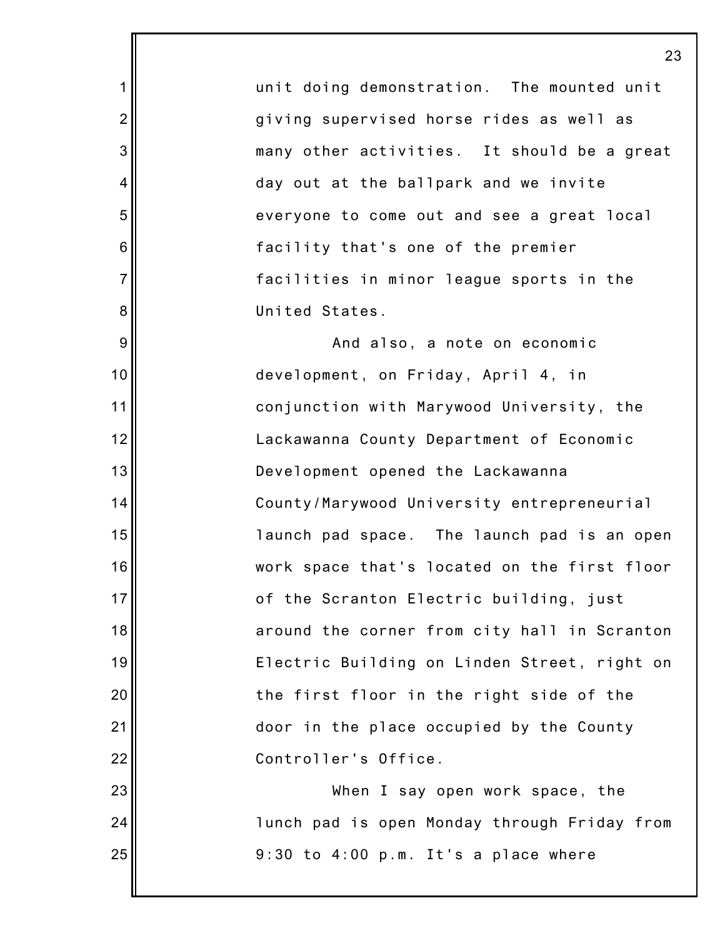unit doing demonstration. The mounted unit giving supervised horse rides as well as many other activities. It should be a great day out at the ballpark and we invite everyone to come out and see a great local facility that's one of the premier facilities in minor league sports in the United States.

1

2

3

4

5

6

7

8

9

10

11

12

13

14

15

16

17

18

19

20

21

22

23

24

25

And also, a note on economic development, on Friday, April 4, in conjunction with Marywood University, the Lackawanna County Department of Economic Development opened the Lackawanna County/Marywood University entrepreneurial launch pad space. The launch pad is an open work space that's located on the first floor of the Scranton Electric building, just around the corner from city hall in Scranton Electric Building on Linden Street, right on the first floor in the right side of the door in the place occupied by the County Controller's Office.

When I say open work space, the lunch pad is open Monday through Friday from 9:30 to 4:00 p.m. It's a place where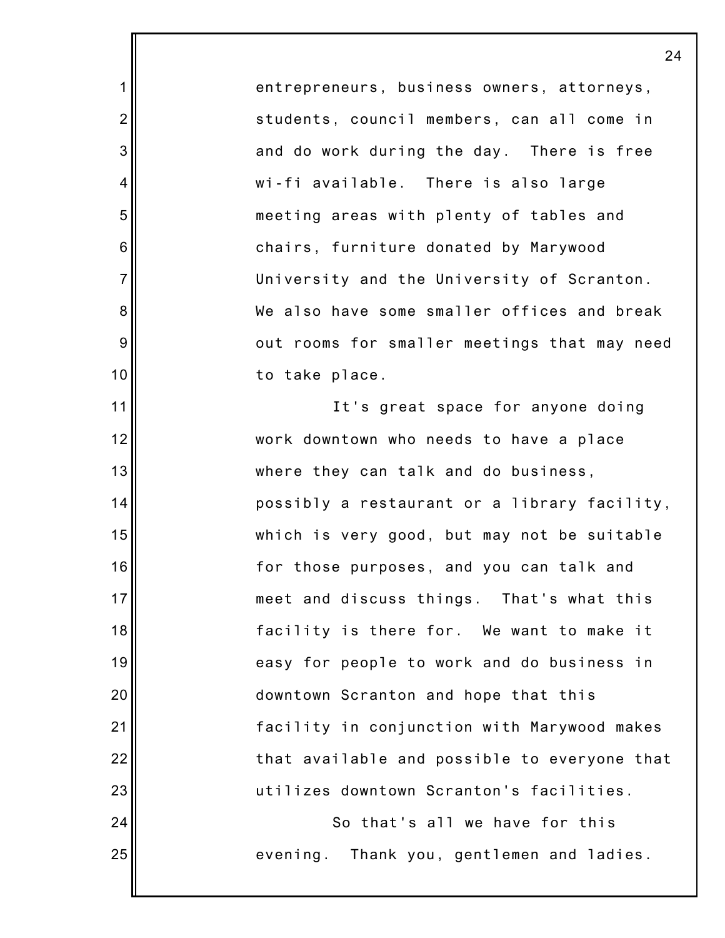entrepreneurs, business owners, attorneys, students, council members, can all come in and do work during the day. There is free wi-fi available. There is also large meeting areas with plenty of tables and chairs, furniture donated by Marywood University and the University of Scranton. We also have some smaller offices and break out rooms for smaller meetings that may need to take place.

1

2

3

4

5

6

7

8

9

10

11

12

13

14

15

16

17

18

19

20

21

22

23

24

25

It's great space for anyone doing work downtown who needs to have a place where they can talk and do business, possibly a restaurant or a library facility, which is very good, but may not be suitable for those purposes, and you can talk and meet and discuss things. That's what this facility is there for. We want to make it easy for people to work and do business in downtown Scranton and hope that this facility in conjunction with Marywood makes that available and possible to everyone that utilizes downtown Scranton's facilities.

> So that's all we have for this evening. Thank you, gentlemen and ladies.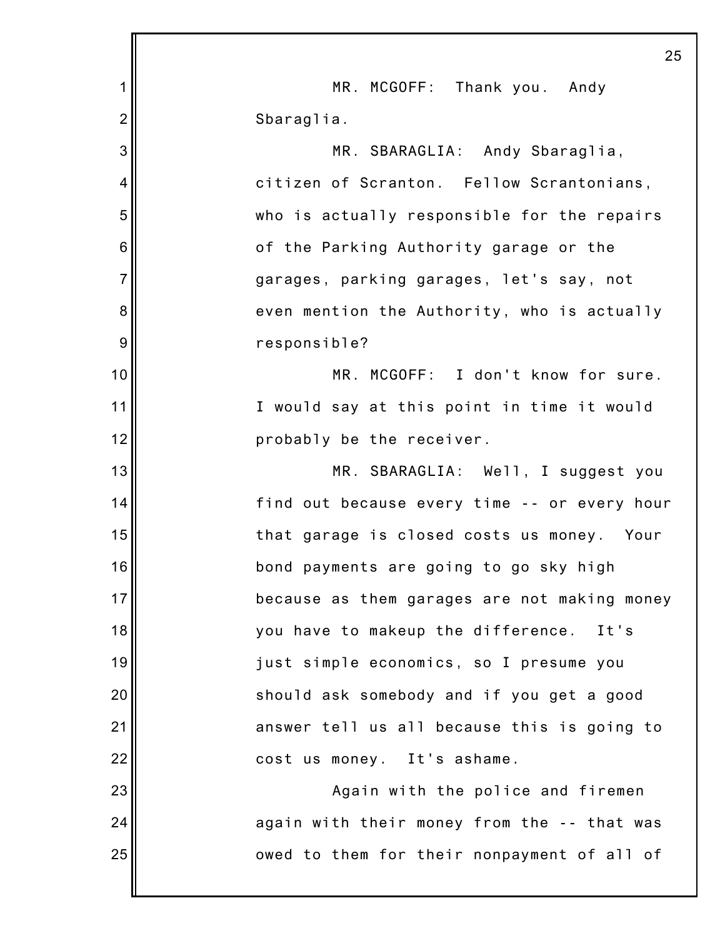|                | 25                                           |
|----------------|----------------------------------------------|
| 1              | MR. MCGOFF: Thank you. Andy                  |
| $\overline{2}$ | Sbaraglia.                                   |
| 3              | MR. SBARAGLIA: Andy Sbaraglia,               |
| 4              | citizen of Scranton. Fellow Scrantonians,    |
| 5              | who is actually responsible for the repairs  |
| 6              | of the Parking Authority garage or the       |
| $\overline{7}$ | garages, parking garages, let's say, not     |
| 8              | even mention the Authority, who is actually  |
| 9              | responsible?                                 |
| 10             | MR. MCGOFF: I don't know for sure.           |
| 11             | I would say at this point in time it would   |
| 12             | probably be the receiver.                    |
| 13             | MR. SBARAGLIA: Well, I suggest you           |
| 14             | find out because every time -- or every hour |
| 15             | that garage is closed costs us money. Your   |
| 16             | bond payments are going to go sky high       |
| 17             | because as them garages are not making money |
| 18             | you have to makeup the difference.<br>It's   |
| 19             | just simple economics, so I presume you      |
| 20             | should ask somebody and if you get a good    |
| 21             | answer tell us all because this is going to  |
| 22             | cost us money. It's ashame.                  |
| 23             | Again with the police and firemen            |
| 24             | again with their money from the -- that was  |
| 25             | owed to them for their nonpayment of all of  |
|                |                                              |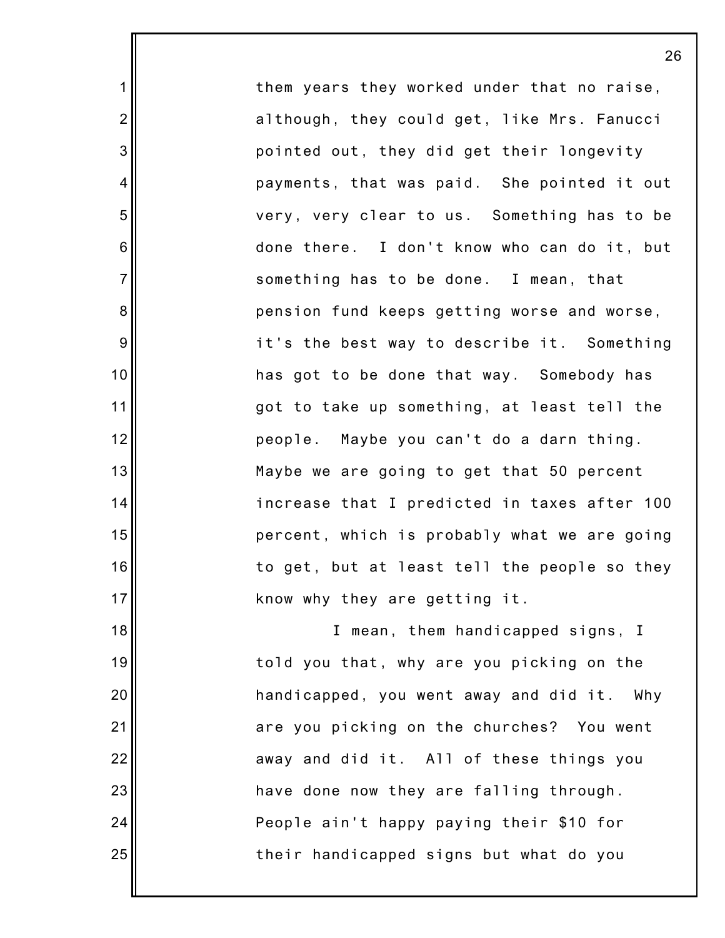them years they worked under that no raise, although, they could get, like Mrs. Fanucci pointed out, they did get their longevity payments, that was paid. She pointed it out very, very clear to us. Something has to be done there. I don't know who can do it, but something has to be done. I mean, that pension fund keeps getting worse and worse, it's the best way to describe it. Something has got to be done that way. Somebody has got to take up something, at least tell the people. Maybe you can't do a darn thing. Maybe we are going to get that 50 percent increase that I predicted in taxes after 100 percent, which is probably what we are going to get, but at least tell the people so they know why they are getting it.

1

2

3

4

5

6

7

8

9

10

11

12

13

14

15

16

17

18

19

20

21

22

23

24

25

I mean, them handicapped signs, I told you that, why are you picking on the handicapped, you went away and did it. Why are you picking on the churches? You went away and did it. All of these things you have done now they are falling through. People ain't happy paying their \$10 for their handicapped signs but what do you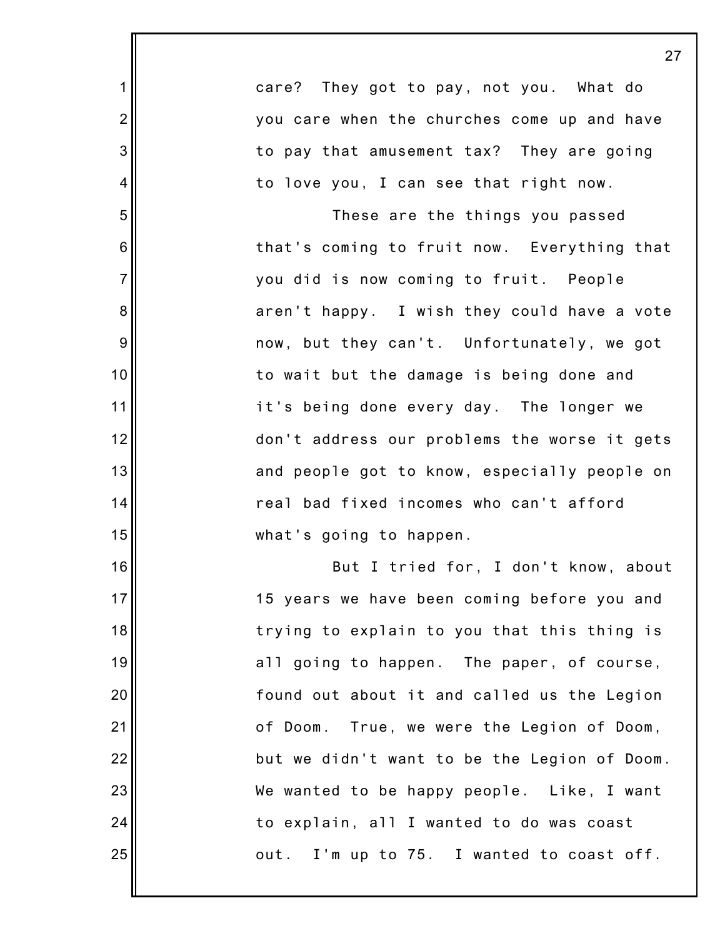|                  | 27                                           |
|------------------|----------------------------------------------|
| $\mathbf 1$      | care? They got to pay, not you. What do      |
| $\overline{c}$   | you care when the churches come up and have  |
| 3                | to pay that amusement tax? They are going    |
| 4                | to love you, I can see that right now.       |
| 5                | These are the things you passed              |
| $6\phantom{1}6$  | that's coming to fruit now. Everything that  |
| $\overline{7}$   | you did is now coming to fruit. People       |
| 8                | aren't happy. I wish they could have a vote  |
| $\boldsymbol{9}$ | now, but they can't. Unfortunately, we got   |
| 10               | to wait but the damage is being done and     |
| 11               | it's being done every day. The longer we     |
| 12               | don't address our problems the worse it gets |
| 13               | and people got to know, especially people on |
| 14               | real bad fixed incomes who can't afford      |
| 15               | what's going to happen.                      |
| 16               | But I tried for, I don't know, about         |
| 17               | 15 years we have been coming before you and  |
| 18               | trying to explain to you that this thing is  |
| 19               | all going to happen. The paper, of course,   |
| 20               | found out about it and called us the Legion  |
| 21               | of Doom. True, we were the Legion of Doom,   |
| 22               | but we didn't want to be the Legion of Doom. |
| 23               | We wanted to be happy people. Like, I want   |
| 24               | to explain, all I wanted to do was coast     |
| 25               | out. I'm up to 75. I wanted to coast off.    |
|                  |                                              |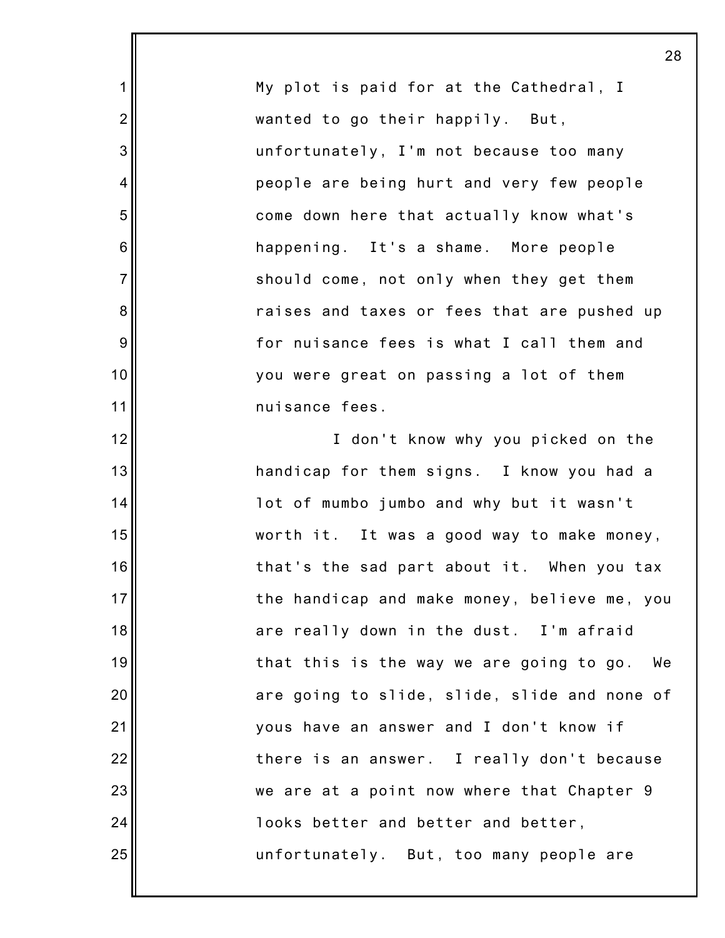My plot is paid for at the Cathedral, I wanted to go their happily. But, unfortunately, I'm not because too many people are being hurt and very few people come down here that actually know what's happening. It's a shame. More people should come, not only when they get them raises and taxes or fees that are pushed up for nuisance fees is what I call them and you were great on passing a lot of them nuisance fees.

1

2

3

4

5

6

7

8

9

10

11

12

13

14

15

16

17

18

19

20

21

22

23

24

25

I don't know why you picked on the handicap for them signs. I know you had a lot of mumbo jumbo and why but it wasn't worth it. It was a good way to make money, that's the sad part about it. When you tax the handicap and make money, believe me, you are really down in the dust. I'm afraid that this is the way we are going to go. We are going to slide, slide, slide and none of yous have an answer and I don't know if there is an answer. I really don't because we are at a point now where that Chapter 9 looks better and better and better, unfortunately. But, too many people are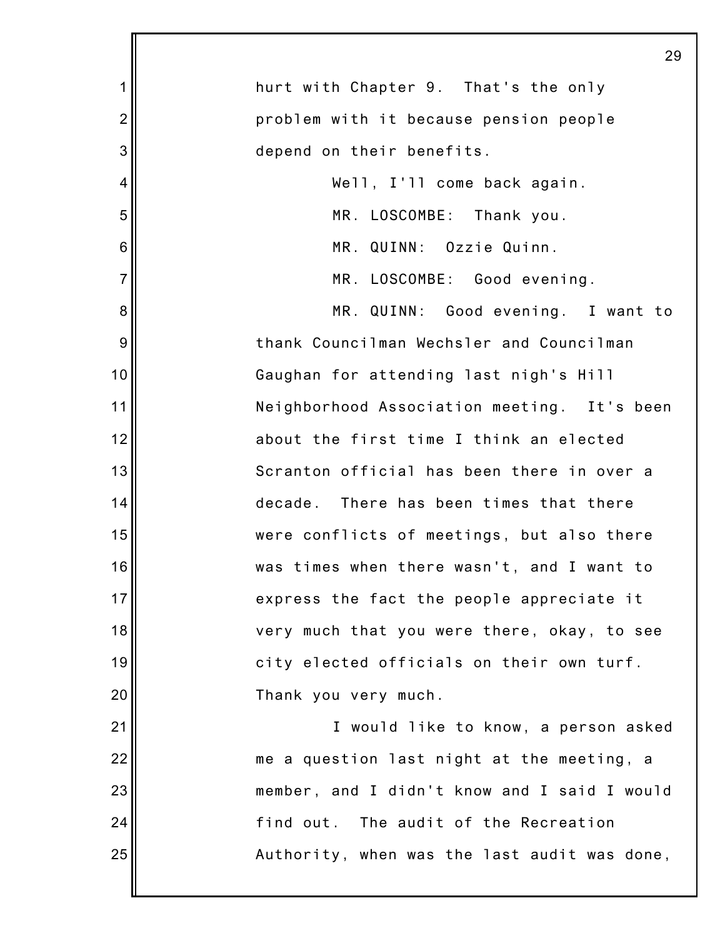|                | 29                                           |
|----------------|----------------------------------------------|
| 1              | hurt with Chapter 9. That's the only         |
| $\overline{2}$ | problem with it because pension people       |
| 3              | depend on their benefits.                    |
| 4              | Well, I'll come back again.                  |
| 5              | MR. LOSCOMBE: Thank you.                     |
| 6              | MR. QUINN: Ozzie Quinn.                      |
| $\overline{7}$ | MR. LOSCOMBE: Good evening.                  |
| 8              | MR. QUINN: Good evening. I want to           |
| 9              | thank Councilman Wechsler and Councilman     |
| 10             | Gaughan for attending last nigh's Hill       |
| 11             | Neighborhood Association meeting. It's been  |
| 12             | about the first time I think an elected      |
| 13             | Scranton official has been there in over a   |
| 14             | decade. There has been times that there      |
| 15             | were conflicts of meetings, but also there   |
| 16             | was times when there wasn't, and I want to   |
| 17             | express the fact the people appreciate it    |
| 18             | very much that you were there, okay, to see  |
| 19             | city elected officials on their own turf.    |
| 20             | Thank you very much.                         |
| 21             | I would like to know, a person asked         |
| 22             | me a question last night at the meeting, a   |
| 23             | member, and I didn't know and I said I would |
| 24             | find out. The audit of the Recreation        |
| 25             | Authority, when was the last audit was done, |
|                |                                              |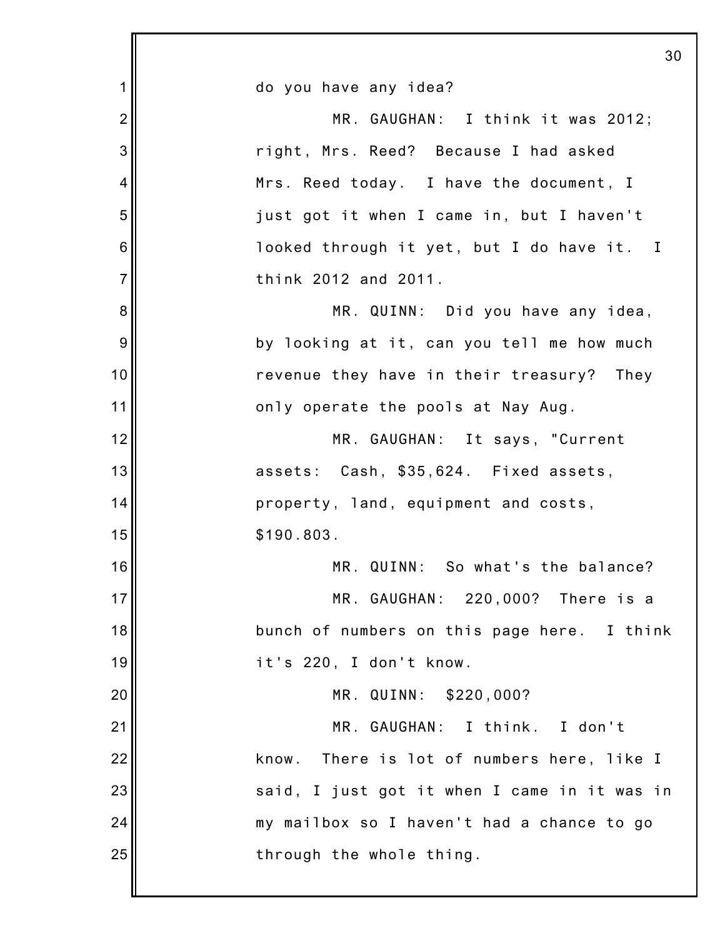|                | 30                                            |
|----------------|-----------------------------------------------|
| 1              | do you have any idea?                         |
| $\overline{2}$ | MR. GAUGHAN: I think it was 2012;             |
| 3              | right, Mrs. Reed? Because I had asked         |
| 4              | Mrs. Reed today. I have the document, I       |
| 5              | just got it when I came in, but I haven't     |
| 6              | looked through it yet, but I do have it. I    |
| $\overline{7}$ | think 2012 and 2011.                          |
| 8              | MR. QUINN: Did you have any idea,             |
| 9              | by looking at it, can you tell me how much    |
| 10             | revenue they have in their treasury? They     |
| 11             | only operate the pools at Nay Aug.            |
| 12             | MR. GAUGHAN: It says, "Current                |
| 13             | assets: Cash, \$35,624. Fixed assets,         |
| 14             | property, land, equipment and costs,          |
| 15             | \$190.803.                                    |
| 16             | MR. QUINN: So what's the balance?             |
| 17             | MR. GAUGHAN: 220,000? There is a              |
| 18             | bunch of numbers on this page here. I think   |
| 19             | it's 220, I don't know.                       |
| 20             | MR. QUINN: \$220,000?                         |
| 21             | MR. GAUGHAN: I think. I don't                 |
| 22             | There is lot of numbers here, like I<br>know. |
| 23             | said, I just got it when I came in it was in  |
| 24             | my mailbox so I haven't had a chance to go    |
| 25             | through the whole thing.                      |
|                |                                               |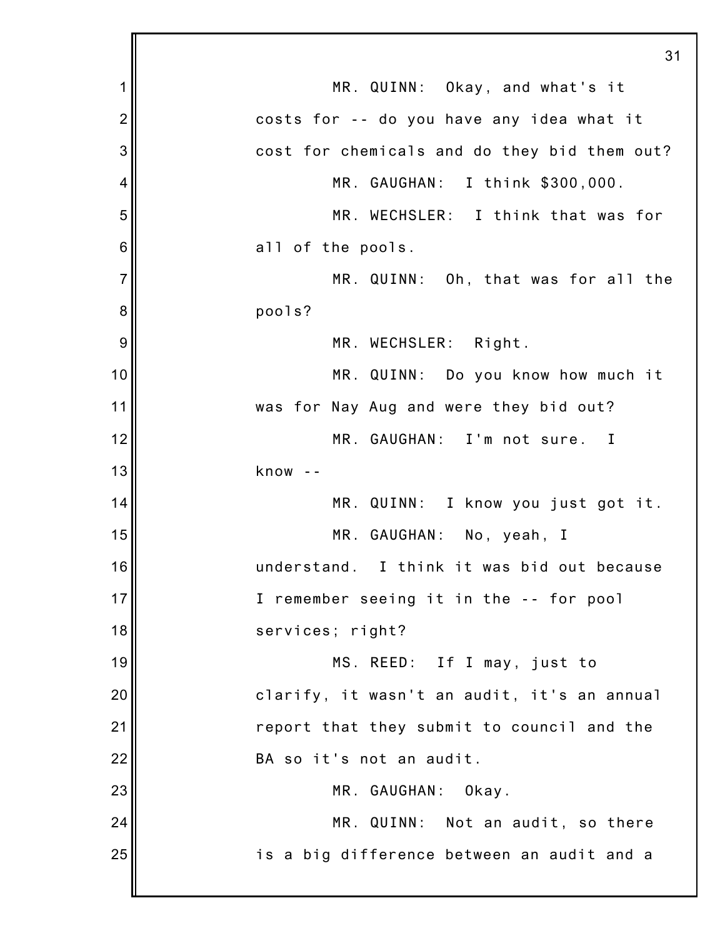|                | 31                                           |
|----------------|----------------------------------------------|
| 1              | MR. QUINN: Okay, and what's it               |
| $\overline{2}$ | costs for -- do you have any idea what it    |
| 3              | cost for chemicals and do they bid them out? |
| 4              | MR. GAUGHAN: I think \$300,000.              |
| 5              | MR. WECHSLER: I think that was for           |
| 6              | all of the pools.                            |
| $\overline{7}$ | MR. QUINN: Oh, that was for all the          |
| 8              | pools?                                       |
| 9              | MR. WECHSLER: Right.                         |
| 10             | MR. QUINN: Do you know how much it           |
| 11             | was for Nay Aug and were they bid out?       |
| 12             | MR. GAUGHAN: I'm not sure. I                 |
| 13             | know                                         |
| 14             | MR. QUINN: I know you just got it.           |
| 15             | MR. GAUGHAN: No, yeah, I                     |
| 16             | understand. I think it was bid out because   |
| 17             | I remember seeing it in the -- for pool      |
| 18             | services; right?                             |
| 19             | MS. REED: If I may, just to                  |
| 20             | clarify, it wasn't an audit, it's an annual  |
| 21             | report that they submit to council and the   |
| 22             | BA so it's not an audit.                     |
| 23             | MR. GAUGHAN:<br>Okay.                        |
| 24             | MR. QUINN: Not an audit, so there            |
| 25             | is a big difference between an audit and a   |
|                |                                              |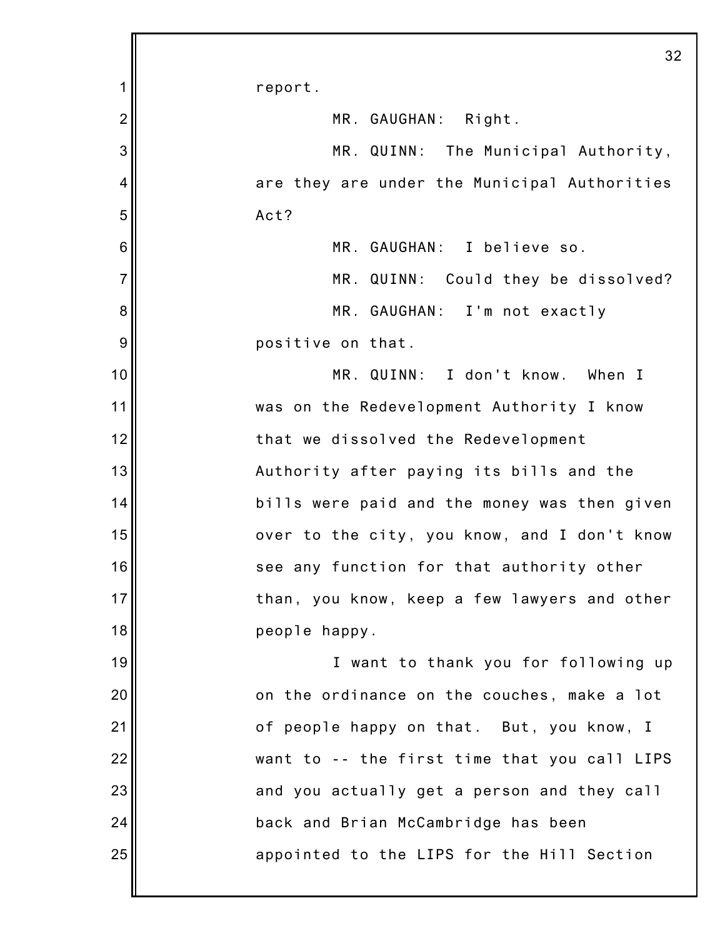|                | 32                                           |
|----------------|----------------------------------------------|
| 1              | report.                                      |
| $\overline{2}$ | MR. GAUGHAN: Right.                          |
| 3              | MR. QUINN: The Municipal Authority,          |
| 4              | are they are under the Municipal Authorities |
| 5              | Act?                                         |
| 6              | MR. GAUGHAN: I believe so.                   |
| $\overline{7}$ | MR. QUINN: Could they be dissolved?          |
| 8              | MR. GAUGHAN: I'm not exactly                 |
| 9              | positive on that.                            |
| 10             | MR. QUINN: I don't know. When I              |
| 11             | was on the Redevelopment Authority I know    |
| 12             | that we dissolved the Redevelopment          |
| 13             | Authority after paying its bills and the     |
| 14             | bills were paid and the money was then given |
| 15             | over to the city, you know, and I don't know |
| 16             | see any function for that authority other    |
| 17             | than, you know, keep a few lawyers and other |
| 18             | people happy.                                |
| 19             | I want to thank you for following up         |
| 20             | on the ordinance on the couches, make a lot  |
| 21             | of people happy on that. But, you know, I    |
| 22             | want to -- the first time that you call LIPS |
| 23             | and you actually get a person and they call  |
| 24             | back and Brian McCambridge has been          |
| 25             | appointed to the LIPS for the Hill Section   |
|                |                                              |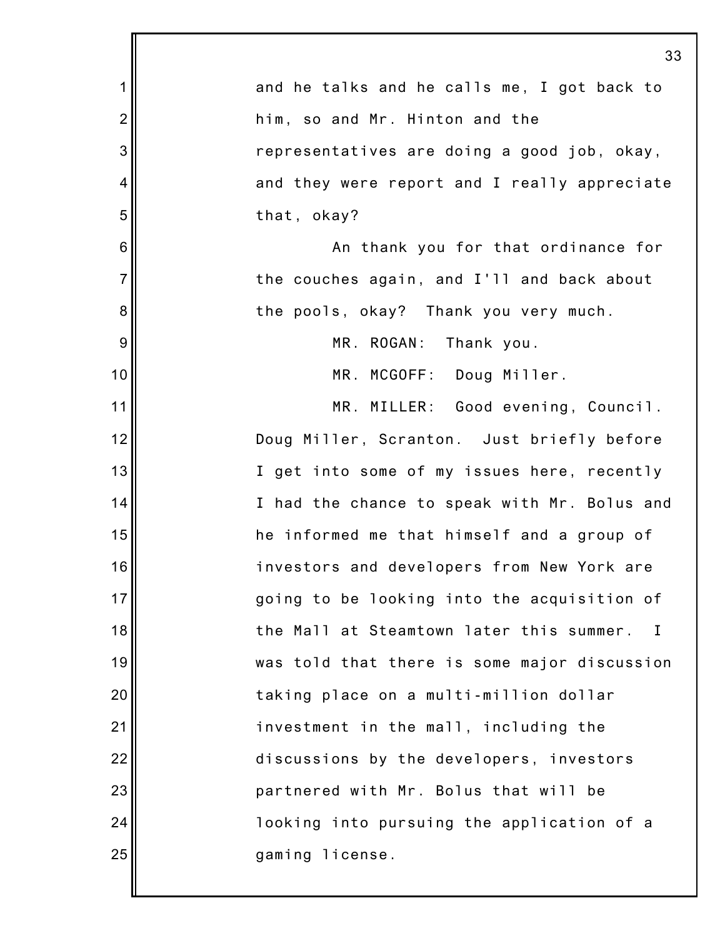|                | 33                                                       |
|----------------|----------------------------------------------------------|
| 1              | and he talks and he calls me, I got back to              |
| $\overline{2}$ | him, so and Mr. Hinton and the                           |
| 3              | representatives are doing a good job, okay,              |
| 4              | and they were report and I really appreciate             |
| 5              | that, okay?                                              |
| 6              | An thank you for that ordinance for                      |
| $\overline{7}$ | the couches again, and I'll and back about               |
| 8              | the pools, okay? Thank you very much.                    |
| 9              | MR. ROGAN:<br>Thank you.                                 |
| 10             | MR. MCGOFF: Doug Miller.                                 |
| 11             | MR. MILLER: Good evening, Council.                       |
| 12             | Doug Miller, Scranton. Just briefly before               |
| 13             | I get into some of my issues here, recently              |
| 14             | I had the chance to speak with Mr. Bolus and             |
| 15             | he informed me that himself and a group of               |
| 16             | investors and developers from New York are               |
| 17             | going to be looking into the acquisition of              |
| 18             | the Mall at Steamtown later this summer.<br>$\mathbf{I}$ |
| 19             | was told that there is some major discussion             |
| 20             | taking place on a multi-million dollar                   |
| 21             | investment in the mall, including the                    |
| 22             | discussions by the developers, investors                 |
| 23             | partnered with Mr. Bolus that will be                    |
| 24             | looking into pursuing the application of a               |
| 25             | gaming license.                                          |
|                |                                                          |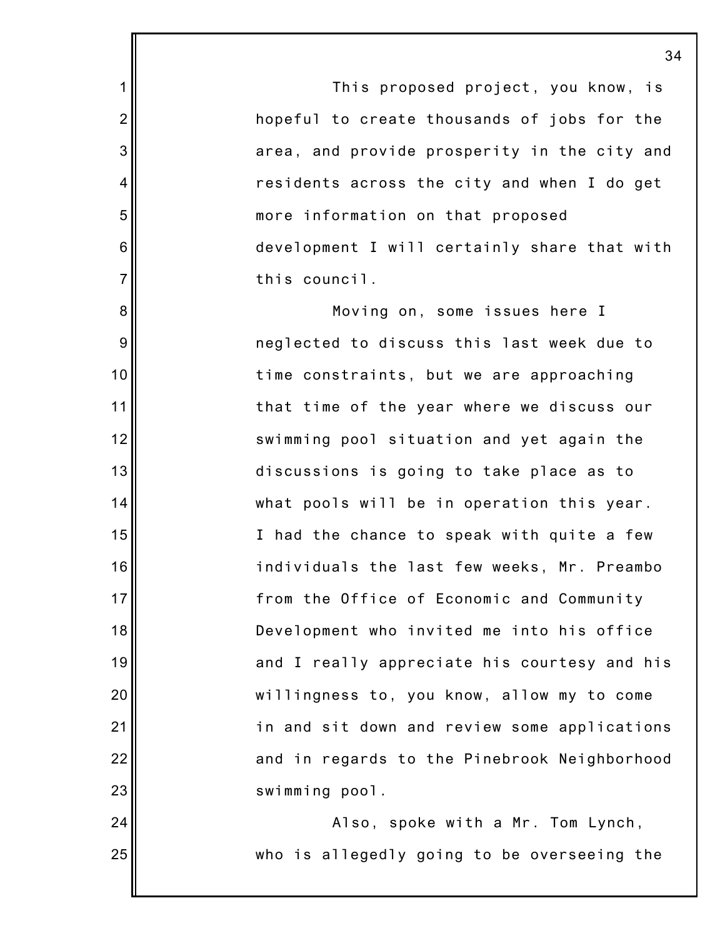This proposed project, you know, is hopeful to create thousands of jobs for the area, and provide prosperity in the city and residents across the city and when I do get more information on that proposed development I will certainly share that with this council.

1

2

3

4

5

6

7

8

9

10

11

12

13

14

15

16

17

18

19

20

21

22

23

24

25

Moving on, some issues here I neglected to discuss this last week due to time constraints, but we are approaching that time of the year where we discuss our swimming pool situation and yet again the discussions is going to take place as to what pools will be in operation this year. I had the chance to speak with quite a few individuals the last few weeks, Mr. Preambo from the Office of Economic and Community Development who invited me into his office and I really appreciate his courtesy and his willingness to, you know, allow my to come in and sit down and review some applications and in regards to the Pinebrook Neighborhood swimming pool.

Also, spoke with a Mr. Tom Lynch, who is allegedly going to be overseeing the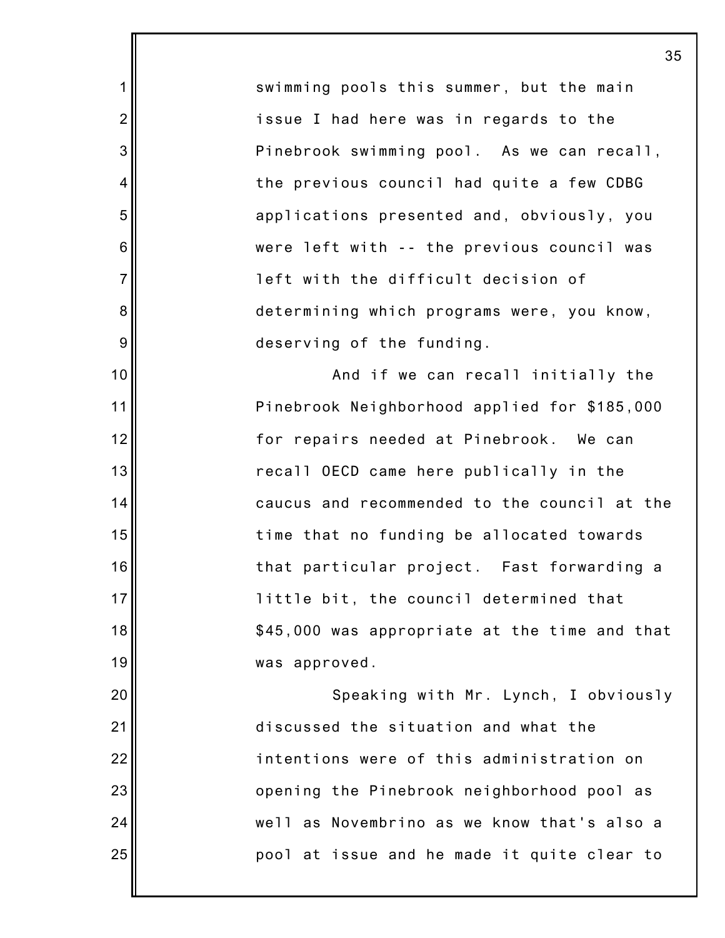swimming pools this summer, but the main issue I had here was in regards to the Pinebrook swimming pool. As we can recall, the previous council had quite a few CDBG applications presented and, obviously, you were left with -- the previous council was left with the difficult decision of determining which programs were, you know, deserving of the funding.

1

2

3

4

5

6

7

8

9

10

11

12

13

14

15

16

17

18

19

20

21

22

23

24

25

And if we can recall initially the Pinebrook Neighborhood applied for \$185,000 for repairs needed at Pinebrook. We can recall OECD came here publically in the caucus and recommended to the council at the time that no funding be allocated towards that particular project. Fast forwarding a little bit, the council determined that \$45,000 was appropriate at the time and that was approved.

Speaking with Mr. Lynch, I obviously discussed the situation and what the intentions were of this administration on opening the Pinebrook neighborhood pool as well as Novembrino as we know that's also a pool at issue and he made it quite clear to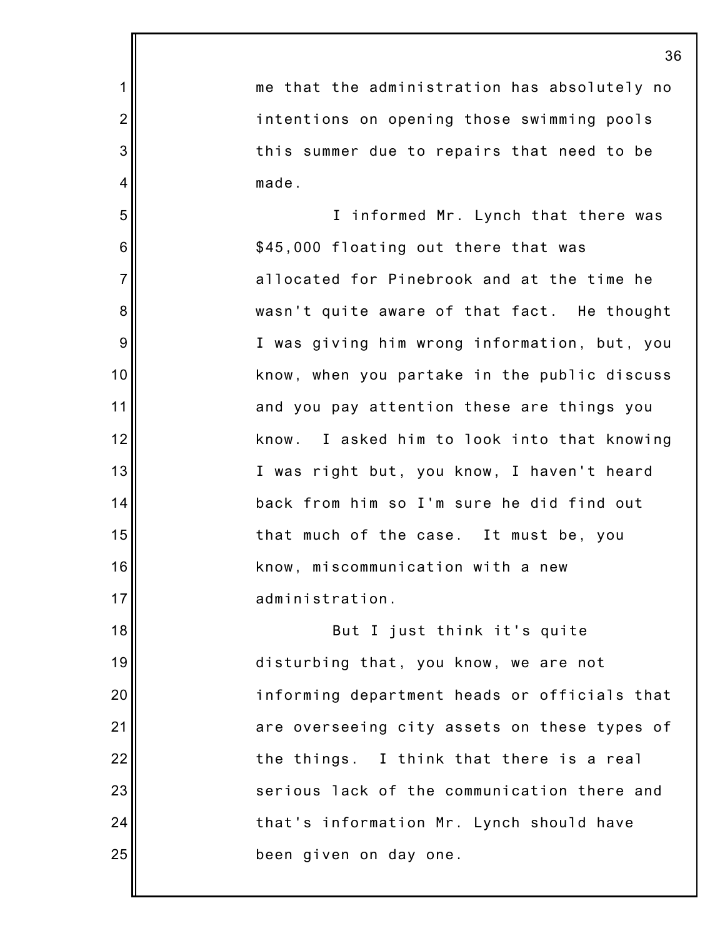1 2 3 4 5 6 7 8 9 10 11 12 13 14 15 16 17 18 19 20 21 22 23 24 25 36 me that the administration has absolutely no intentions on opening those swimming pools this summer due to repairs that need to be made. I informed Mr. Lynch that there was \$45,000 floating out there that was allocated for Pinebrook and at the time he wasn't quite aware of that fact. He thought I was giving him wrong information, but, you know, when you partake in the public discuss and you pay attention these are things you know. I asked him to look into that knowing I was right but, you know, I haven't heard back from him so I'm sure he did find out that much of the case. It must be, you know, miscommunication with a new administration. But I just think it's quite disturbing that, you know, we are not informing department heads or officials that are overseeing city assets on these types of the things. I think that there is a real serious lack of the communication there and that's information Mr. Lynch should have been given on day one.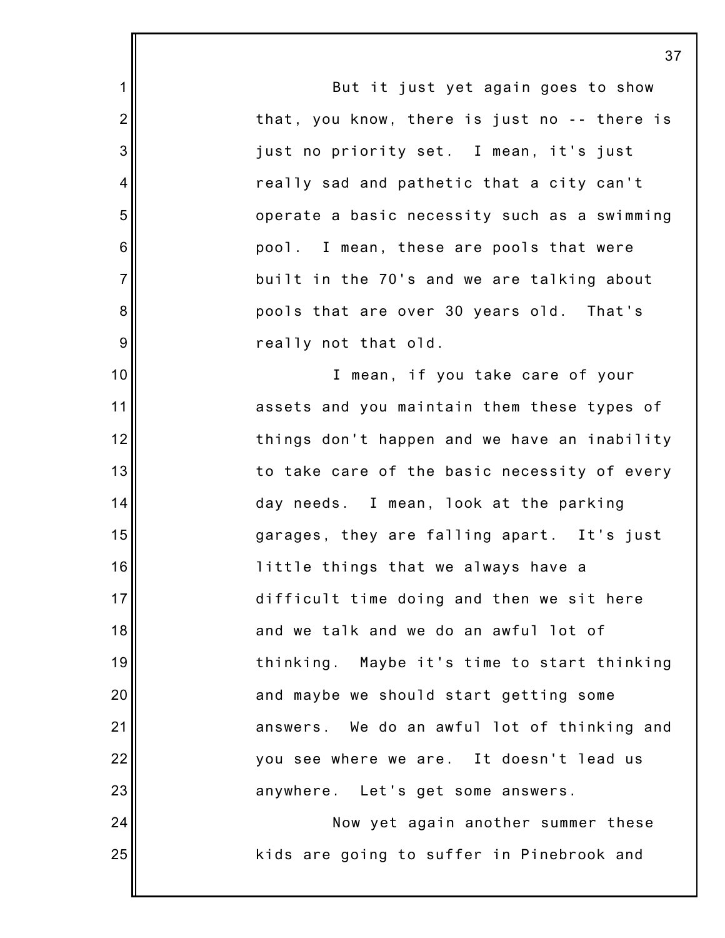1 2 3 4 5 6 7 8 9 10 11 12 13 14 15 16 17 18 19 20 21 22 23 24 25 37 But it just yet again goes to show that, you know, there is just no -- there is just no priority set. I mean, it's just really sad and pathetic that a city can't operate a basic necessity such as a swimming pool. I mean, these are pools that were built in the 70's and we are talking about pools that are over 30 years old. That's really not that old. I mean, if you take care of your assets and you maintain them these types of things don't happen and we have an inability to take care of the basic necessity of every day needs. I mean, look at the parking garages, they are falling apart. It's just little things that we always have a difficult time doing and then we sit here and we talk and we do an awful lot of thinking. Maybe it's time to start thinking and maybe we should start getting some answers. We do an awful lot of thinking and you see where we are. It doesn't lead us anywhere. Let's get some answers. Now yet again another summer these kids are going to suffer in Pinebrook and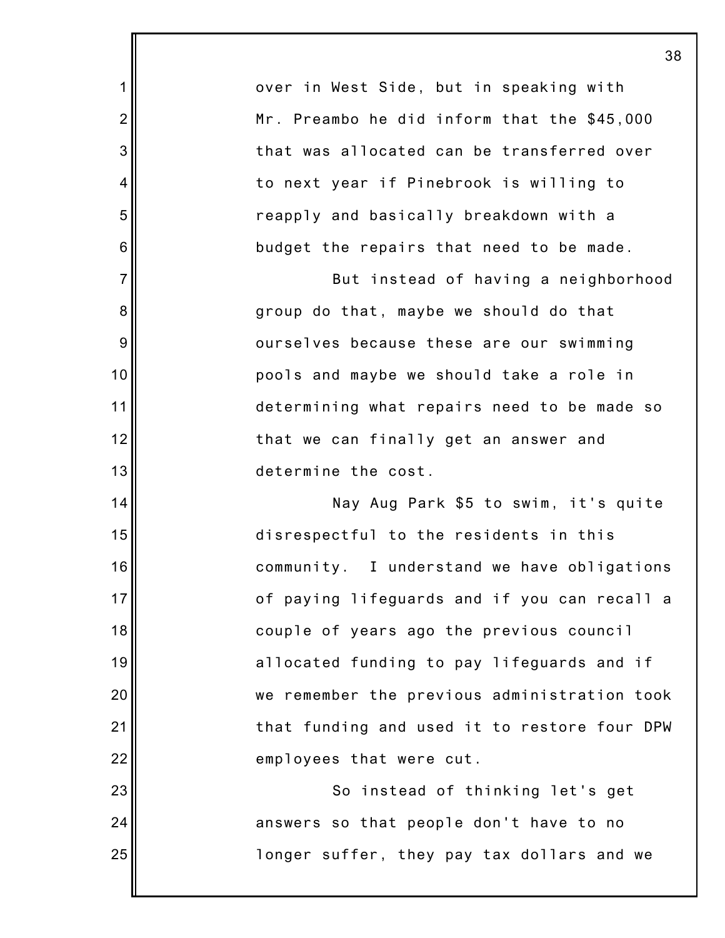|                | 38                                           |
|----------------|----------------------------------------------|
| 1              | over in West Side, but in speaking with      |
| $\overline{2}$ | Mr. Preambo he did inform that the \$45,000  |
| 3              | that was allocated can be transferred over   |
| $\overline{4}$ | to next year if Pinebrook is willing to      |
| 5              | reapply and basically breakdown with a       |
| 6              | budget the repairs that need to be made.     |
| $\overline{7}$ | But instead of having a neighborhood         |
| 8              | group do that, maybe we should do that       |
| 9              | ourselves because these are our swimming     |
| 10             | pools and maybe we should take a role in     |
| 11             | determining what repairs need to be made so  |
| 12             | that we can finally get an answer and        |
| 13             | determine the cost.                          |
| 14             | Nay Aug Park \$5 to swim, it's quite         |
| 15             | disrespectful to the residents in this       |
| 16             | community. I understand we have obligations  |
| 17             | of paying lifeguards and if you can recall a |
| 18             | couple of years ago the previous council     |
| 19             | allocated funding to pay lifeguards and if   |
| 20             | we remember the previous administration took |
| 21             | that funding and used it to restore four DPW |
| 22             | employees that were cut.                     |
| 23             | So instead of thinking let's get             |
| 24             | answers so that people don't have to no      |
| 25             | longer suffer, they pay tax dollars and we   |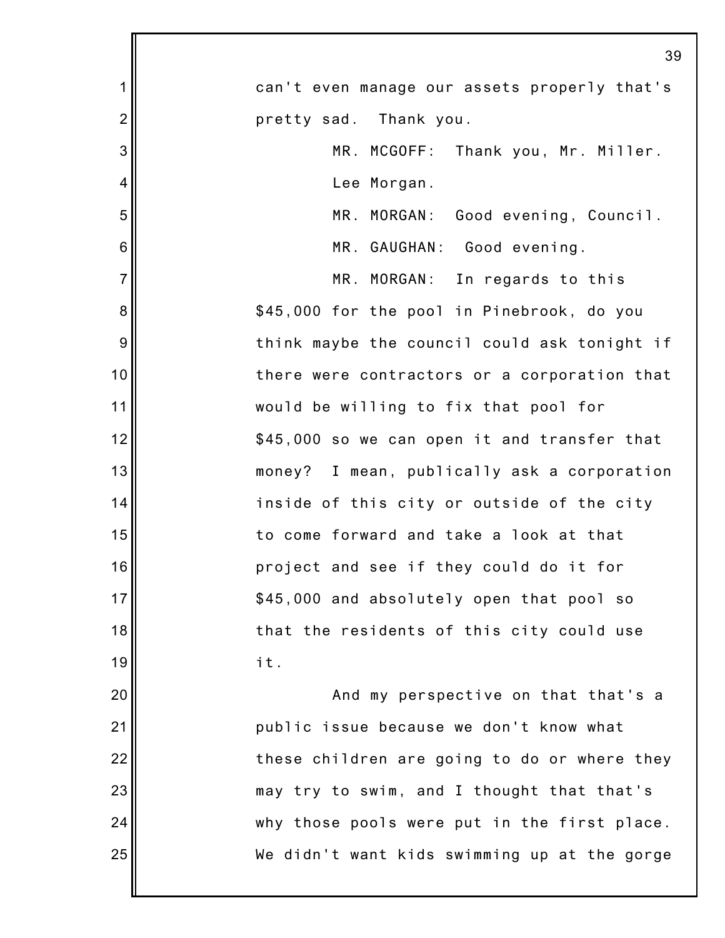|                 | 39                                           |
|-----------------|----------------------------------------------|
| 1               | can't even manage our assets properly that's |
| $\overline{c}$  | pretty sad. Thank you.                       |
| 3               | MR. MCGOFF: Thank you, Mr. Miller.           |
| 4               | Lee Morgan.                                  |
| 5               | MR. MORGAN: Good evening, Council.           |
| $6\phantom{1}6$ | MR. GAUGHAN: Good evening.                   |
| $\overline{7}$  | MR. MORGAN: In regards to this               |
| 8               | \$45,000 for the pool in Pinebrook, do you   |
| 9               | think maybe the council could ask tonight if |
| 10              | there were contractors or a corporation that |
| 11              | would be willing to fix that pool for        |
| 12              | \$45,000 so we can open it and transfer that |
| 13              | money? I mean, publically ask a corporation  |
| 14              | inside of this city or outside of the city   |
| 15              | to come forward and take a look at that      |
| 16              | project and see if they could do it for      |
| 17              | \$45,000 and absolutely open that pool so    |
| 18              | that the residents of this city could use    |
| 19              | it.                                          |
| 20              | And my perspective on that that's a          |
| 21              | public issue because we don't know what      |
| 22              | these children are going to do or where they |
| 23              | may try to swim, and I thought that that's   |
| 24              | why those pools were put in the first place. |
| 25              | We didn't want kids swimming up at the gorge |
|                 |                                              |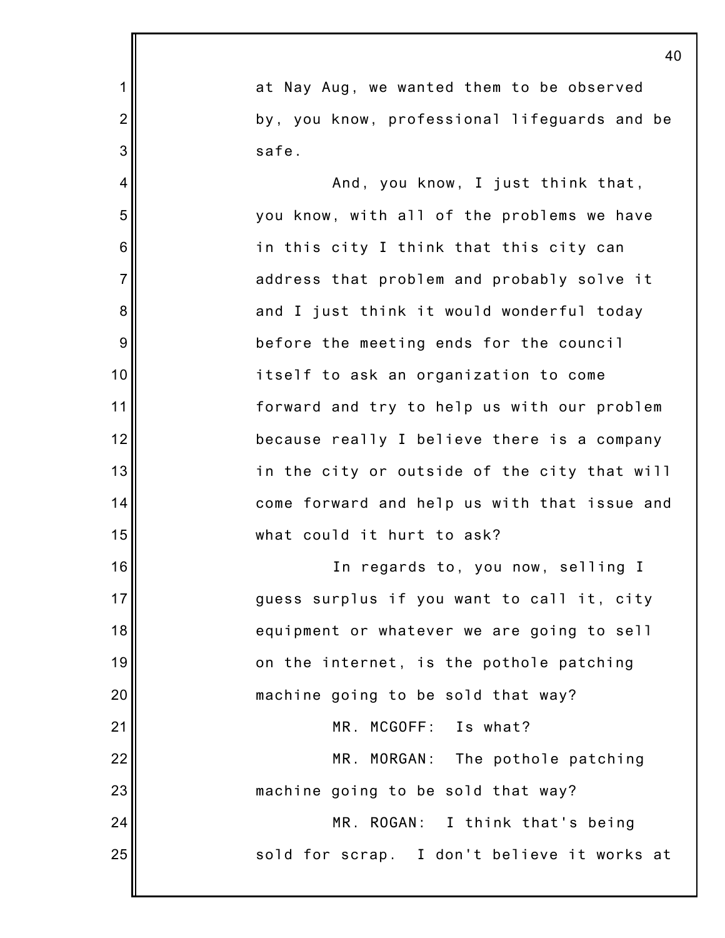|                | 40                                           |
|----------------|----------------------------------------------|
| 1              | at Nay Aug, we wanted them to be observed    |
| $\overline{2}$ | by, you know, professional lifeguards and be |
| 3              | safe.                                        |
| 4              | And, you know, I just think that,            |
| 5              | you know, with all of the problems we have   |
| 6              | in this city I think that this city can      |
| $\overline{7}$ | address that problem and probably solve it   |
| 8              | and I just think it would wonderful today    |
| 9              | before the meeting ends for the council      |
| 10             | itself to ask an organization to come        |
| 11             | forward and try to help us with our problem  |
| 12             | because really I believe there is a company  |
| 13             | in the city or outside of the city that will |
| 14             | come forward and help us with that issue and |
| 15             | what could it hurt to ask?                   |
| 16             | In regards to, you now, selling I            |
| 17             | guess surplus if you want to call it, city   |
| 18             | equipment or whatever we are going to sell   |
| 19             | on the internet, is the pothole patching     |
| 20             | machine going to be sold that way?           |
| 21             | MR. MCGOFF: Is what?                         |
| 22             | MR. MORGAN: The pothole patching             |
| 23             | machine going to be sold that way?           |
| 24             | MR. ROGAN: I think that's being              |
| 25             | sold for scrap. I don't believe it works at  |
|                |                                              |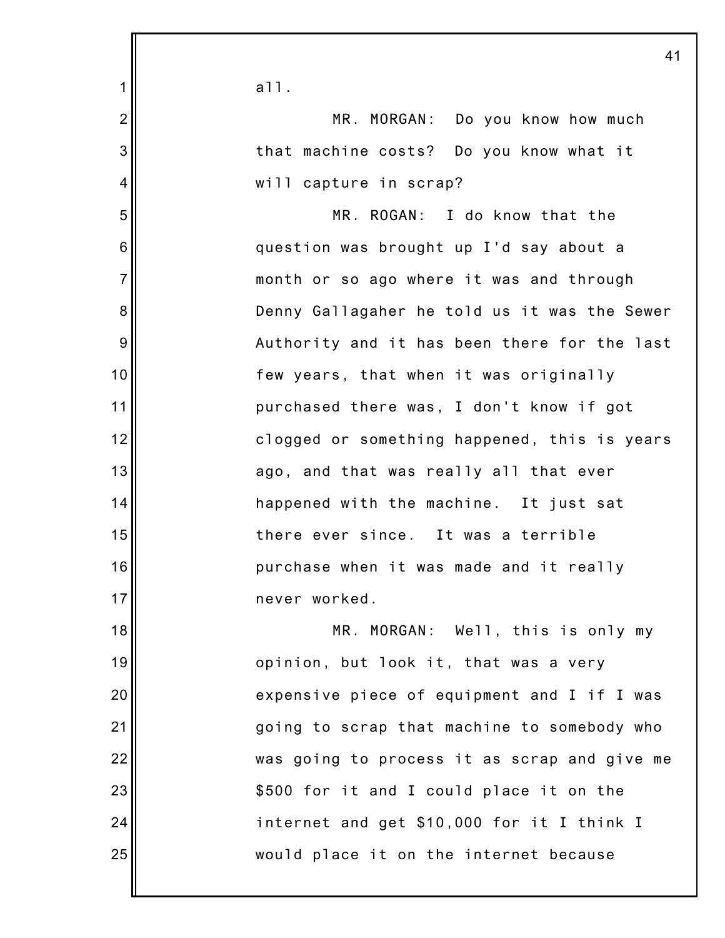|                | 41                                           |
|----------------|----------------------------------------------|
| 1              | a11.                                         |
| $\overline{2}$ | MR. MORGAN: Do you know how much             |
| 3              | that machine costs? Do you know what it      |
| $\overline{4}$ | will capture in scrap?                       |
| 5              | MR. ROGAN: I do know that the                |
| 6              | question was brought up I'd say about a      |
| $\overline{7}$ | month or so ago where it was and through     |
| 8              | Denny Gallagaher he told us it was the Sewer |
| 9              | Authority and it has been there for the last |
| 10             | few years, that when it was originally       |
| 11             | purchased there was, I don't know if got     |
| 12             | clogged or something happened, this is years |
| 13             | ago, and that was really all that ever       |
| 14             | happened with the machine. It just sat       |
| 15             | there ever since. It was a terrible          |
| 16             | purchase when it was made and it really      |
| 17             | never worked.                                |
| 18             | MR. MORGAN: Well, this is only my            |
| 19             | opinion, but look it, that was a very        |
| 20             | expensive piece of equipment and I if I was  |
| 21             | going to scrap that machine to somebody who  |
| 22             | was going to process it as scrap and give me |
| 23             | \$500 for it and I could place it on the     |
| 24             | internet and get \$10,000 for it I think I   |
| 25             | would place it on the internet because       |
|                |                                              |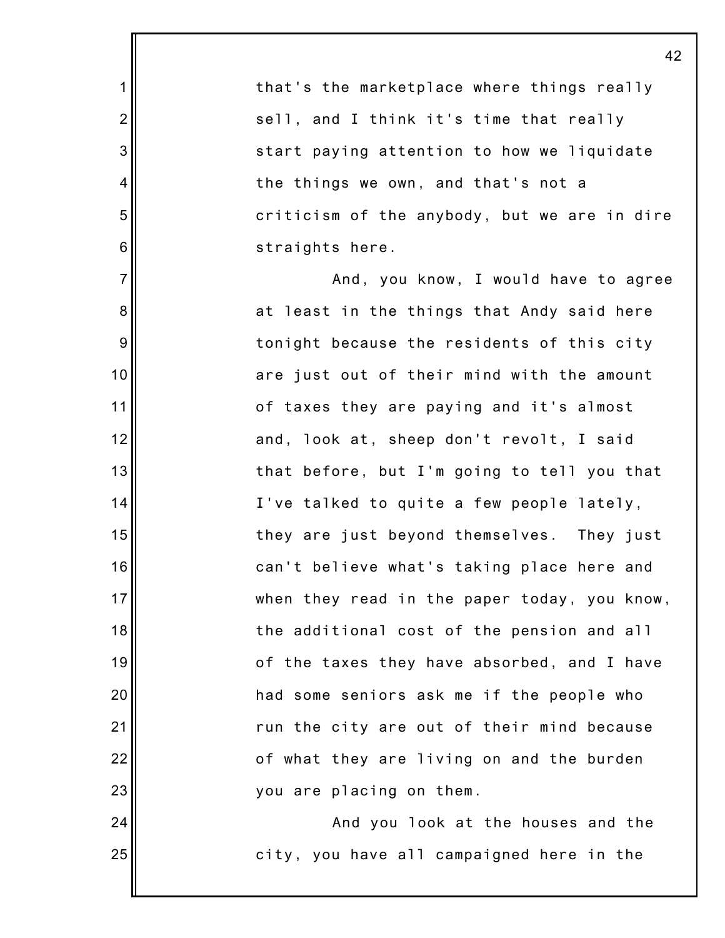that's the marketplace where things really sell, and I think it's time that really start paying attention to how we liquidate the things we own, and that's not a criticism of the anybody, but we are in dire straights here. And, you know, I would have to agree at least in the things that Andy said here tonight because the residents of this city are just out of their mind with the amount of taxes they are paying and it's almost

1

2

3

4

5

6

7

8

9

10

11

12

13

14

15

16

17

18

19

20

21

22

23

24

25

and, look at, sheep don't revolt, I said that before, but I'm going to tell you that I've talked to quite a few people lately, they are just beyond themselves. They just can't believe what's taking place here and when they read in the paper today, you know, the additional cost of the pension and all of the taxes they have absorbed, and I have had some seniors ask me if the people who run the city are out of their mind because of what they are living on and the burden you are placing on them.

And you look at the houses and the city, you have all campaigned here in the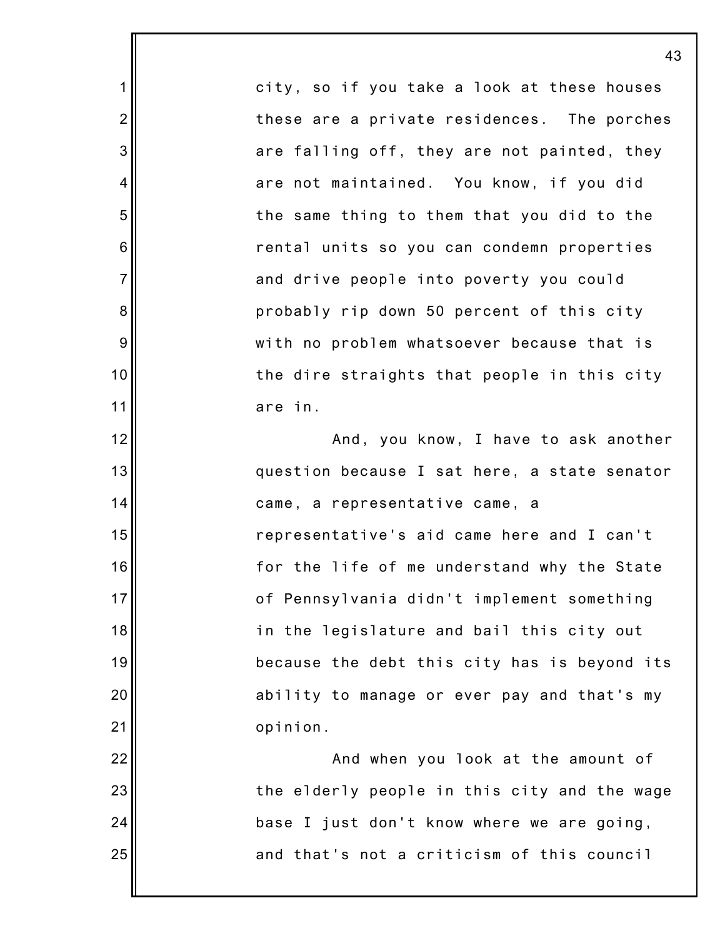city, so if you take a look at these houses these are a private residences. The porches are falling off, they are not painted, they are not maintained. You know, if you did the same thing to them that you did to the rental units so you can condemn properties and drive people into poverty you could probably rip down 50 percent of this city with no problem whatsoever because that is the dire straights that people in this city are in.

1

2

3

4

5

6

7

8

9

10

11

12

13

14

15

16

17

18

19

20

21

And, you know, I have to ask another question because I sat here, a state senator came, a representative came, a representative's aid came here and I can't for the life of me understand why the State of Pennsylvania didn't implement something in the legislature and bail this city out because the debt this city has is beyond its ability to manage or ever pay and that's my opinion.

22 23 24 25 And when you look at the amount of the elderly people in this city and the wage base I just don't know where we are going, and that's not a criticism of this council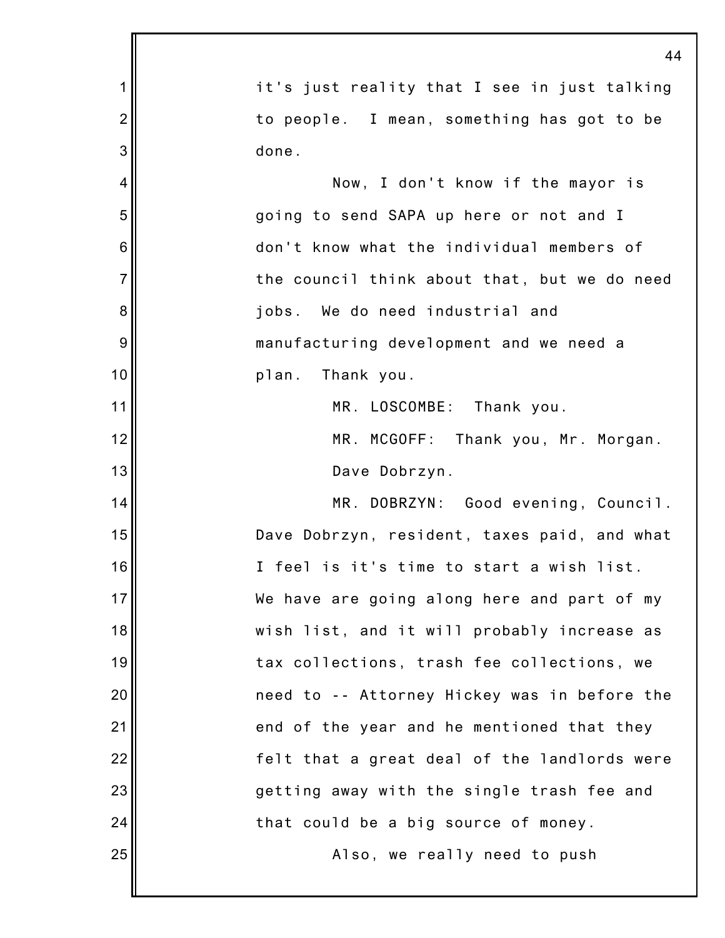|                | 44                                           |
|----------------|----------------------------------------------|
| 1              | it's just reality that I see in just talking |
| $\overline{2}$ | to people. I mean, something has got to be   |
| 3              | done.                                        |
| 4              | Now, I don't know if the mayor is            |
| 5              | going to send SAPA up here or not and I      |
| 6              | don't know what the individual members of    |
| $\overline{7}$ | the council think about that, but we do need |
| 8              | jobs. We do need industrial and              |
| 9              | manufacturing development and we need a      |
| 10             | plan. Thank you.                             |
| 11             | MR. LOSCOMBE: Thank you.                     |
| 12             | MR. MCGOFF: Thank you, Mr. Morgan.           |
| 13             | Dave Dobrzyn.                                |
| 14             | MR. DOBRZYN: Good evening, Council.          |
| 15             | Dave Dobrzyn, resident, taxes paid, and what |
| 16             | I feel is it's time to start a wish list.    |
| 17             | We have are going along here and part of my  |
| 18             | wish list, and it will probably increase as  |
| 19             | tax collections, trash fee collections, we   |
| 20             | need to -- Attorney Hickey was in before the |
| 21             | end of the year and he mentioned that they   |
| 22             | felt that a great deal of the landlords were |
| 23             | getting away with the single trash fee and   |
| 24             | that could be a big source of money.         |
| 25             | Also, we really need to push                 |
|                |                                              |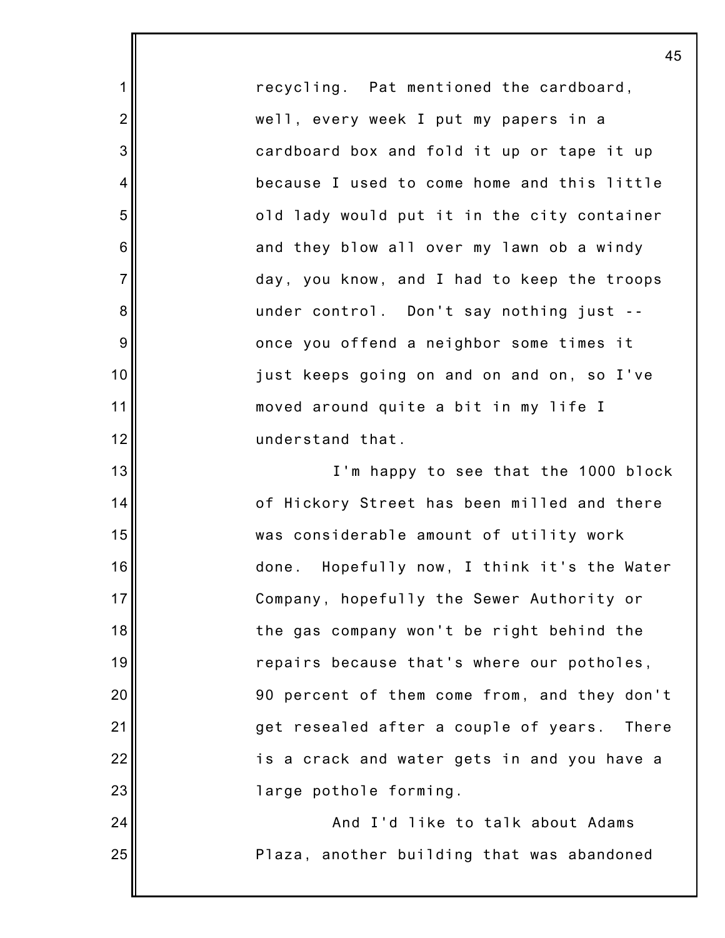recycling. Pat mentioned the cardboard, well, every week I put my papers in a cardboard box and fold it up or tape it up because I used to come home and this little old lady would put it in the city container and they blow all over my lawn ob a windy day, you know, and I had to keep the troops under control. Don't say nothing just - once you offend a neighbor some times it just keeps going on and on and on, so I've moved around quite a bit in my life I understand that.

1

2

3

4

5

6

7

8

9

10

11

12

13

14

15

16

17

18

19

20

21

22

23

24

25

I'm happy to see that the 1000 block of Hickory Street has been milled and there was considerable amount of utility work done. Hopefully now, I think it's the Water Company, hopefully the Sewer Authority or the gas company won't be right behind the repairs because that's where our potholes, 90 percent of them come from, and they don't get resealed after a couple of years. There is a crack and water gets in and you have a large pothole forming.

> And I'd like to talk about Adams Plaza, another building that was abandoned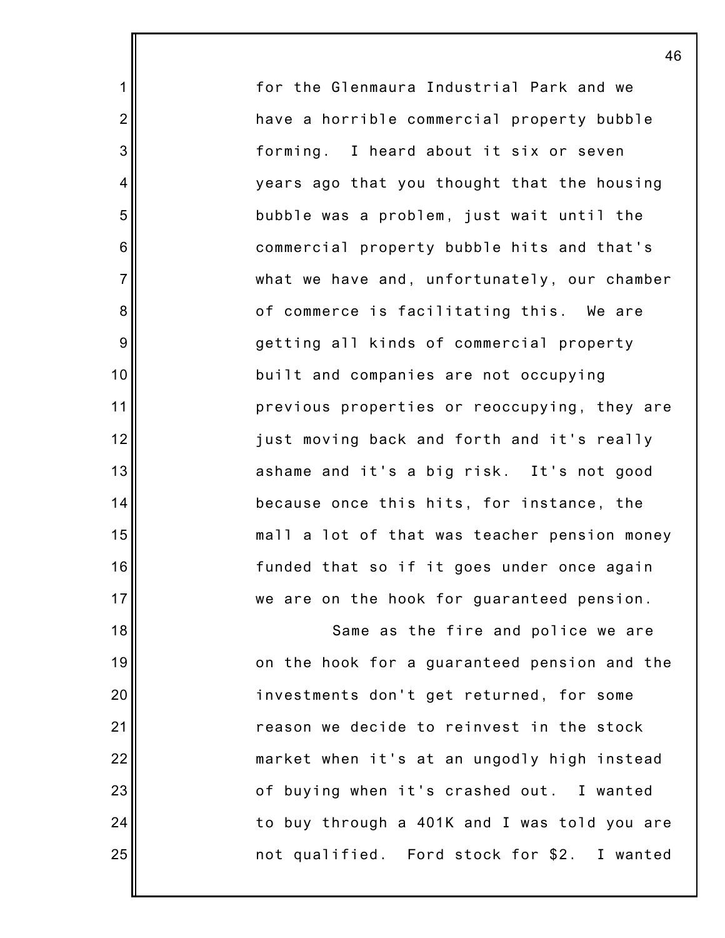for the Glenmaura Industrial Park and we have a horrible commercial property bubble forming. I heard about it six or seven years ago that you thought that the housing bubble was a problem, just wait until the commercial property bubble hits and that's what we have and, unfortunately, our chamber of commerce is facilitating this. We are getting all kinds of commercial property built and companies are not occupying previous properties or reoccupying, they are just moving back and forth and it's really ashame and it's a big risk. It's not good because once this hits, for instance, the mall a lot of that was teacher pension money funded that so if it goes under once again we are on the hook for guaranteed pension.

46

1

2

3

4

5

6

7

8

9

10

11

12

13

14

15

16

17

18

19

20

21

22

23

24

25

Same as the fire and police we are on the hook for a guaranteed pension and the investments don't get returned, for some reason we decide to reinvest in the stock market when it's at an ungodly high instead of buying when it's crashed out. I wanted to buy through a 401K and I was told you are not qualified. Ford stock for \$2. I wanted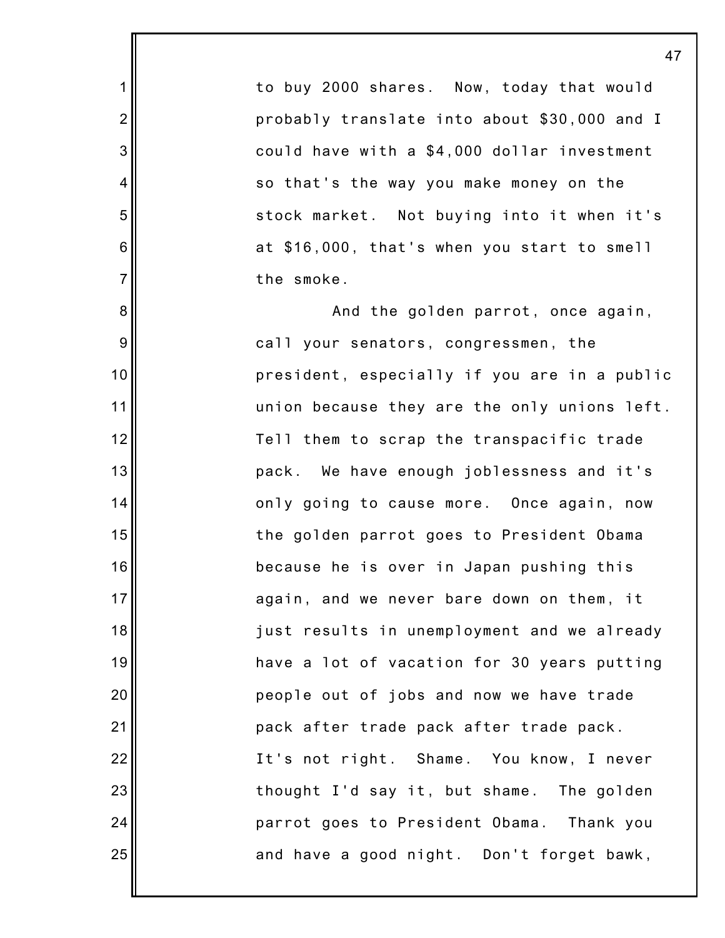to buy 2000 shares. Now, today that would probably translate into about \$30,000 and I could have with a \$4,000 dollar investment so that's the way you make money on the stock market. Not buying into it when it's at \$16,000, that's when you start to smell the smoke.

1

2

3

4

5

6

7

8

9

10

11

12

13

14

15

16

17

18

19

20

21

22

23

24

25

And the golden parrot, once again, call your senators, congressmen, the president, especially if you are in a public union because they are the only unions left. Tell them to scrap the transpacific trade pack. We have enough joblessness and it's only going to cause more. Once again, now the golden parrot goes to President Obama because he is over in Japan pushing this again, and we never bare down on them, it just results in unemployment and we already have a lot of vacation for 30 years putting people out of jobs and now we have trade pack after trade pack after trade pack. It's not right. Shame. You know, I never thought I'd say it, but shame. The golden parrot goes to President Obama. Thank you and have a good night. Don't forget bawk,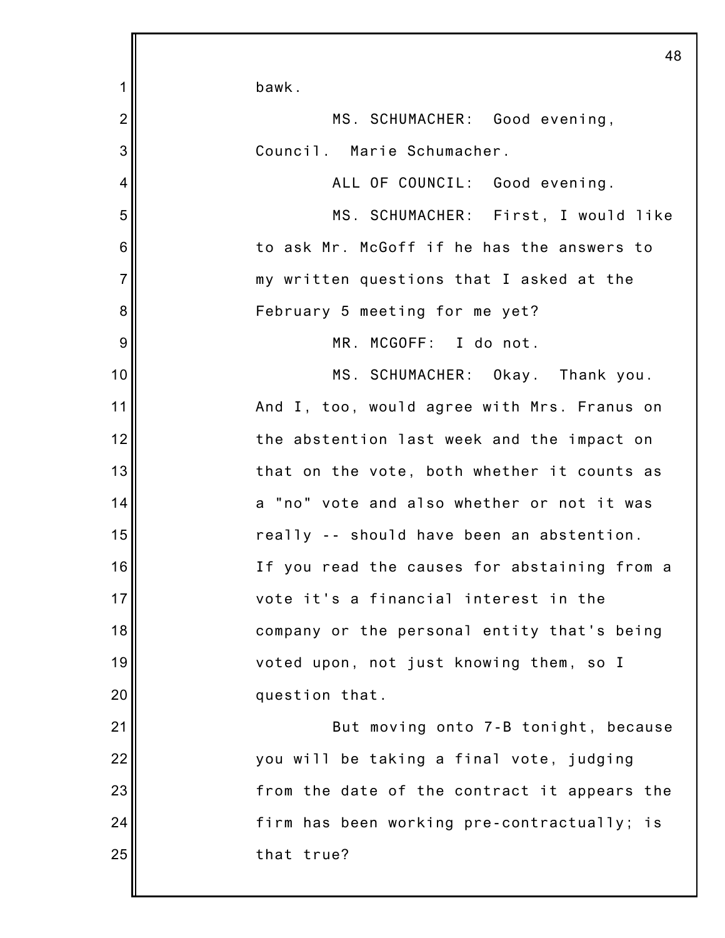|                 | 48                                           |
|-----------------|----------------------------------------------|
| 1               | bawk.                                        |
| $\overline{2}$  | MS. SCHUMACHER: Good evening,                |
| 3               | Council. Marie Schumacher.                   |
| 4               | ALL OF COUNCIL: Good evening.                |
| 5               | MS. SCHUMACHER: First, I would like          |
| $6\phantom{1}6$ | to ask Mr. McGoff if he has the answers to   |
| $\overline{7}$  | my written questions that I asked at the     |
| 8               | February 5 meeting for me yet?               |
| 9               | MR. MCGOFF: I do not.                        |
| 10              | MS. SCHUMACHER: Okay. Thank you.             |
| 11              | And I, too, would agree with Mrs. Franus on  |
| 12              | the abstention last week and the impact on   |
| 13              | that on the vote, both whether it counts as  |
| 14              | a "no" vote and also whether or not it was   |
| 15              | really -- should have been an abstention.    |
| 16              | If you read the causes for abstaining from a |
| 17              | vote it's a financial interest in the        |
| 18              | company or the personal entity that's being  |
| 19              | voted upon, not just knowing them, so I      |
| 20              | question that.                               |
| 21              | But moving onto 7-B tonight, because         |
| 22              | you will be taking a final vote, judging     |
| 23              | from the date of the contract it appears the |
| 24              | firm has been working pre-contractually; is  |
| 25              | that true?                                   |
|                 |                                              |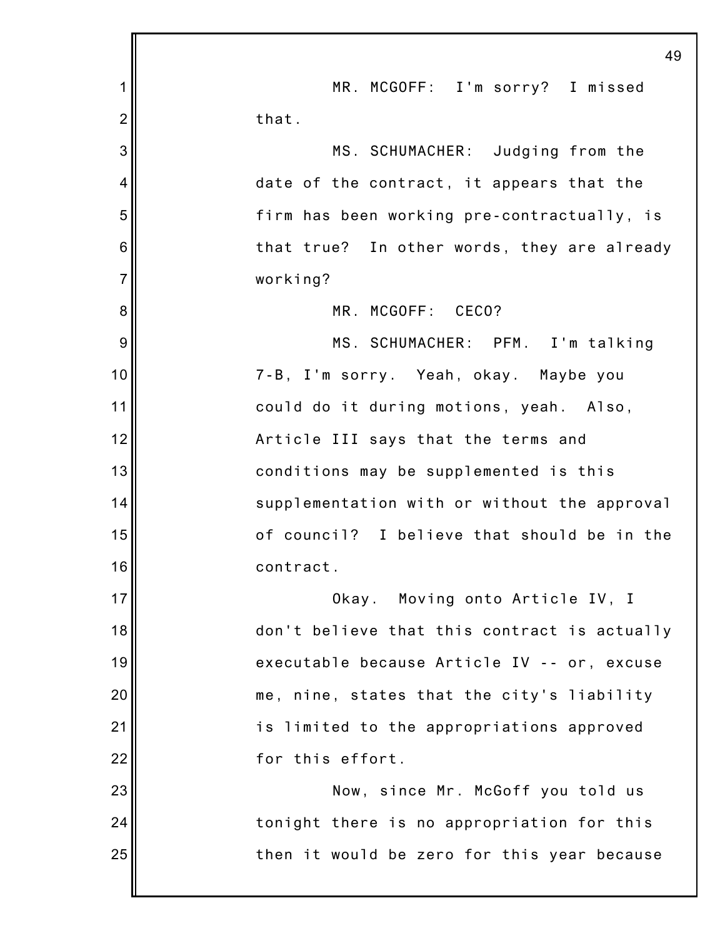|                | 49                                           |
|----------------|----------------------------------------------|
| 1              | MR. MCGOFF: I'm sorry? I missed              |
| $\overline{2}$ | that.                                        |
| 3              | MS. SCHUMACHER: Judging from the             |
| 4              | date of the contract, it appears that the    |
| 5              | firm has been working pre-contractually, is  |
| 6              | that true? In other words, they are already  |
| $\overline{7}$ | working?                                     |
| 8              | MR. MCGOFF: CECO?                            |
| 9              | MS. SCHUMACHER: PFM. I'm talking             |
| 10             | 7-B, I'm sorry. Yeah, okay. Maybe you        |
| 11             | could do it during motions, yeah. Also,      |
| 12             | Article III says that the terms and          |
| 13             | conditions may be supplemented is this       |
| 14             | supplementation with or without the approval |
| 15             | of council? I believe that should be in the  |
| 16             | contract.                                    |
| 17             | Okay. Moving onto Article IV, I              |
| 18             | don't believe that this contract is actually |
| 19             | executable because Article IV -- or, excuse  |
| 20             | me, nine, states that the city's liability   |
| 21             | is limited to the appropriations approved    |
| 22             | for this effort.                             |
| 23             | Now, since Mr. McGoff you told us            |
| 24             | tonight there is no appropriation for this   |
| 25             | then it would be zero for this year because  |
|                |                                              |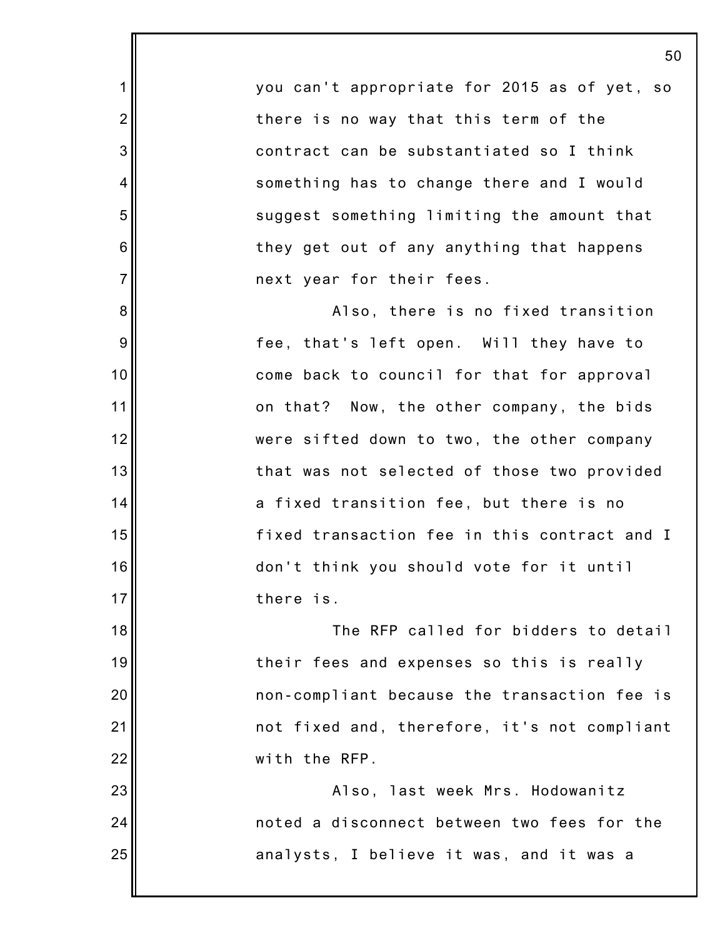you can't appropriate for 2015 as of yet, so there is no way that this term of the contract can be substantiated so I think something has to change there and I would suggest something limiting the amount that they get out of any anything that happens next year for their fees.

1

2

3

4

5

6

7

8

9

10

11

12

13

14

15

16

17

23

24

25

Also, there is no fixed transition fee, that's left open. Will they have to come back to council for that for approval on that? Now, the other company, the bids were sifted down to two, the other company that was not selected of those two provided a fixed transition fee, but there is no fixed transaction fee in this contract and I don't think you should vote for it until there is.

18 19 20 21 22 The RFP called for bidders to detail their fees and expenses so this is really non-compliant because the transaction fee is not fixed and, therefore, it's not compliant with the RFP.

Also, last week Mrs. Hodowanitz noted a disconnect between two fees for the analysts, I believe it was, and it was a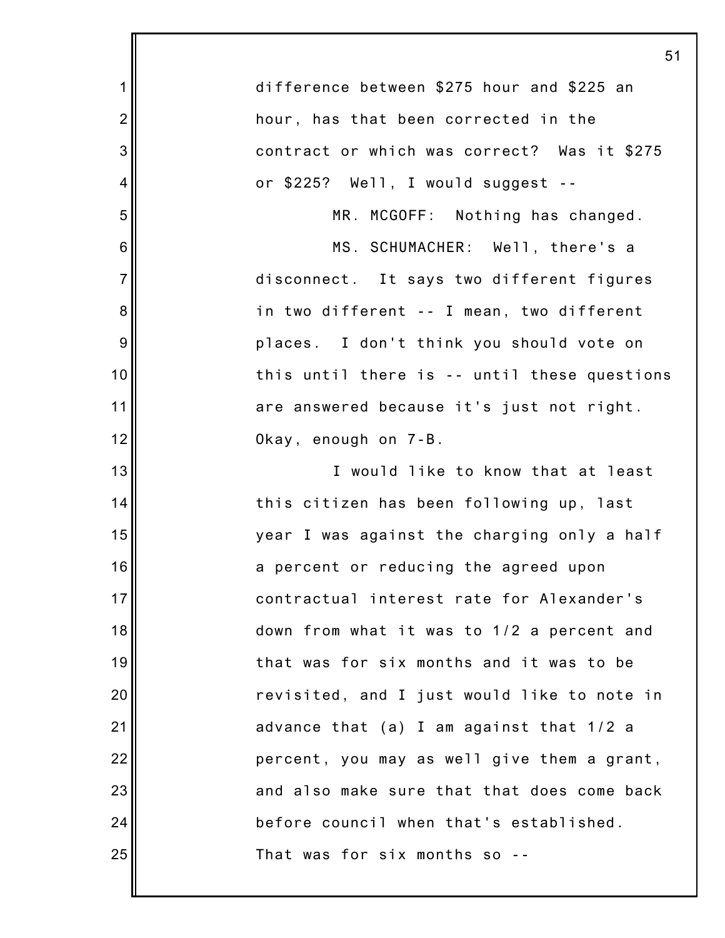|                 | 51                                           |
|-----------------|----------------------------------------------|
| 1               | difference between \$275 hour and \$225 an   |
| $\overline{2}$  | hour, has that been corrected in the         |
| 3               | contract or which was correct? Was it \$275  |
| 4               | or \$225? Well, I would suggest --           |
| 5               | MR. MCGOFF: Nothing has changed.             |
| $6\phantom{1}6$ | MS. SCHUMACHER: Well, there's a              |
| $\overline{7}$  | disconnect. It says two different figures    |
| 8               | in two different -- I mean, two different    |
| 9               | places. I don't think you should vote on     |
| 10              | this until there is -- until these questions |
| 11              | are answered because it's just not right.    |
| 12              | Okay, enough on 7-B.                         |
| 13              | I would like to know that at least           |
| 14              | this citizen has been following up, last     |
| 15              | year I was against the charging only a half  |
| 16              | a percent or reducing the agreed upon        |
| 17              | contractual interest rate for Alexander's    |
| 18              | down from what it was to 1/2 a percent and   |
| 19              | that was for six months and it was to be     |
| 20              | revisited, and I just would like to note in  |
| 21              | advance that (a) I am against that 1/2 a     |
| 22              | percent, you may as well give them a grant,  |
| 23              | and also make sure that that does come back  |
| 24              | before council when that's established.      |
| 25              | That was for six months so                   |
|                 |                                              |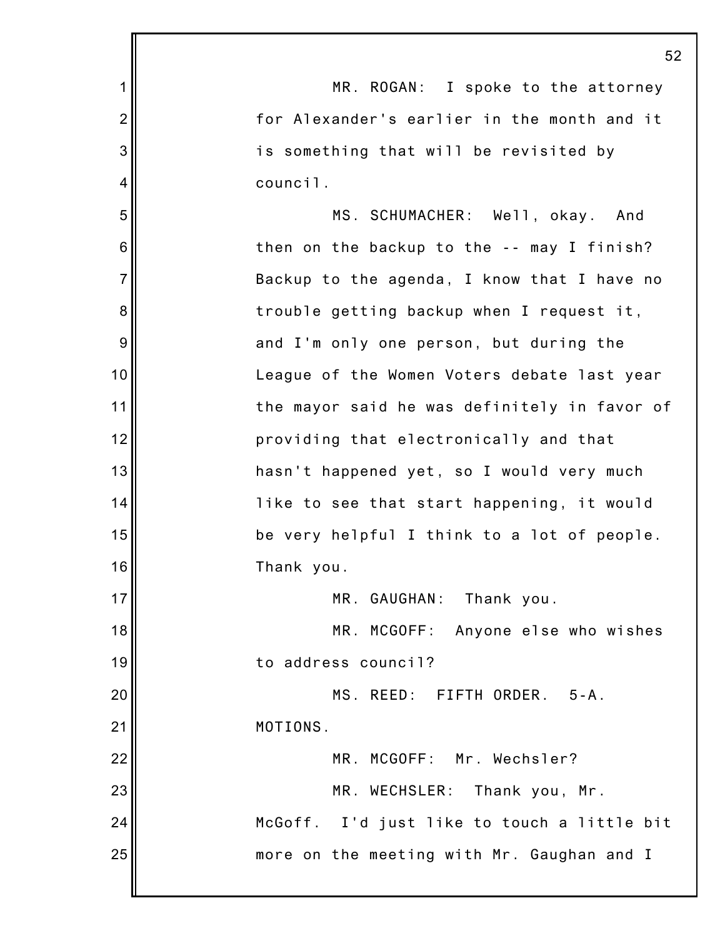|                | 52                                           |
|----------------|----------------------------------------------|
| $\mathbf 1$    | MR. ROGAN: I spoke to the attorney           |
| $\overline{2}$ | for Alexander's earlier in the month and it  |
| 3              | is something that will be revisited by       |
| 4              | council.                                     |
| 5              | MS. SCHUMACHER: Well, okay. And              |
| 6              | then on the backup to the -- may I finish?   |
| $\overline{7}$ | Backup to the agenda, I know that I have no  |
| 8              | trouble getting backup when I request it,    |
| 9              | and I'm only one person, but during the      |
| 10             | League of the Women Voters debate last year  |
| 11             | the mayor said he was definitely in favor of |
| 12             | providing that electronically and that       |
| 13             | hasn't happened yet, so I would very much    |
| 14             | like to see that start happening, it would   |
| 15             | be very helpful I think to a lot of people.  |
| 16             | Thank you.                                   |
| 17             | MR. GAUGHAN: Thank you.                      |
| 18             | MR.<br>MCGOFF: Anyone else who wishes        |
| 19             | to address council?                          |
| 20             | MS. REED: FIFTH ORDER. 5-A.                  |
| 21             | MOTIONS.                                     |
| 22             | MR. MCGOFF: Mr. Wechsler?                    |
| 23             | MR. WECHSLER:<br>Thank you, Mr.              |
| 24             | McGoff. I'd just like to touch a little bit  |
| 25             | more on the meeting with Mr. Gaughan and I   |
|                |                                              |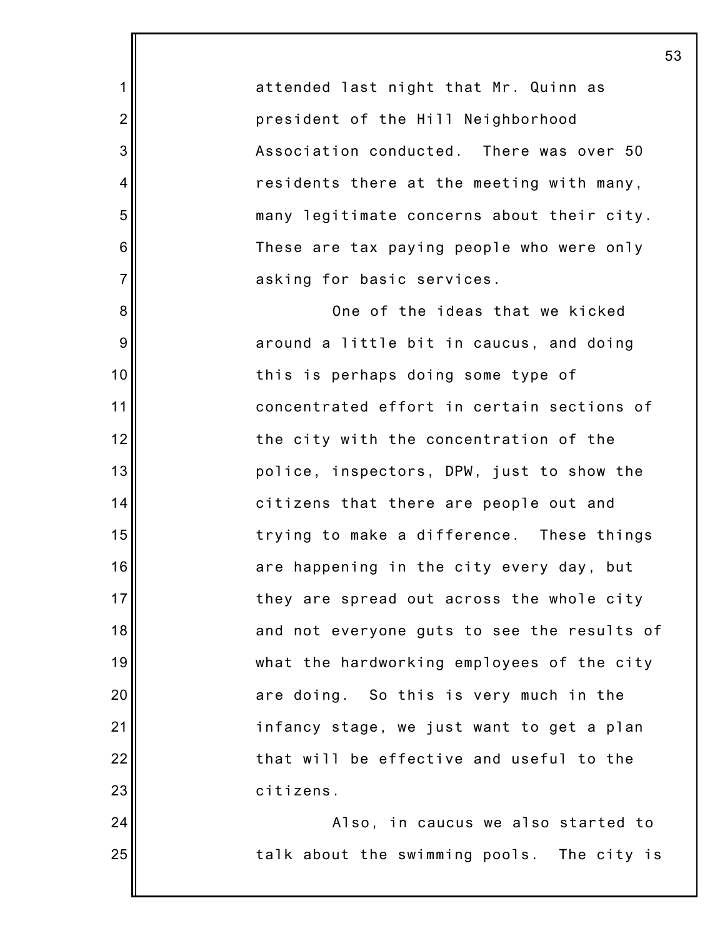attended last night that Mr. Quinn as president of the Hill Neighborhood Association conducted. There was over 50 residents there at the meeting with many, many legitimate concerns about their city. These are tax paying people who were only asking for basic services.

1

2

3

4

5

6

7

8

9

10

11

12

13

14

15

16

17

18

19

20

21

22

23

24

25

One of the ideas that we kicked around a little bit in caucus, and doing this is perhaps doing some type of concentrated effort in certain sections of the city with the concentration of the police, inspectors, DPW, just to show the citizens that there are people out and trying to make a difference. These things are happening in the city every day, but they are spread out across the whole city and not everyone guts to see the results of what the hardworking employees of the city are doing. So this is very much in the infancy stage, we just want to get a plan that will be effective and useful to the citizens.

Also, in caucus we also started to talk about the swimming pools. The city is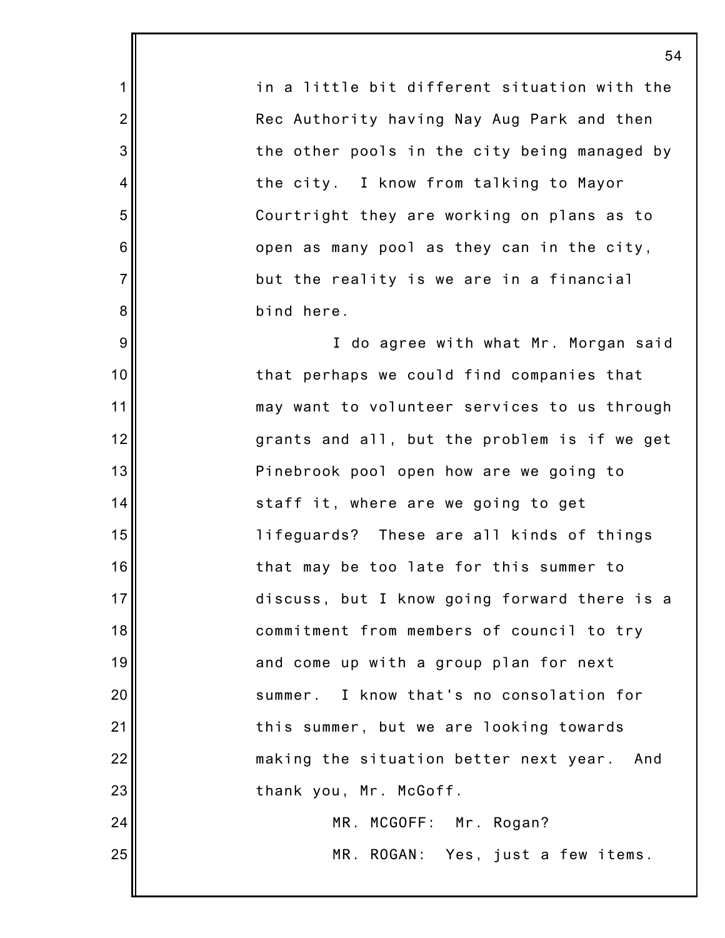in a little bit different situation with the Rec Authority having Nay Aug Park and then the other pools in the city being managed by the city. I know from talking to Mayor Courtright they are working on plans as to open as many pool as they can in the city, but the reality is we are in a financial bind here.

1

2

3

4

5

6

7

8

9

10

11

12

13

14

15

16

17

18

19

20

21

22

23

24

25

I do agree with what Mr. Morgan said that perhaps we could find companies that may want to volunteer services to us through grants and all, but the problem is if we get Pinebrook pool open how are we going to staff it, where are we going to get lifeguards? These are all kinds of things that may be too late for this summer to discuss, but I know going forward there is a commitment from members of council to try and come up with a group plan for next summer. I know that's no consolation for this summer, but we are looking towards making the situation better next year. And thank you, Mr. McGoff. MR. MCGOFF: Mr. Rogan?

MR. ROGAN: Yes, just a few items.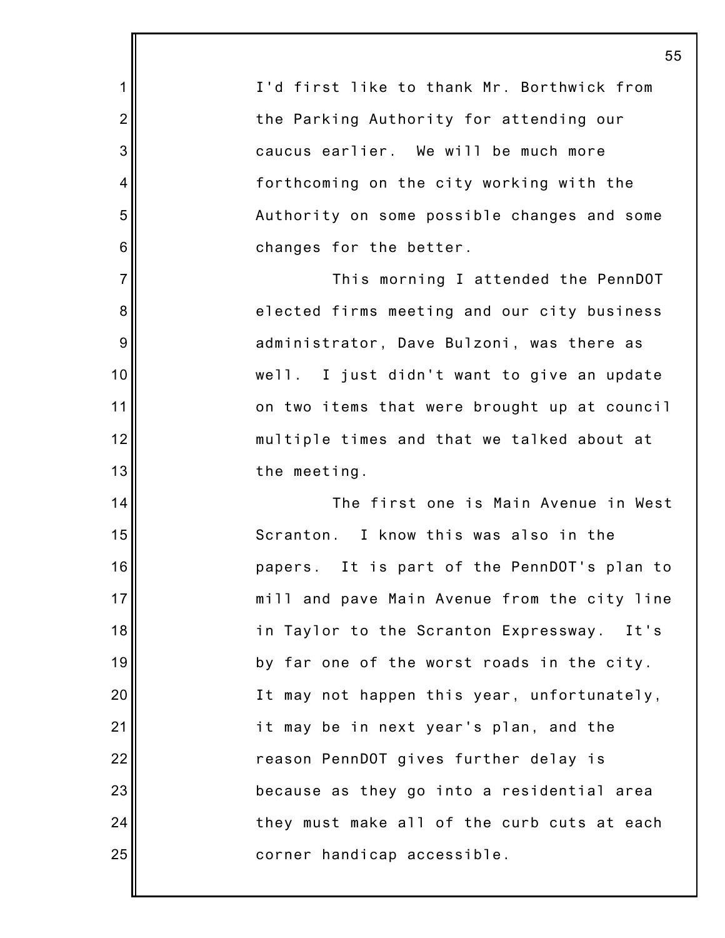I'd first like to thank Mr. Borthwick from the Parking Authority for attending our caucus earlier. We will be much more forthcoming on the city working with the Authority on some possible changes and some changes for the better. This morning I attended the PennDOT elected firms meeting and our city business administrator, Dave Bulzoni, was there as well. I just didn't want to give an update on two items that were brought up at council multiple times and that we talked about at the meeting. The first one is Main Avenue in West Scranton. I know this was also in the papers. It is part of the PennDOT's plan to mill and pave Main Avenue from the city line in Taylor to the Scranton Expressway. It's by far one of the worst roads in the city. It may not happen this year, unfortunately, it may be in next year's plan, and the reason PennDOT gives further delay is because as they go into a residential area they must make all of the curb cuts at each corner handicap accessible.

1

2

3

4

5

6

7

8

9

10

11

12

13

14

15

16

17

18

19

20

21

22

23

24

25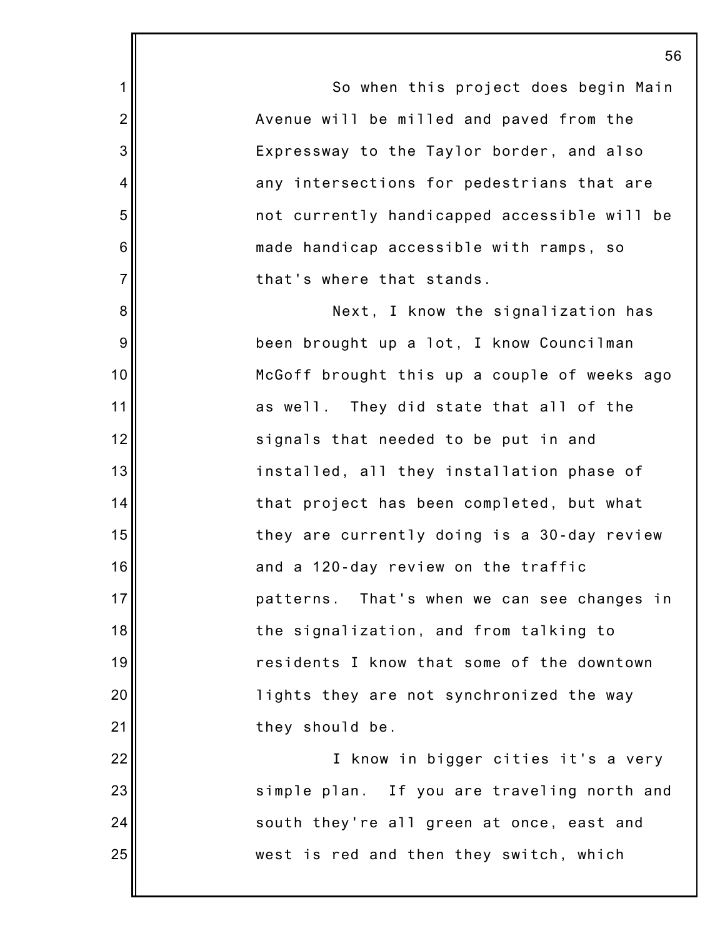So when this project does begin Main Avenue will be milled and paved from the Expressway to the Taylor border, and also any intersections for pedestrians that are not currently handicapped accessible will be made handicap accessible with ramps, so that's where that stands.

1

2

3

4

5

6

7

8

9

10

11

12

13

14

15

16

17

18

19

20

21

22

23

24

25

Next, I know the signalization has been brought up a lot, I know Councilman McGoff brought this up a couple of weeks ago as well. They did state that all of the signals that needed to be put in and installed, all they installation phase of that project has been completed, but what they are currently doing is a 30-day review and a 120-day review on the traffic patterns. That's when we can see changes in the signalization, and from talking to residents I know that some of the downtown lights they are not synchronized the way they should be.

I know in bigger cities it's a very simple plan. If you are traveling north and south they're all green at once, east and west is red and then they switch, which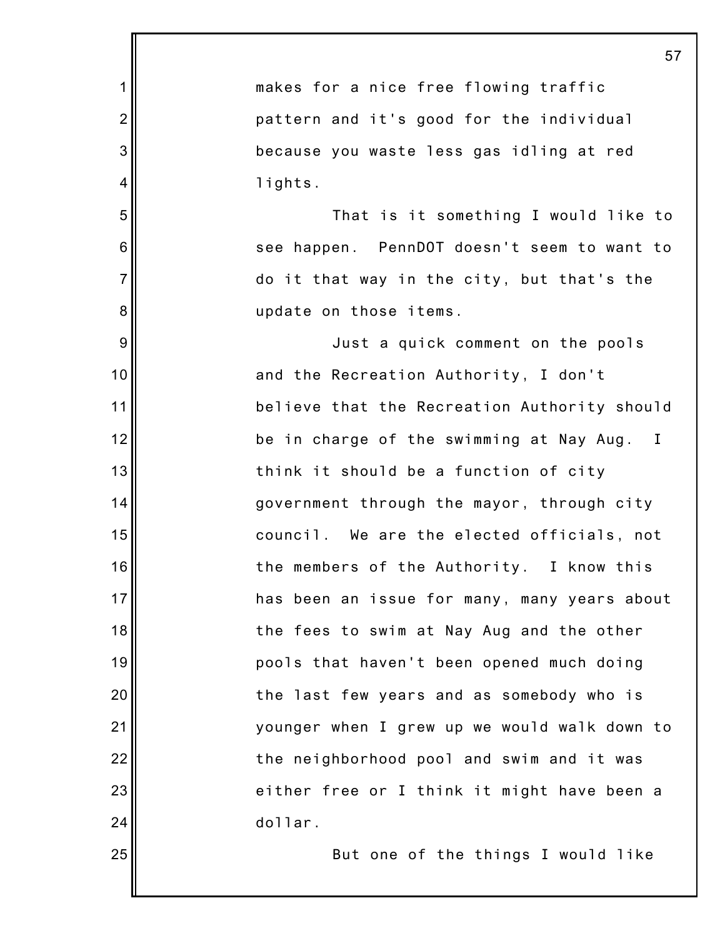|                | 57                                           |
|----------------|----------------------------------------------|
| 1              | makes for a nice free flowing traffic        |
| $\overline{2}$ | pattern and it's good for the individual     |
| 3              | because you waste less gas idling at red     |
| 4              | lights.                                      |
| 5              | That is it something I would like to         |
| 6              | see happen. PennDOT doesn't seem to want to  |
| $\overline{7}$ | do it that way in the city, but that's the   |
| 8              | update on those items.                       |
| 9              | Just a quick comment on the pools            |
| 10             | and the Recreation Authority, I don't        |
| 11             | believe that the Recreation Authority should |
| 12             | be in charge of the swimming at Nay Aug. I   |
| 13             | think it should be a function of city        |
| 14             | government through the mayor, through city   |
| 15             | council. We are the elected officials, not   |
| 16             | the members of the Authority. I know this    |
| 17             | has been an issue for many, many years about |
| 18             | the fees to swim at Nay Aug and the other    |
| 19             | pools that haven't been opened much doing    |
| 20             | the last few years and as somebody who is    |
| 21             | younger when I grew up we would walk down to |
| 22             | the neighborhood pool and swim and it was    |
| 23             | either free or I think it might have been a  |
| 24             | dollar.                                      |
| 25             | But one of the things I would like           |
|                |                                              |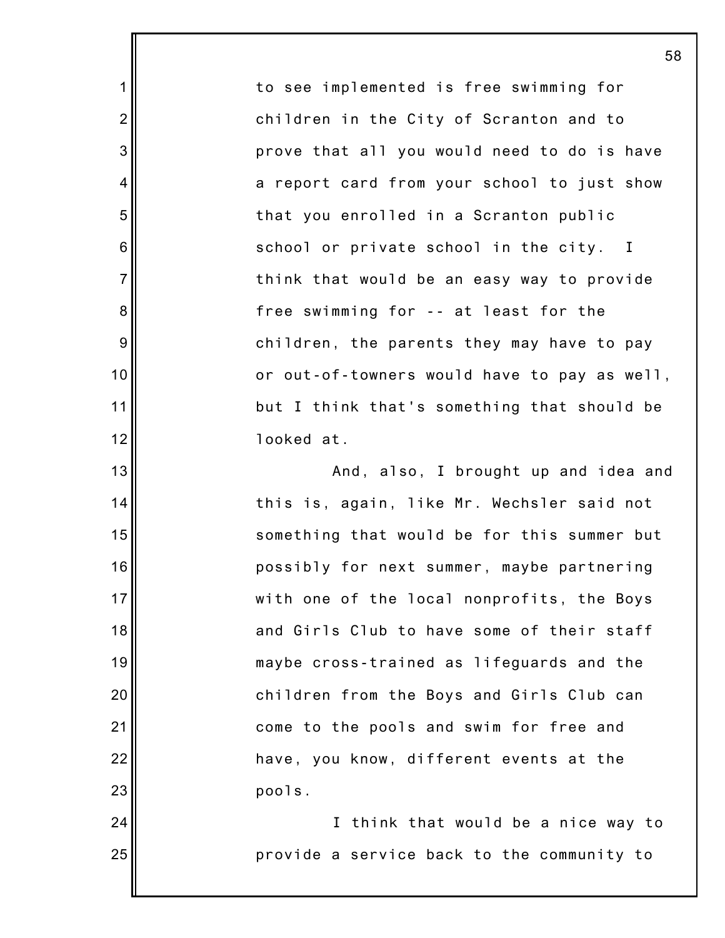to see implemented is free swimming for children in the City of Scranton and to prove that all you would need to do is have a report card from your school to just show that you enrolled in a Scranton public school or private school in the city. I think that would be an easy way to provide free swimming for -- at least for the children, the parents they may have to pay or out-of-towners would have to pay as well, but I think that's something that should be looked at.

1

2

3

4

5

6

7

8

9

10

11

12

13

14

15

16

17

18

19

20

21

22

23

24

25

And, also, I brought up and idea and this is, again, like Mr. Wechsler said not something that would be for this summer but possibly for next summer, maybe partnering with one of the local nonprofits, the Boys and Girls Club to have some of their staff maybe cross-trained as lifeguards and the children from the Boys and Girls Club can come to the pools and swim for free and have, you know, different events at the pools.

I think that would be a nice way to provide a service back to the community to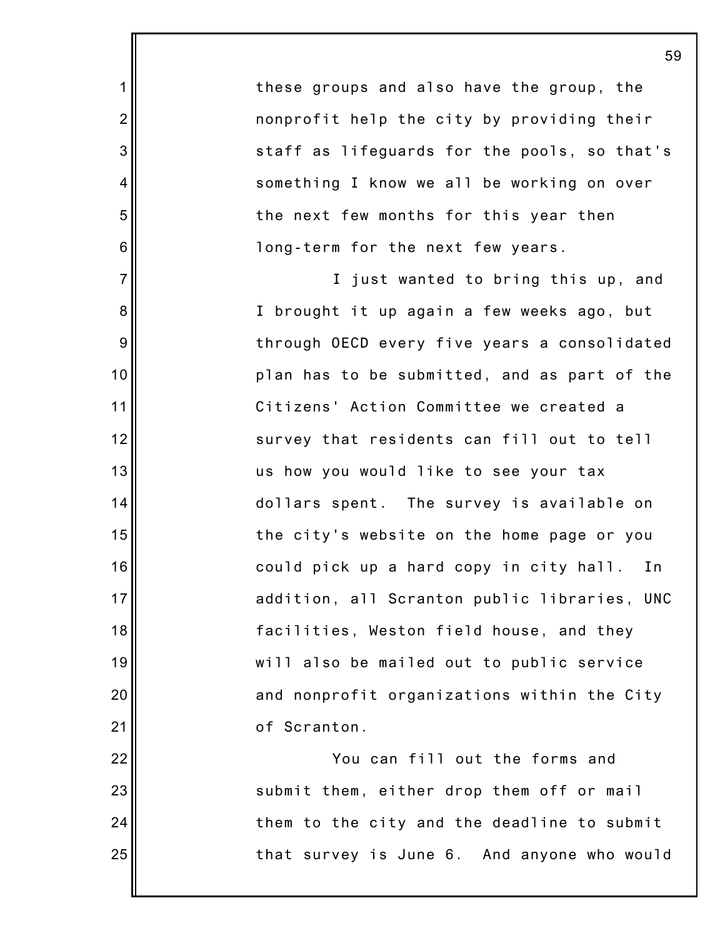these groups and also have the group, the nonprofit help the city by providing their staff as lifeguards for the pools, so that's something I know we all be working on over the next few months for this year then long-term for the next few years.

1

2

3

4

5

6

7

8

9

10

11

12

13

14

15

16

17

18

19

20

21

22

23

24

25

I just wanted to bring this up, and I brought it up again a few weeks ago, but through OECD every five years a consolidated plan has to be submitted, and as part of the Citizens' Action Committee we created a survey that residents can fill out to tell us how you would like to see your tax dollars spent. The survey is available on the city's website on the home page or you could pick up a hard copy in city hall. In addition, all Scranton public libraries, UNC facilities, Weston field house, and they will also be mailed out to public service and nonprofit organizations within the City of Scranton.

You can fill out the forms and submit them, either drop them off or mail them to the city and the deadline to submit that survey is June 6. And anyone who would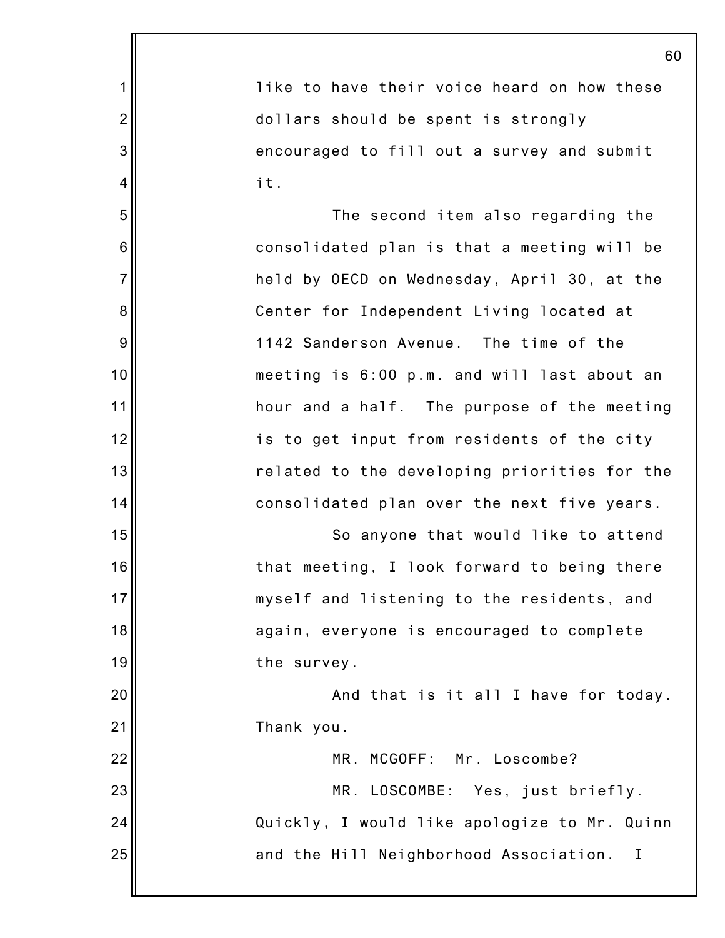1 2 3 4 5 6 7 8 9 10 11 12 13 14 15 16 17 18 19 20 21 22 23 24 25 60 like to have their voice heard on how these dollars should be spent is strongly encouraged to fill out a survey and submit it. The second item also regarding the consolidated plan is that a meeting will be held by OECD on Wednesday, April 30, at the Center for Independent Living located at 1142 Sanderson Avenue. The time of the meeting is 6:00 p.m. and will last about an hour and a half. The purpose of the meeting is to get input from residents of the city related to the developing priorities for the consolidated plan over the next five years. So anyone that would like to attend that meeting, I look forward to being there myself and listening to the residents, and again, everyone is encouraged to complete the survey. And that is it all I have for today. Thank you. MR. MCGOFF: Mr. Loscombe? MR. LOSCOMBE: Yes, just briefly. Quickly, I would like apologize to Mr. Quinn and the Hill Neighborhood Association. I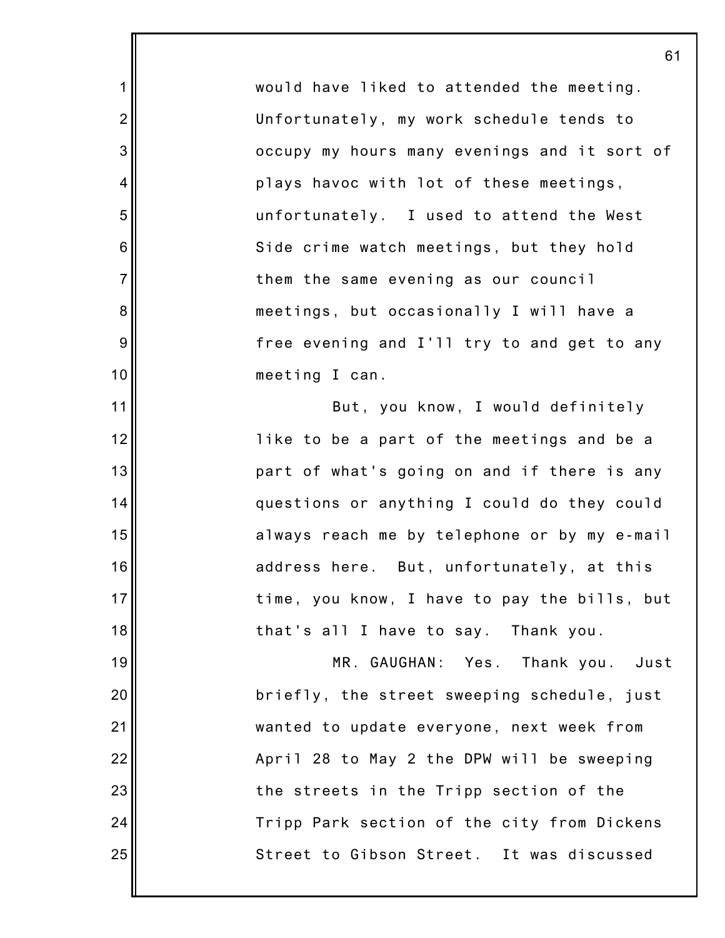would have liked to attended the meeting. Unfortunately, my work schedule tends to occupy my hours many evenings and it sort of plays havoc with lot of these meetings, unfortunately. I used to attend the West Side crime watch meetings, but they hold them the same evening as our council meetings, but occasionally I will have a free evening and I'll try to and get to any meeting I can.

1

2

3

4

5

6

7

8

9

10

11

12

13

14

15

16

17

18

19

20

21

22

23

24

25

But, you know, I would definitely like to be a part of the meetings and be a part of what's going on and if there is any questions or anything I could do they could always reach me by telephone or by my e-mail address here. But, unfortunately, at this time, you know, I have to pay the bills, but that's all I have to say. Thank you.

MR. GAUGHAN: Yes. Thank you. Just briefly, the street sweeping schedule, just wanted to update everyone, next week from April 28 to May 2 the DPW will be sweeping the streets in the Tripp section of the Tripp Park section of the city from Dickens Street to Gibson Street. It was discussed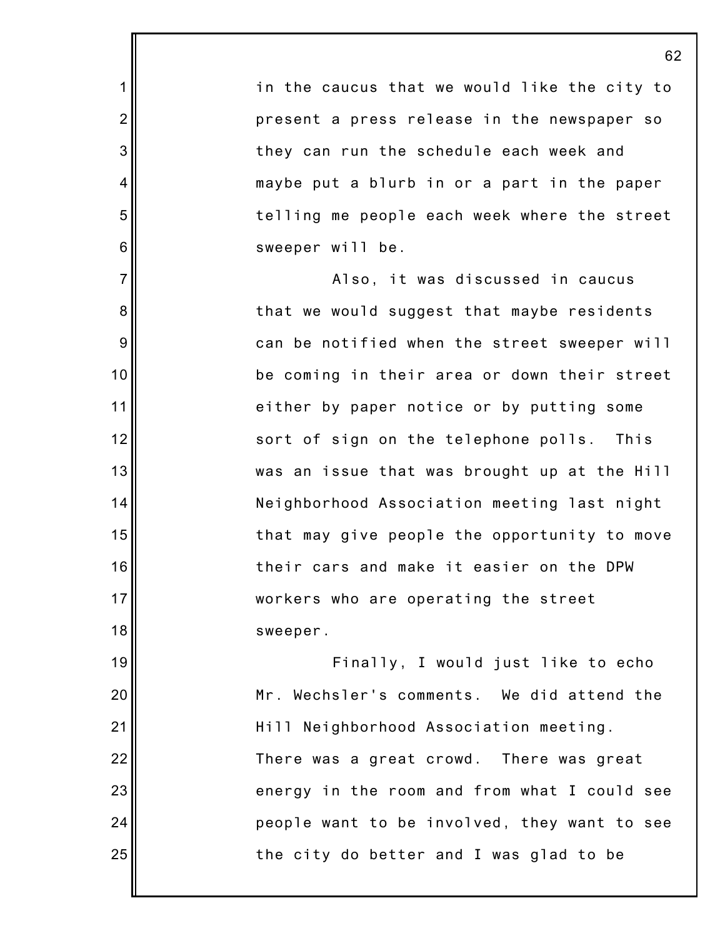in the caucus that we would like the city to present a press release in the newspaper so they can run the schedule each week and maybe put a blurb in or a part in the paper telling me people each week where the street sweeper will be.

1

2

3

4

5

6

7

8

9

10

11

12

13

14

15

16

17

18

Also, it was discussed in caucus that we would suggest that maybe residents can be notified when the street sweeper will be coming in their area or down their street either by paper notice or by putting some sort of sign on the telephone polls. This was an issue that was brought up at the Hill Neighborhood Association meeting last night that may give people the opportunity to move their cars and make it easier on the DPW workers who are operating the street sweeper.

19 20 21 22 23 24 25 Finally, I would just like to echo Mr. Wechsler's comments. We did attend the Hill Neighborhood Association meeting. There was a great crowd. There was great energy in the room and from what I could see people want to be involved, they want to see the city do better and I was glad to be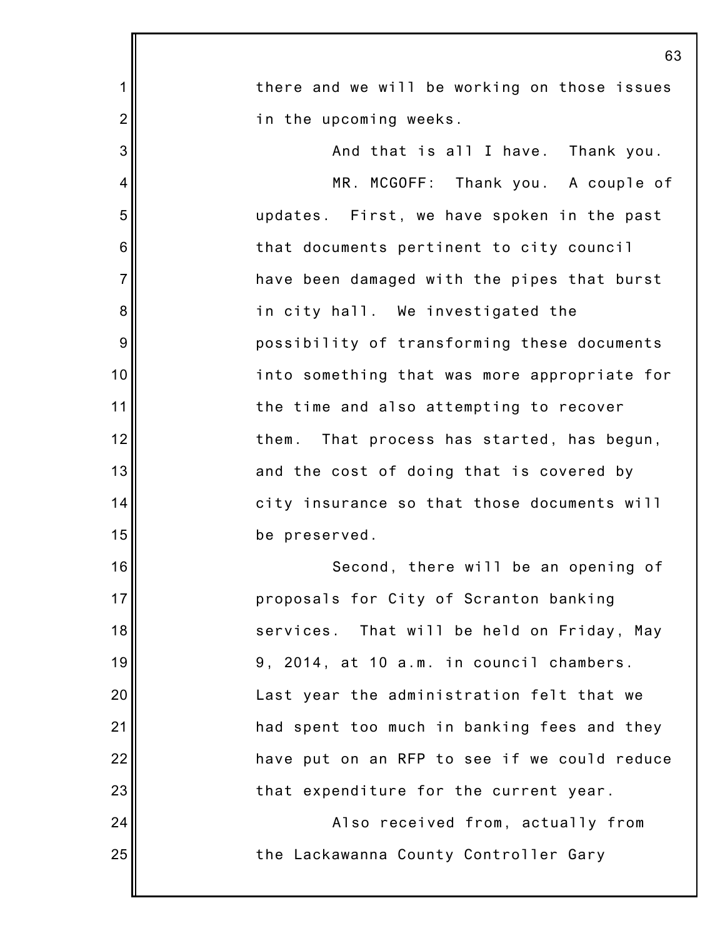|                | 63                                            |
|----------------|-----------------------------------------------|
| 1              | there and we will be working on those issues  |
| $\overline{2}$ | in the upcoming weeks.                        |
| 3              | And that is all I have. Thank you.            |
| 4              | MR. MCGOFF: Thank you. A couple of            |
| 5              | updates. First, we have spoken in the past    |
| 6              | that documents pertinent to city council      |
| $\overline{7}$ | have been damaged with the pipes that burst   |
| 8              | in city hall. We investigated the             |
| 9              | possibility of transforming these documents   |
| 10             | into something that was more appropriate for  |
| 11             | the time and also attempting to recover       |
| 12             | That process has started, has begun,<br>them. |
| 13             | and the cost of doing that is covered by      |
| 14             | city insurance so that those documents will   |
| 15             | be preserved.                                 |
| 16             | Second, there will be an opening of           |
| 17             | proposals for City of Scranton banking        |
| 18             | services. That will be held on Friday, May    |
| 19             | 9, 2014, at 10 a.m. in council chambers.      |
| 20             | Last year the administration felt that we     |
| 21             | had spent too much in banking fees and they   |
| 22             | have put on an RFP to see if we could reduce  |
| 23             | that expenditure for the current year.        |
| 24             | Also received from, actually from             |
| 25             | the Lackawanna County Controller Gary         |
|                |                                               |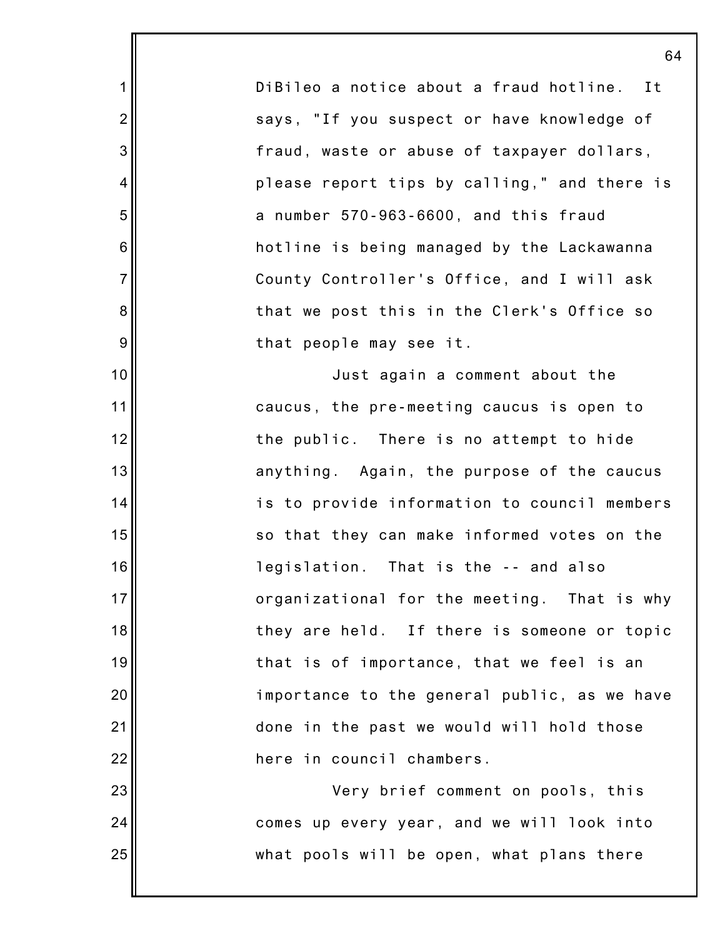DiBileo a notice about a fraud hotline. It says, "If you suspect or have knowledge of fraud, waste or abuse of taxpayer dollars, please report tips by calling," and there is a number 570-963-6600, and this fraud hotline is being managed by the Lackawanna County Controller's Office, and I will ask that we post this in the Clerk's Office so that people may see it.

1

2

3

4

5

6

7

8

9

10

11

12

13

14

15

16

17

18

19

20

21

22

23

24

25

Just again a comment about the caucus, the pre-meeting caucus is open to the public. There is no attempt to hide anything. Again, the purpose of the caucus is to provide information to council members so that they can make informed votes on the legislation. That is the -- and also organizational for the meeting. That is why they are held. If there is someone or topic that is of importance, that we feel is an importance to the general public, as we have done in the past we would will hold those here in council chambers.

Very brief comment on pools, this comes up every year, and we will look into what pools will be open, what plans there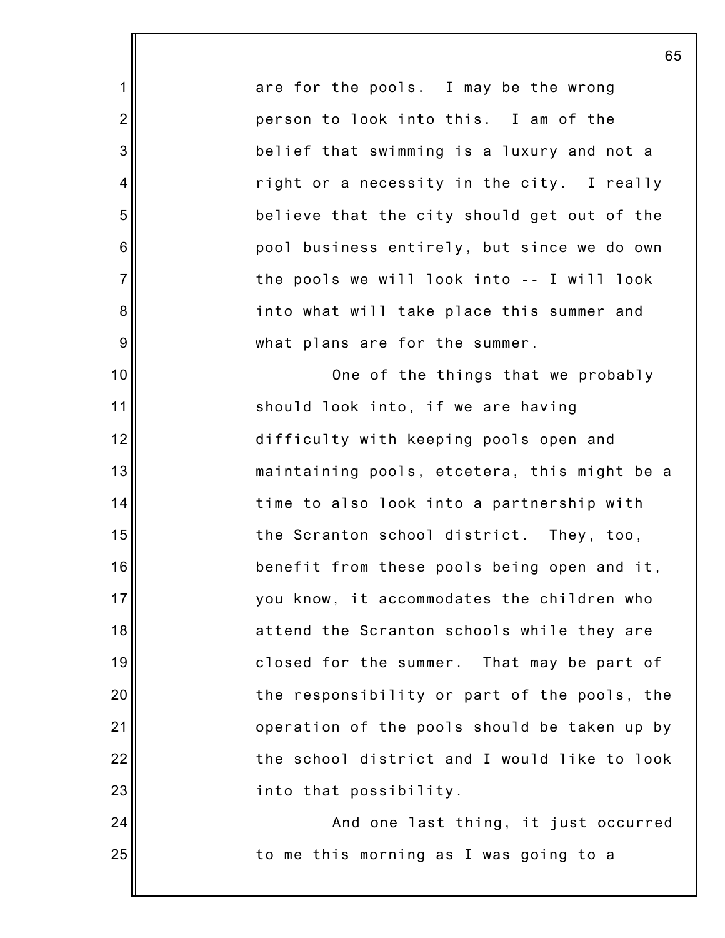are for the pools. I may be the wrong person to look into this. I am of the belief that swimming is a luxury and not a right or a necessity in the city. I really believe that the city should get out of the pool business entirely, but since we do own the pools we will look into -- I will look into what will take place this summer and what plans are for the summer.

1

2

3

4

5

6

7

8

9

10

11

12

13

14

15

16

17

18

19

20

21

22

23

24

25

One of the things that we probably should look into, if we are having difficulty with keeping pools open and maintaining pools, etcetera, this might be a time to also look into a partnership with the Scranton school district. They, too, benefit from these pools being open and it, you know, it accommodates the children who attend the Scranton schools while they are closed for the summer. That may be part of the responsibility or part of the pools, the operation of the pools should be taken up by the school district and I would like to look into that possibility.

And one last thing, it just occurred to me this morning as I was going to a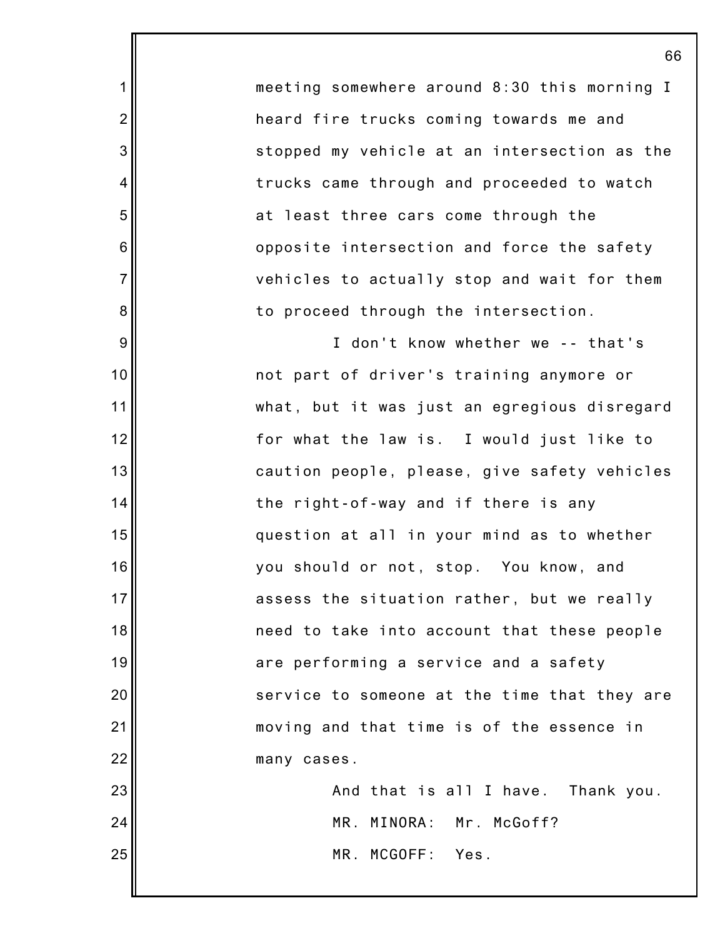meeting somewhere around 8:30 this morning I heard fire trucks coming towards me and stopped my vehicle at an intersection as the trucks came through and proceeded to watch at least three cars come through the opposite intersection and force the safety vehicles to actually stop and wait for them to proceed through the intersection.

1

2

3

4

5

6

7

8

9

10

11

12

13

14

15

16

17

18

19

20

21

22

I don't know whether we -- that's not part of driver's training anymore or what, but it was just an egregious disregard for what the law is. I would just like to caution people, please, give safety vehicles the right-of-way and if there is any question at all in your mind as to whether you should or not, stop. You know, and assess the situation rather, but we really need to take into account that these people are performing a service and a safety service to someone at the time that they are moving and that time is of the essence in many cases.

23 24 25 And that is all I have. Thank you. MR. MINORA: Mr. McGoff? MR. MCGOFF: Yes.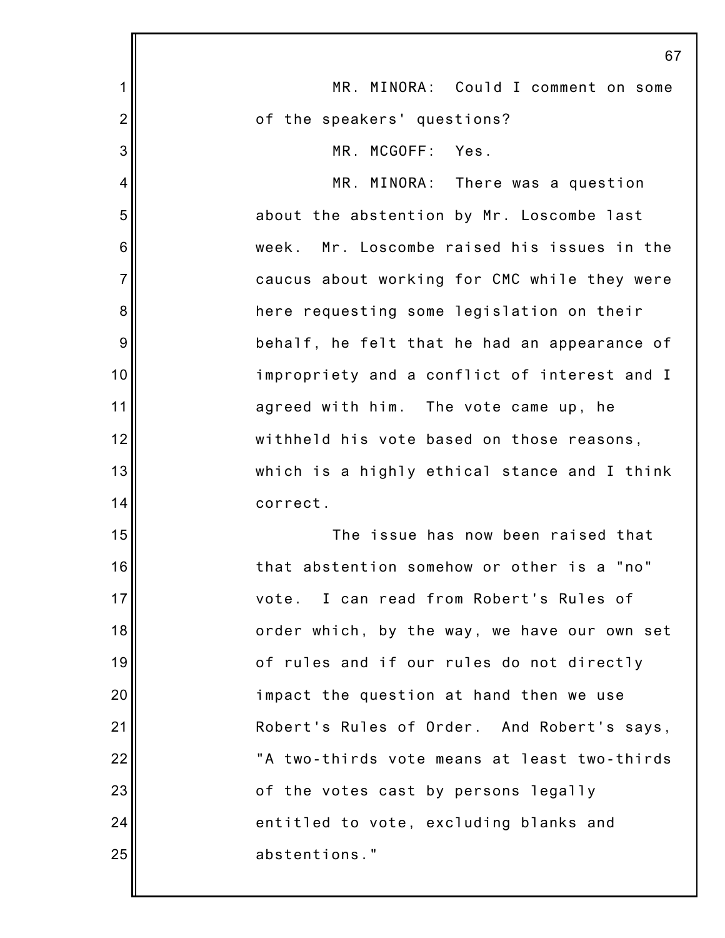|                | 67                                             |
|----------------|------------------------------------------------|
| 1              | MR. MINORA: Could I comment on some            |
| $\overline{2}$ | of the speakers' questions?                    |
| 3              | MR. MCGOFF: Yes.                               |
| 4              | MR. MINORA: There was a question               |
| 5              | about the abstention by Mr. Loscombe last      |
| 6              | Mr. Loscombe raised his issues in the<br>week. |
| $\overline{7}$ | caucus about working for CMC while they were   |
| 8              | here requesting some legislation on their      |
| 9              | behalf, he felt that he had an appearance of   |
| 10             | impropriety and a conflict of interest and I   |
| 11             | agreed with him. The vote came up, he          |
| 12             | withheld his vote based on those reasons,      |
| 13             | which is a highly ethical stance and I think   |
| 14             | correct.                                       |
| 15             | The issue has now been raised that             |
| 16             | that abstention somehow or other is a "no"     |
| 17             | I can read from Robert's Rules of<br>vote.     |
| 18             | order which, by the way, we have our own set   |
| 19             | of rules and if our rules do not directly      |
| 20             | impact the question at hand then we use        |
| 21             | Robert's Rules of Order. And Robert's says,    |
| 22             | "A two-thirds vote means at least two-thirds   |
| 23             | of the votes cast by persons legally           |
| 24             | entitled to vote, excluding blanks and         |
| 25             | abstentions."                                  |
|                |                                                |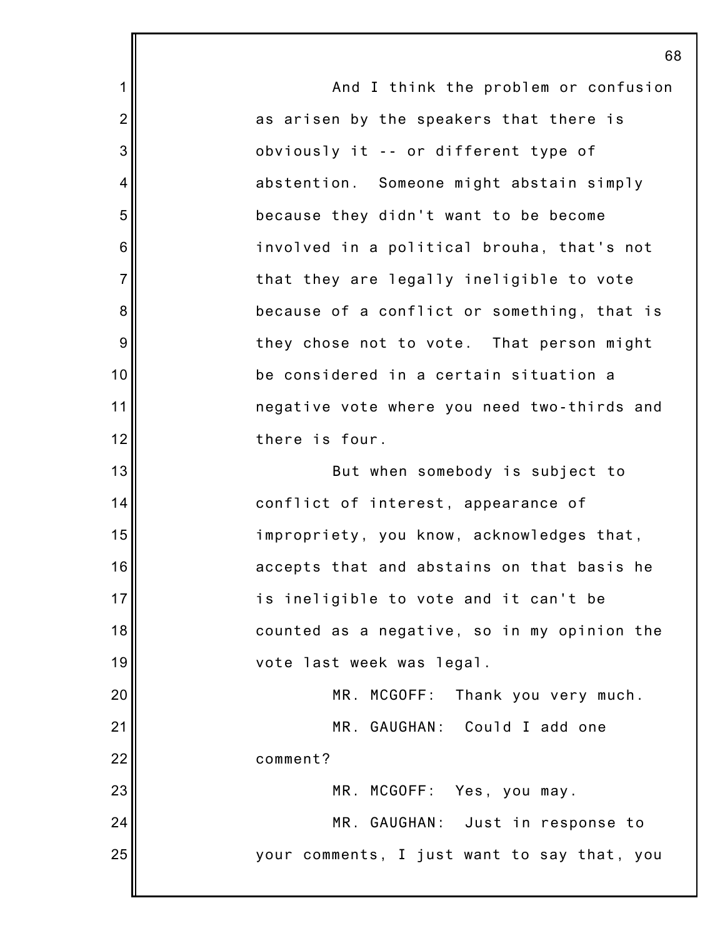1 2 3 4 5 6 7 8 9 10 11 12 13 14 15 16 17 18 19 20 21 22 23 24 25 68 And I think the problem or confusion as arisen by the speakers that there is obviously it -- or different type of abstention. Someone might abstain simply because they didn't want to be become involved in a political brouha, that's not that they are legally ineligible to vote because of a conflict or something, that is they chose not to vote. That person might be considered in a certain situation a negative vote where you need two-thirds and there is four. But when somebody is subject to conflict of interest, appearance of impropriety, you know, acknowledges that, accepts that and abstains on that basis he is ineligible to vote and it can't be counted as a negative, so in my opinion the vote last week was legal. MR. MCGOFF: Thank you very much. MR. GAUGHAN: Could I add one comment? MR. MCGOFF: Yes, you may. MR. GAUGHAN: Just in response to your comments, I just want to say that, you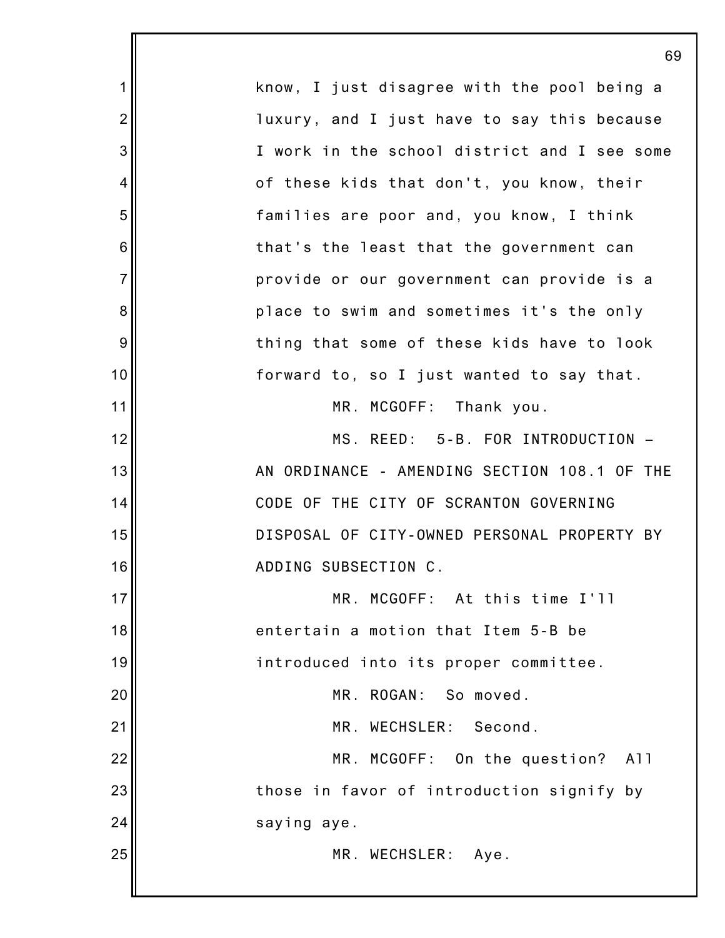|                | 69                                           |
|----------------|----------------------------------------------|
| $\mathbf 1$    | know, I just disagree with the pool being a  |
| $\overline{2}$ | luxury, and I just have to say this because  |
| 3              | I work in the school district and I see some |
| 4              | of these kids that don't, you know, their    |
| 5              | families are poor and, you know, I think     |
| 6              | that's the least that the government can     |
| $\overline{7}$ | provide or our government can provide is a   |
| 8              | place to swim and sometimes it's the only    |
| 9              | thing that some of these kids have to look   |
| 10             | forward to, so I just wanted to say that.    |
| 11             | MR. MCGOFF: Thank you.                       |
| 12             | MS. REED: 5-B. FOR INTRODUCTION -            |
| 13             | AN ORDINANCE - AMENDING SECTION 108.1 OF THE |
| 14             | CODE OF THE CITY OF SCRANTON GOVERNING       |
| 15             | DISPOSAL OF CITY-OWNED PERSONAL PROPERTY BY  |
| 16             | ADDING SUBSECTION C.                         |
| 17             | MR. MCGOFF: At this time I'll                |
| 18             | entertain a motion that Item 5-B be          |
| 19             | introduced into its proper committee.        |
| 20             | MR. ROGAN: So moved.                         |
| 21             | MR. WECHSLER: Second.                        |
| 22             | MR. MCGOFF: On the question?<br>A11          |
| 23             | those in favor of introduction signify by    |
| 24             | saying aye.                                  |
| 25             | MR. WECHSLER: Aye.                           |
|                |                                              |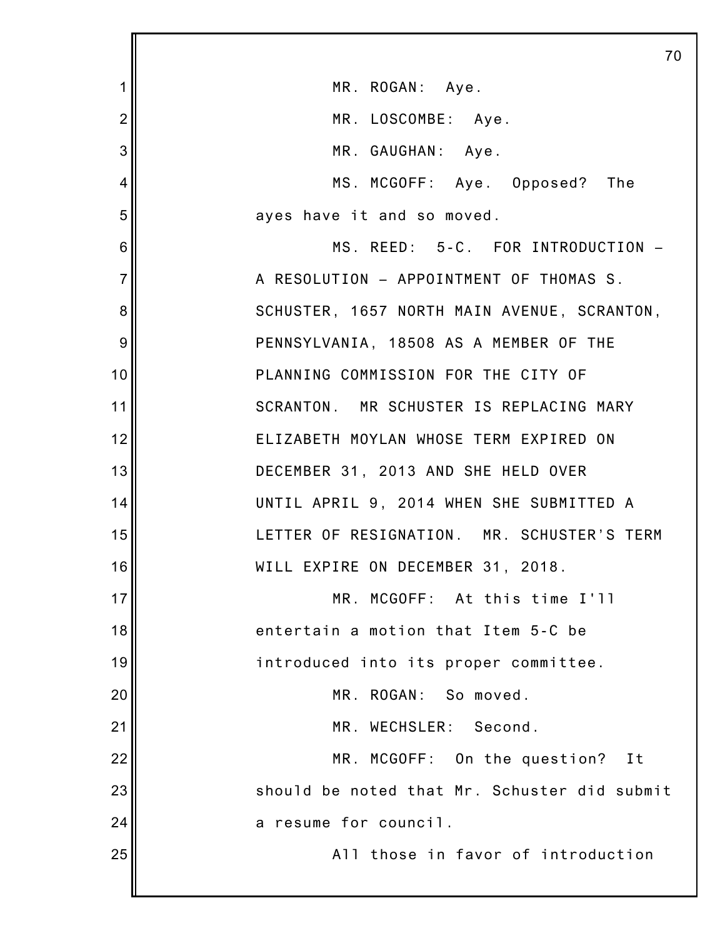|                | 70                                           |
|----------------|----------------------------------------------|
| 1              | MR. ROGAN: Aye.                              |
| $\overline{2}$ | MR. LOSCOMBE: Aye.                           |
| 3              | MR. GAUGHAN: Aye.                            |
| 4              | MS. MCGOFF: Aye. Opposed? The                |
| 5              | ayes have it and so moved.                   |
| 6              | MS. REED: 5-C. FOR INTRODUCTION -            |
| $\overline{7}$ | A RESOLUTION - APPOINTMENT OF THOMAS S.      |
| 8              | SCHUSTER, 1657 NORTH MAIN AVENUE, SCRANTON,  |
| 9              | PENNSYLVANIA, 18508 AS A MEMBER OF THE       |
| 10             | PLANNING COMMISSION FOR THE CITY OF          |
| 11             | SCRANTON. MR SCHUSTER IS REPLACING MARY      |
| 12             | ELIZABETH MOYLAN WHOSE TERM EXPIRED ON       |
| 13             | DECEMBER 31, 2013 AND SHE HELD OVER          |
| 14             | UNTIL APRIL 9, 2014 WHEN SHE SUBMITTED A     |
| 15             | LETTER OF RESIGNATION. MR. SCHUSTER'S TERM   |
| 16             | WILL EXPIRE ON DECEMBER 31, 2018.            |
| 17             | MR.<br>MCGOFF: At this time I'll             |
| 18             | entertain a motion that Item 5-C be          |
| 19             | introduced into its proper committee.        |
| 20             | MR. ROGAN: So moved.                         |
| 21             | MR. WECHSLER: Second.                        |
| 22             | MR. MCGOFF: On the question?<br>I t          |
| 23             | should be noted that Mr. Schuster did submit |
| 24             | a resume for council.                        |
| 25             | All those in favor of introduction           |
|                |                                              |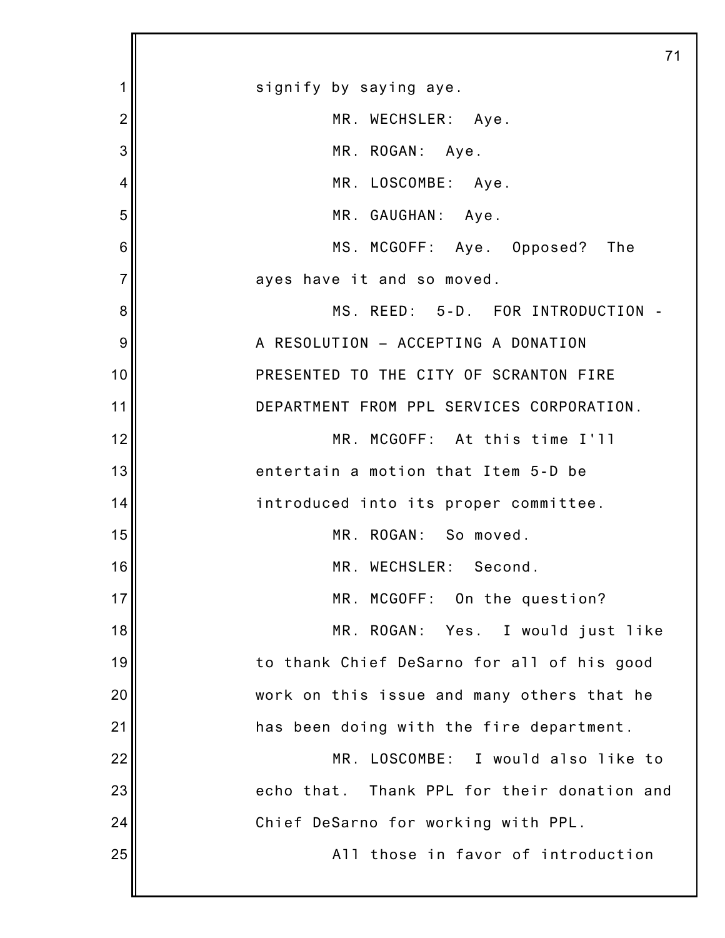|                | 71                                             |
|----------------|------------------------------------------------|
| 1              | signify by saying aye.                         |
| $\overline{2}$ | MR. WECHSLER: Aye.                             |
| 3              | MR. ROGAN: Aye.                                |
| 4              | MR. LOSCOMBE: Aye.                             |
| 5              | MR. GAUGHAN: Aye.                              |
| 6              | MS. MCGOFF: Aye. Opposed? The                  |
| 7              | ayes have it and so moved.                     |
| 8              | MS. REED: 5-D. FOR INTRODUCTION -              |
| 9              | A RESOLUTION - ACCEPTING A DONATION            |
| 10             | PRESENTED TO THE CITY OF SCRANTON FIRE         |
| 11             | DEPARTMENT FROM PPL SERVICES CORPORATION.      |
| 12             | MR. MCGOFF: At this time I'll                  |
| 13             | entertain a motion that Item 5-D be            |
| 14             | introduced into its proper committee.          |
| 15             | MR. ROGAN: So moved.                           |
| 16             | MR. WECHSLER: Second.                          |
| 17             | MR. MCGOFF: On the question?                   |
| 18             | MR. ROGAN:<br>Yes. I would just like           |
| 19             | to thank Chief DeSarno for all of his good     |
| 20             | work on this issue and many others that he     |
| 21             | has been doing with the fire department.       |
| 22             | MR. LOSCOMBE: I would also like to             |
| 23             | Thank PPL for their donation and<br>echo that. |
| 24             | Chief DeSarno for working with PPL.            |
| 25             | All those in favor of introduction             |
|                |                                                |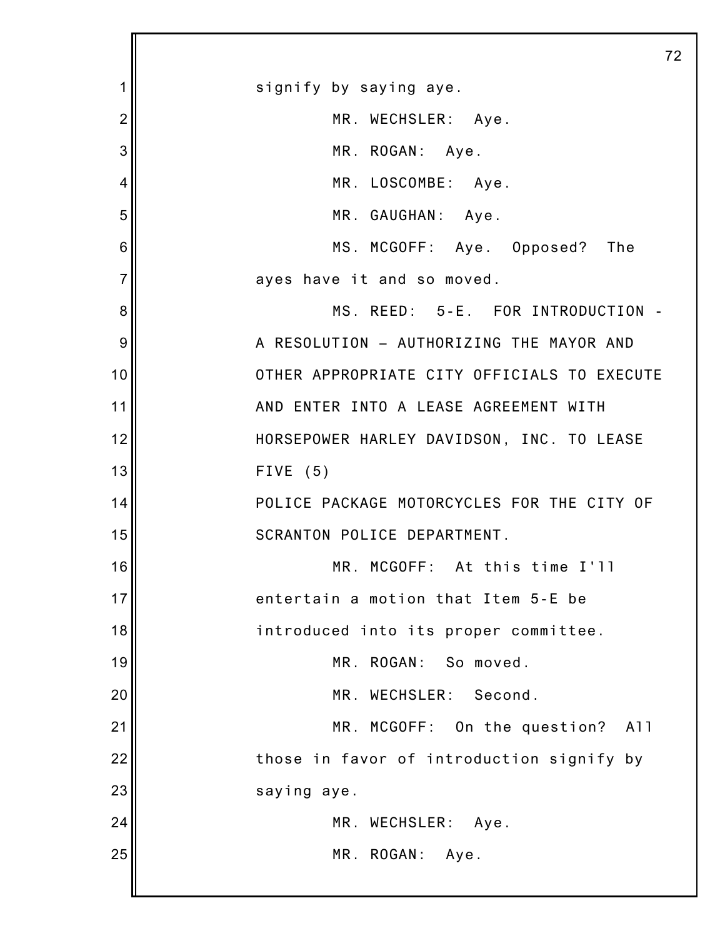|                | 72                                          |
|----------------|---------------------------------------------|
| 1              | signify by saying aye.                      |
| $\overline{2}$ | MR. WECHSLER: Aye.                          |
| 3              | MR. ROGAN: Aye.                             |
| 4              | MR. LOSCOMBE: Aye.                          |
| 5              | MR. GAUGHAN: Aye.                           |
| 6              | MS. MCGOFF: Aye. Opposed? The               |
| $\overline{7}$ | ayes have it and so moved.                  |
| 8              | MS. REED: 5-E. FOR INTRODUCTION -           |
| 9              | A RESOLUTION - AUTHORIZING THE MAYOR AND    |
| 10             | OTHER APPROPRIATE CITY OFFICIALS TO EXECUTE |
| 11             | AND ENTER INTO A LEASE AGREEMENT WITH       |
| 12             | HORSEPOWER HARLEY DAVIDSON, INC. TO LEASE   |
| 13             | FIVE $(5)$                                  |
| 14             | POLICE PACKAGE MOTORCYCLES FOR THE CITY OF  |
| 15             | SCRANTON POLICE DEPARTMENT.                 |
| 16             | MR. MCGOFF: At this time I'll               |
| 17             | entertain a motion that Item 5-E be         |
| 18             | introduced into its proper committee.       |
| 19             | MR. ROGAN: So moved.                        |
| 20             | MR. WECHSLER:<br>Second.                    |
| 21             | MR. MCGOFF: On the question?<br>A11         |
| 22             | those in favor of introduction signify by   |
| 23             | saying aye.                                 |
| 24             | MR. WECHSLER:<br>Aye.                       |
| 25             | MR. ROGAN:<br>Aye.                          |
|                |                                             |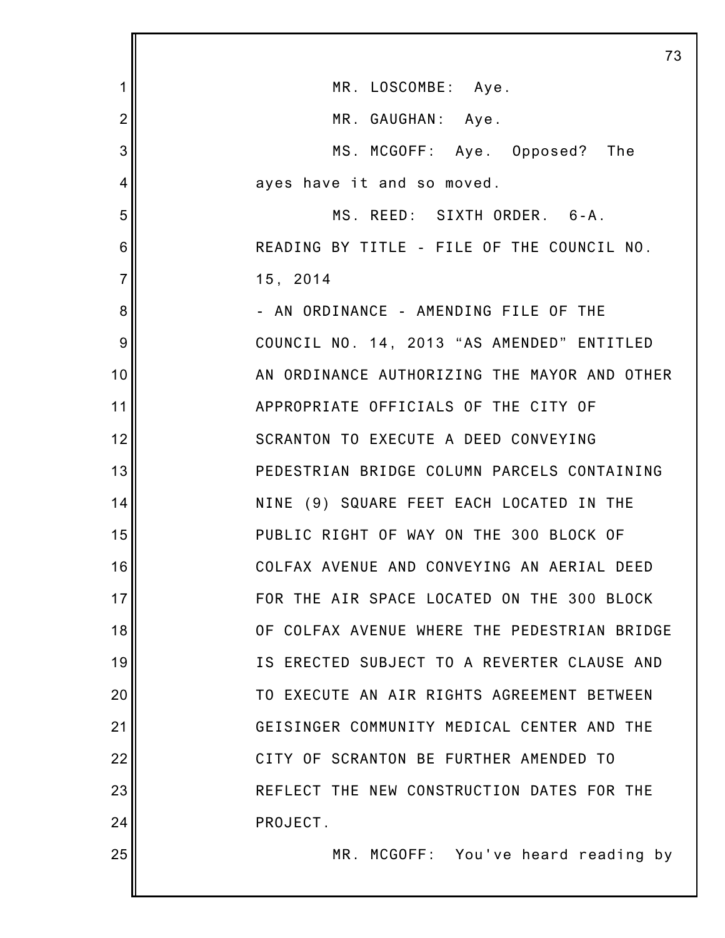|                | 73                                           |
|----------------|----------------------------------------------|
| 1              | MR. LOSCOMBE: Aye.                           |
| $\overline{2}$ | MR. GAUGHAN: Aye.                            |
| 3              | MS. MCGOFF: Aye. Opposed? The                |
| 4              | ayes have it and so moved.                   |
| 5              | MS. REED: SIXTH ORDER. 6-A.                  |
| 6              | READING BY TITLE - FILE OF THE COUNCIL NO.   |
| $\overline{7}$ | 15, 2014                                     |
| 8              | - AN ORDINANCE - AMENDING FILE OF THE        |
| 9              | COUNCIL NO. 14, 2013 "AS AMENDED" ENTITLED   |
| 10             | AN ORDINANCE AUTHORIZING THE MAYOR AND OTHER |
| 11             | APPROPRIATE OFFICIALS OF THE CITY OF         |
| 12             | SCRANTON TO EXECUTE A DEED CONVEYING         |
| 13             | PEDESTRIAN BRIDGE COLUMN PARCELS CONTAINING  |
| 14             | NINE (9) SQUARE FEET EACH LOCATED IN THE     |
| 15             | PUBLIC RIGHT OF WAY ON THE 300 BLOCK OF      |
| 16             | COLFAX AVENUE AND CONVEYING AN AERIAL DEED   |
| 17             | FOR THE AIR SPACE LOCATED ON THE 300 BLOCK   |
| 18             | OF COLFAX AVENUE WHERE THE PEDESTRIAN BRIDGE |
| 19             | IS ERECTED SUBJECT TO A REVERTER CLAUSE AND  |
| 20             | TO EXECUTE AN AIR RIGHTS AGREEMENT BETWEEN   |
| 21             | GEISINGER COMMUNITY MEDICAL CENTER AND THE   |
| 22             | CITY OF SCRANTON BE FURTHER AMENDED TO       |
| 23             | REFLECT THE NEW CONSTRUCTION DATES FOR THE   |
| 24             | PROJECT.                                     |
| 25             | MR. MCGOFF: You've heard reading by          |
|                |                                              |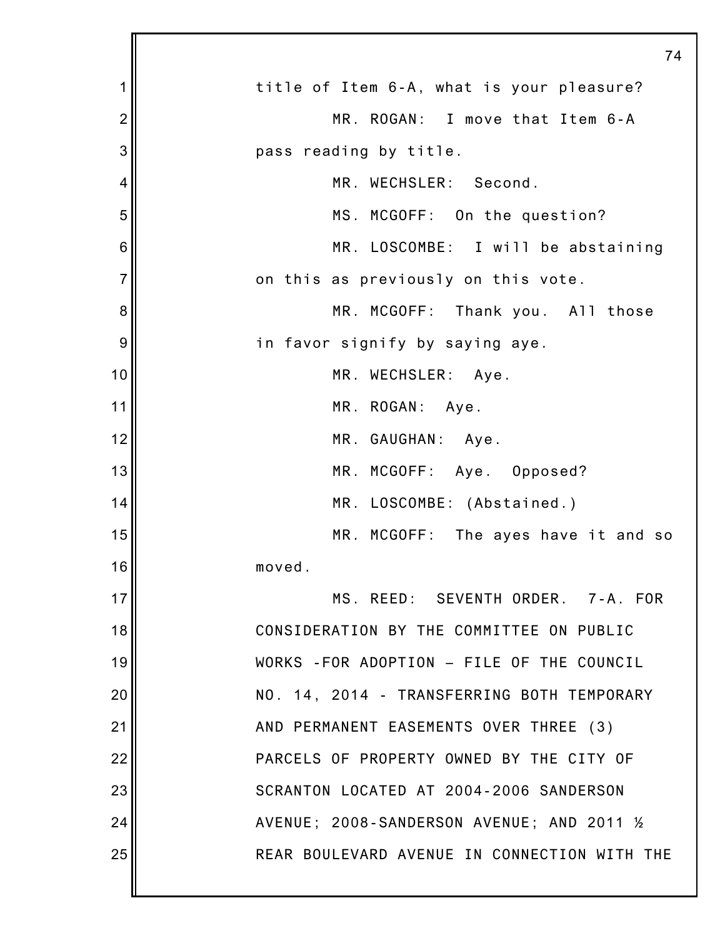|                | 74                                           |
|----------------|----------------------------------------------|
| 1              | title of Item 6-A, what is your pleasure?    |
| $\overline{2}$ | MR. ROGAN: I move that Item 6-A              |
| 3              | pass reading by title.                       |
| $\overline{4}$ | MR. WECHSLER: Second.                        |
| 5              | MS. MCGOFF: On the question?                 |
| 6              | MR. LOSCOMBE: I will be abstaining           |
| $\overline{7}$ | on this as previously on this vote.          |
| 8              | MR. MCGOFF: Thank you. All those             |
| 9              | in favor signify by saying aye.              |
| 10             | MR. WECHSLER: Aye.                           |
| 11             | MR. ROGAN: Aye.                              |
| 12             | MR. GAUGHAN: Aye.                            |
| 13             | MR. MCGOFF: Aye. Opposed?                    |
| 14             | MR. LOSCOMBE: (Abstained.)                   |
| 15             | MR. MCGOFF: The ayes have it and so          |
| 16             | moved.                                       |
| 17             | MS. REED: SEVENTH ORDER. 7-A. FOR            |
| 18             | CONSIDERATION BY THE COMMITTEE ON PUBLIC     |
| 19             | WORKS - FOR ADOPTION - FILE OF THE COUNCIL   |
| 20             | NO. 14, 2014 - TRANSFERRING BOTH TEMPORARY   |
| 21             | AND PERMANENT EASEMENTS OVER THREE (3)       |
| 22             | PARCELS OF PROPERTY OWNED BY THE CITY OF     |
| 23             | SCRANTON LOCATED AT 2004-2006 SANDERSON      |
| 24             | AVENUE; 2008-SANDERSON AVENUE; AND 2011 %    |
| 25             | REAR BOULEVARD AVENUE IN CONNECTION WITH THE |
|                |                                              |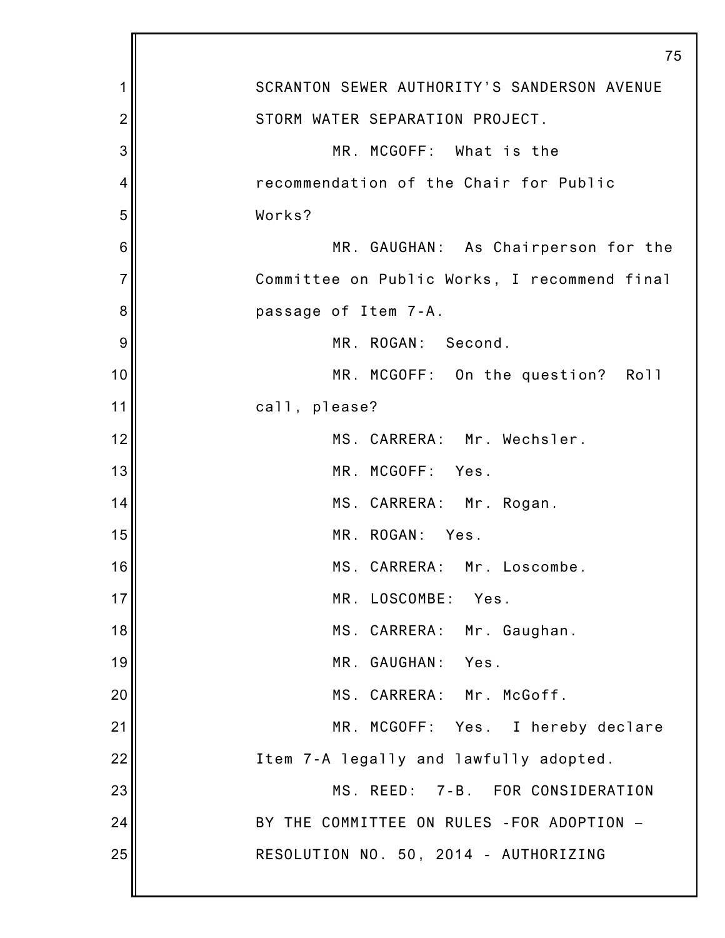|                | 75                                           |
|----------------|----------------------------------------------|
| 1              | SCRANTON SEWER AUTHORITY'S SANDERSON AVENUE  |
| $\overline{2}$ | STORM WATER SEPARATION PROJECT.              |
| 3              | MR. MCGOFF: What is the                      |
| 4              | recommendation of the Chair for Public       |
| 5              | Works?                                       |
| 6              | MR. GAUGHAN: As Chairperson for the          |
| $\overline{7}$ | Committee on Public Works, I recommend final |
| 8              | passage of Item 7-A.                         |
| 9              | MR. ROGAN: Second.                           |
| 10             | MR. MCGOFF: On the question? Roll            |
| 11             | call, please?                                |
| 12             | MS. CARRERA: Mr. Wechsler.                   |
| 13             | MR. MCGOFF: Yes.                             |
| 14             | MS. CARRERA: Mr. Rogan.                      |
| 15             | MR. ROGAN:<br>Yes.                           |
| 16             | MS. CARRERA: Mr. Loscombe.                   |
| 17             | MR. LOSCOMBE:<br>Yes.                        |
| 18             | MS. CARRERA: Mr. Gaughan.                    |
| 19             | MR. GAUGHAN: Yes.                            |
| 20             | MS. CARRERA: Mr. McGoff.                     |
| 21             | MR. MCGOFF: Yes. I hereby declare            |
| 22             | Item 7-A legally and lawfully adopted.       |
| 23             | MS. REED: 7-B. FOR CONSIDERATION             |
| 24             | BY THE COMMITTEE ON RULES - FOR ADOPTION -   |
| 25             | RESOLUTION NO. 50, 2014 - AUTHORIZING        |
|                |                                              |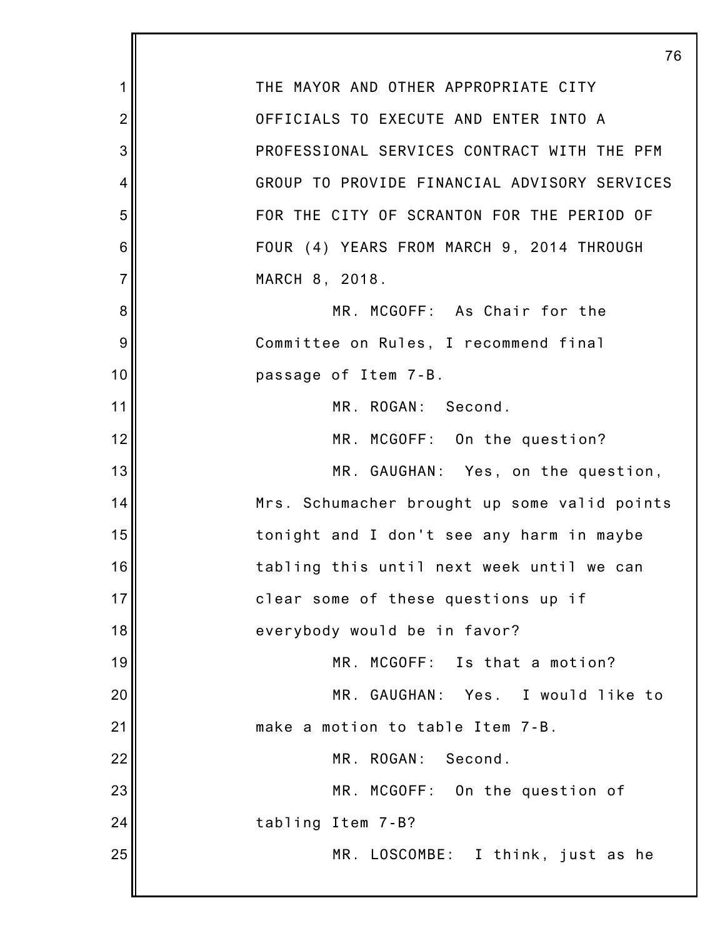1 2 3 4 5 6 7 8 9 10 11 12 13 14 15 16 17 18 19 20 21 22 23 24 25 76 THE MAYOR AND OTHER APPROPRIATE CITY OFFICIALS TO EXECUTE AND ENTER INTO A PROFESSIONAL SERVICES CONTRACT WITH THE PFM GROUP TO PROVIDE FINANCIAL ADVISORY SERVICES FOR THE CITY OF SCRANTON FOR THE PERIOD OF FOUR (4) YEARS FROM MARCH 9, 2014 THROUGH MARCH 8, 2018. MR. MCGOFF: As Chair for the Committee on Rules, I recommend final passage of Item 7-B. MR. ROGAN: Second. MR. MCGOFF: On the question? MR. GAUGHAN: Yes, on the question, Mrs. Schumacher brought up some valid points tonight and I don't see any harm in maybe tabling this until next week until we can clear some of these questions up if everybody would be in favor? MR. MCGOFF: Is that a motion? MR. GAUGHAN: Yes. I would like to make a motion to table Item 7-B. MR. ROGAN: Second. MR. MCGOFF: On the question of tabling Item 7-B? MR. LOSCOMBE: I think, just as he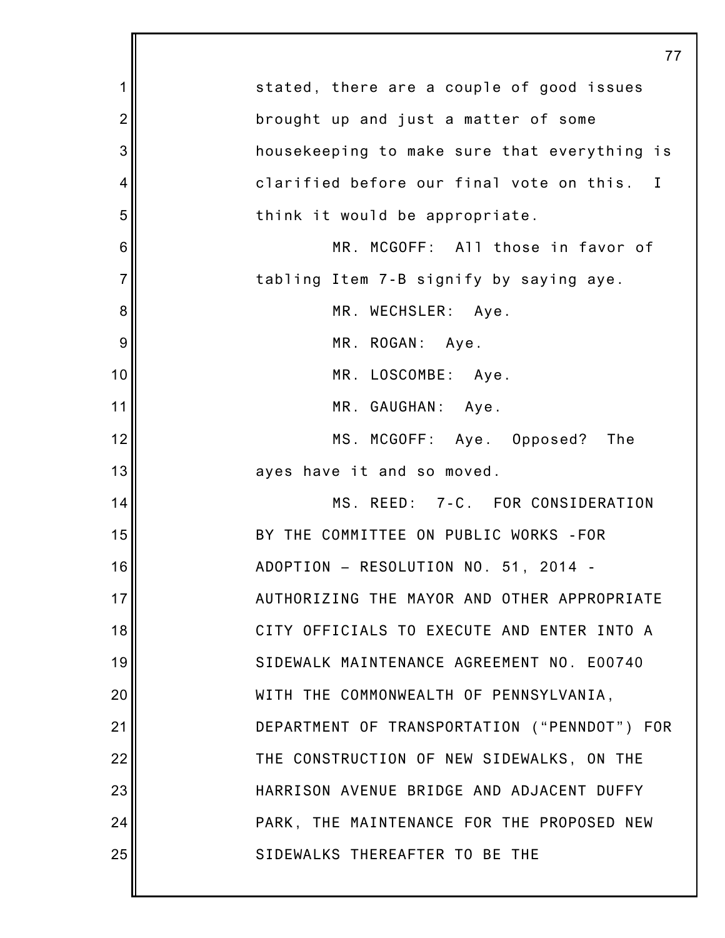|                | 77                                           |
|----------------|----------------------------------------------|
| 1              | stated, there are a couple of good issues    |
| $\overline{2}$ | brought up and just a matter of some         |
| 3              | housekeeping to make sure that everything is |
| 4              | clarified before our final vote on this. I   |
| 5              | think it would be appropriate.               |
| 6              | MR. MCGOFF: All those in favor of            |
| $\overline{7}$ | tabling Item 7-B signify by saying aye.      |
| 8              | MR. WECHSLER: Aye.                           |
| 9              | MR. ROGAN: Aye.                              |
| 10             | MR. LOSCOMBE: Aye.                           |
| 11             | MR. GAUGHAN: Aye.                            |
| 12             | MS. MCGOFF: Aye. Opposed?<br>The             |
| 13             | ayes have it and so moved.                   |
| 14             | MS. REED: 7-C. FOR CONSIDERATION             |
| 15             | BY THE COMMITTEE ON PUBLIC WORKS - FOR       |
| 16             | ADOPTION - RESOLUTION NO. 51, 2014 -         |
| 17             | AUTHORIZING THE MAYOR AND OTHER APPROPRIATE  |
| 18             | CITY OFFICIALS TO EXECUTE AND ENTER INTO A   |
| 19             | SIDEWALK MAINTENANCE AGREEMENT NO. E00740    |
| 20             | WITH THE COMMONWEALTH OF PENNSYLVANIA,       |
| 21             | DEPARTMENT OF TRANSPORTATION ("PENNDOT") FOR |
| 22             | THE CONSTRUCTION OF NEW SIDEWALKS, ON THE    |
| 23             | HARRISON AVENUE BRIDGE AND ADJACENT DUFFY    |
| 24             | PARK, THE MAINTENANCE FOR THE PROPOSED NEW   |
| 25             | SIDEWALKS THEREAFTER TO BE THE               |
|                |                                              |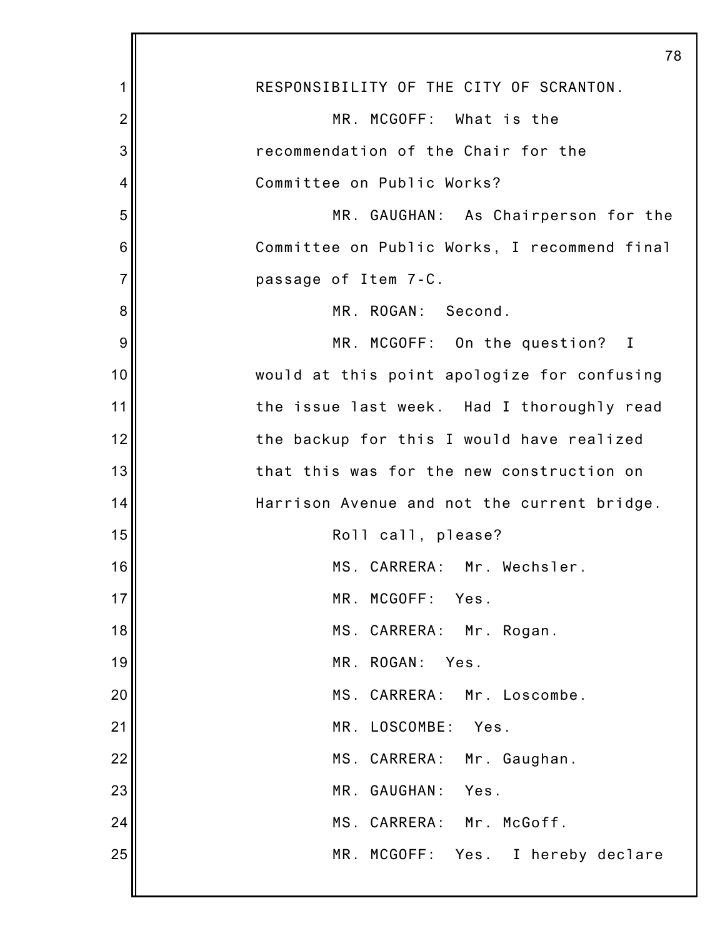|                | 78                                           |
|----------------|----------------------------------------------|
| 1              | RESPONSIBILITY OF THE CITY OF SCRANTON.      |
| $\overline{2}$ | MR. MCGOFF: What is the                      |
| 3              | recommendation of the Chair for the          |
| 4              | Committee on Public Works?                   |
| 5              | MR. GAUGHAN: As Chairperson for the          |
| 6              | Committee on Public Works, I recommend final |
| $\overline{7}$ | passage of Item 7-C.                         |
| 8              | MR. ROGAN: Second.                           |
| 9              | MR. MCGOFF: On the question? I               |
| 10             | would at this point apologize for confusing  |
| 11             | the issue last week. Had I thoroughly read   |
| 12             | the backup for this I would have realized    |
| 13             | that this was for the new construction on    |
| 14             | Harrison Avenue and not the current bridge.  |
| 15             | Roll call, please?                           |
| 16             | MS. CARRERA: Mr. Wechsler.                   |
| 17             | MR. MCGOFF:<br>Yes.                          |
| 18             | MS. CARRERA: Mr. Rogan.                      |
| 19             | MR. ROGAN:<br>Yes.                           |
| 20             | MS. CARRERA: Mr. Loscombe.                   |
| 21             | MR. LOSCOMBE:<br>Yes.                        |
| 22             | MS. CARRERA: Mr. Gaughan.                    |
| 23             | MR. GAUGHAN: Yes.                            |
| 24             | MS. CARRERA: Mr. McGoff.                     |
| 25             | MR. MCGOFF: Yes. I hereby declare            |
|                |                                              |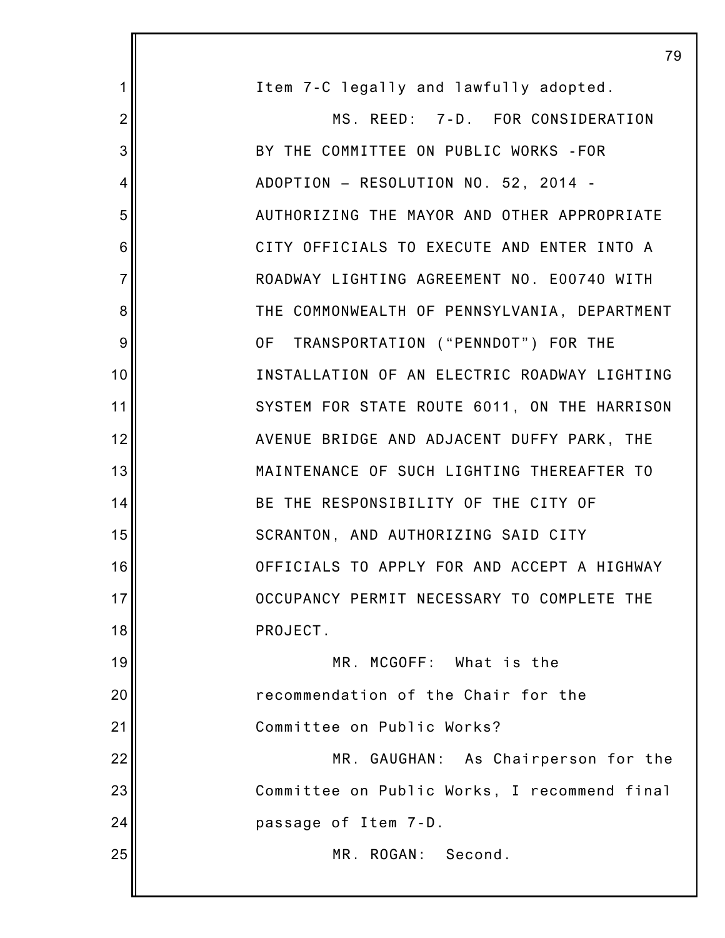|                | 79                                           |
|----------------|----------------------------------------------|
| 1              | Item 7-C legally and lawfully adopted.       |
| $\overline{2}$ | MS. REED: 7-D. FOR CONSIDERATION             |
| 3              | BY THE COMMITTEE ON PUBLIC WORKS - FOR       |
| 4              | ADOPTION - RESOLUTION NO. 52, 2014 -         |
| 5              | AUTHORIZING THE MAYOR AND OTHER APPROPRIATE  |
| 6              | CITY OFFICIALS TO EXECUTE AND ENTER INTO A   |
| $\overline{7}$ | ROADWAY LIGHTING AGREEMENT NO. E00740 WITH   |
| 8              | THE COMMONWEALTH OF PENNSYLVANIA, DEPARTMENT |
| 9              | OF TRANSPORTATION ("PENNDOT") FOR THE        |
| 10             | INSTALLATION OF AN ELECTRIC ROADWAY LIGHTING |
| 11             | SYSTEM FOR STATE ROUTE 6011, ON THE HARRISON |
| 12             | AVENUE BRIDGE AND ADJACENT DUFFY PARK, THE   |
| 13             | MAINTENANCE OF SUCH LIGHTING THEREAFTER TO   |
| 14             | BE THE RESPONSIBILITY OF THE CITY OF         |
| 15             | SCRANTON, AND AUTHORIZING SAID CITY          |
| 16             | OFFICIALS TO APPLY FOR AND ACCEPT A HIGHWAY  |
| 17             | OCCUPANCY PERMIT NECESSARY TO COMPLETE THE   |
| 18             | PROJECT.                                     |
| 19             | MR. MCGOFF: What is the                      |
| 20             | recommendation of the Chair for the          |
| 21             | Committee on Public Works?                   |
| 22             | MR. GAUGHAN: As Chairperson for the          |
| 23             | Committee on Public Works, I recommend final |
| 24             | passage of Item 7-D.                         |
| 25             | MR. ROGAN: Second.                           |
|                |                                              |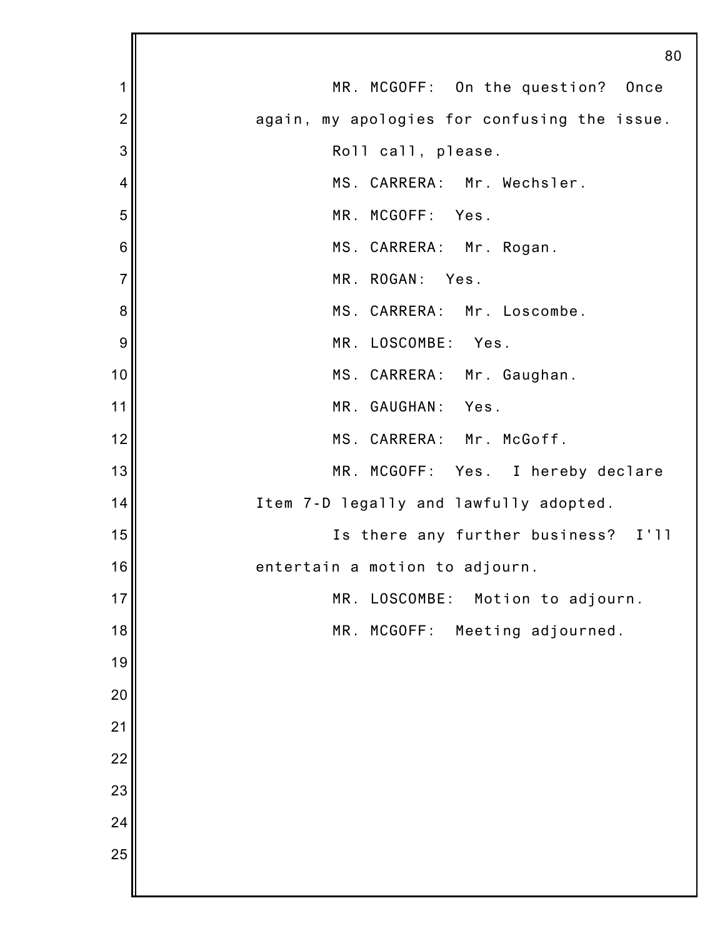|                | 80                                           |
|----------------|----------------------------------------------|
| 1              | MR. MCGOFF: On the question? Once            |
| $\overline{2}$ | again, my apologies for confusing the issue. |
| 3              | Roll call, please.                           |
| 4              | MS. CARRERA: Mr. Wechsler.                   |
| 5              | MR. MCGOFF: Yes.                             |
| 6              | MS. CARRERA: Mr. Rogan.                      |
| $\overline{7}$ | MR. ROGAN: Yes.                              |
| 8              | MS. CARRERA: Mr. Loscombe.                   |
| 9              | MR. LOSCOMBE:<br>Yes.                        |
| 10             | MS. CARRERA: Mr. Gaughan.                    |
| 11             | MR. GAUGHAN: Yes.                            |
| 12             | MS. CARRERA: Mr. McGoff.                     |
| 13             | MR. MCGOFF: Yes. I hereby declare            |
| 14             | Item 7-D legally and lawfully adopted.       |
| 15             | Is there any further business? I'll          |
| 16             | entertain a motion to adjourn.               |
| 17             | LOSCOMBE:<br>MR.<br>Motion to adjourn.       |
| 18             | MCGOFF:<br>Meeting adjourned.<br>MR.         |
| 19             |                                              |
| 20             |                                              |
| 21             |                                              |
| 22             |                                              |
| 23             |                                              |
| 24             |                                              |
| 25             |                                              |
|                |                                              |